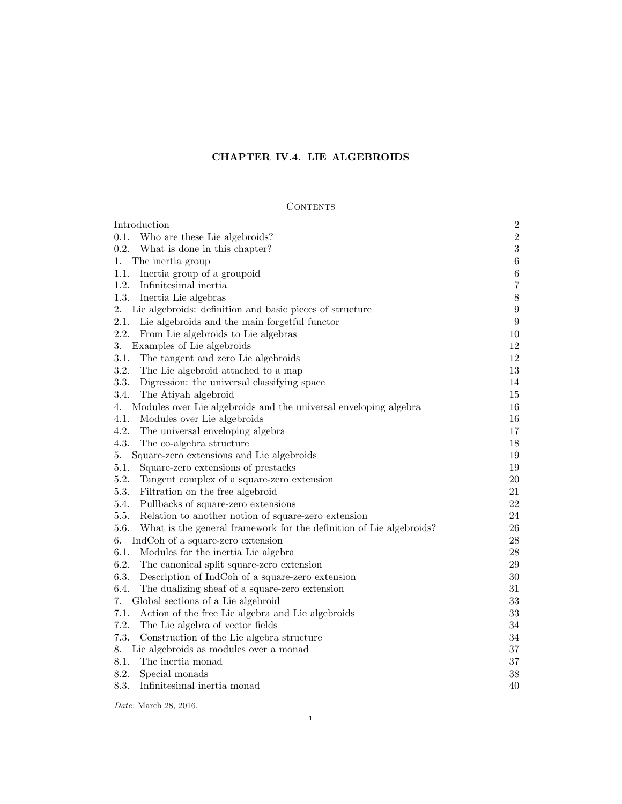# CHAPTER IV.4. LIE ALGEBROIDS

# $\mbox{CONTENTS}$

| Introduction                                                                | $\sqrt{2}$       |
|-----------------------------------------------------------------------------|------------------|
| 0.1.<br>Who are these Lie algebroids?                                       | $\overline{2}$   |
| 0.2.<br>What is done in this chapter?                                       | $\sqrt{3}$       |
| The inertia group<br>1.                                                     | $\,6\,$          |
| Inertia group of a groupoid<br>1.1.                                         | $\,6$            |
| 1.2.<br>Infinitesimal inertia                                               | $\overline{7}$   |
| 1.3.<br>Inertia Lie algebras                                                | 8                |
| 2.<br>Lie algebroids: definition and basic pieces of structure              | $\boldsymbol{9}$ |
| 2.1.<br>Lie algebroids and the main forgetful functor                       | $\boldsymbol{9}$ |
| 2.2.<br>From Lie algebroids to Lie algebras                                 | $10\,$           |
| 3.<br>Examples of Lie algebroids                                            | 12               |
| 3.1.<br>The tangent and zero Lie algebroids                                 | 12               |
| 3.2.<br>The Lie algebroid attached to a map                                 | 13               |
| 3.3.<br>Digression: the universal classifying space                         | 14               |
| 3.4.<br>The Atiyah algebroid                                                | 15               |
| 4.<br>Modules over Lie algebroids and the universal enveloping algebra      | 16               |
| 4.1.<br>Modules over Lie algebroids                                         | 16               |
| 4.2.<br>The universal enveloping algebra                                    | 17               |
| 4.3.<br>The co-algebra structure                                            | 18               |
| 5.<br>Square-zero extensions and Lie algebroids                             | 19               |
| 5.1.<br>Square-zero extensions of prestacks                                 | 19               |
| 5.2.<br>Tangent complex of a square-zero extension                          | $20\,$           |
| 5.3.<br>Filtration on the free algebroid                                    | 21               |
| 5.4.<br>Pullbacks of square-zero extensions                                 | 22               |
| 5.5.<br>Relation to another notion of square-zero extension                 | 24               |
| 5.6.<br>What is the general framework for the definition of Lie algebroids? | $26\,$           |
| 6.<br>IndCoh of a square-zero extension                                     | $28\,$           |
| 6.1.<br>Modules for the inertia Lie algebra                                 | $28\,$           |
| 6.2.<br>The canonical split square-zero extension                           | $29\,$           |
| 6.3.<br>Description of IndCoh of a square-zero extension                    | $30\,$           |
| 6.4.<br>The dualizing sheaf of a square-zero extension                      | 31               |
| Global sections of a Lie algebroid<br>7.                                    | $33\,$           |
| 7.1.<br>Action of the free Lie algebra and Lie algebroids                   | 33               |
| 7.2.<br>The Lie algebra of vector fields                                    | 34               |
| 7.3.<br>Construction of the Lie algebra structure                           | 34               |
| 8.<br>Lie algebroids as modules over a monad                                | 37               |
| 8.1.<br>The inertia monad                                                   | 37               |
| 8.2.<br>Special monads                                                      | 38               |
| 8.3.<br>Infinitesimal inertia monad                                         | 40               |

Date: March 28, 2016.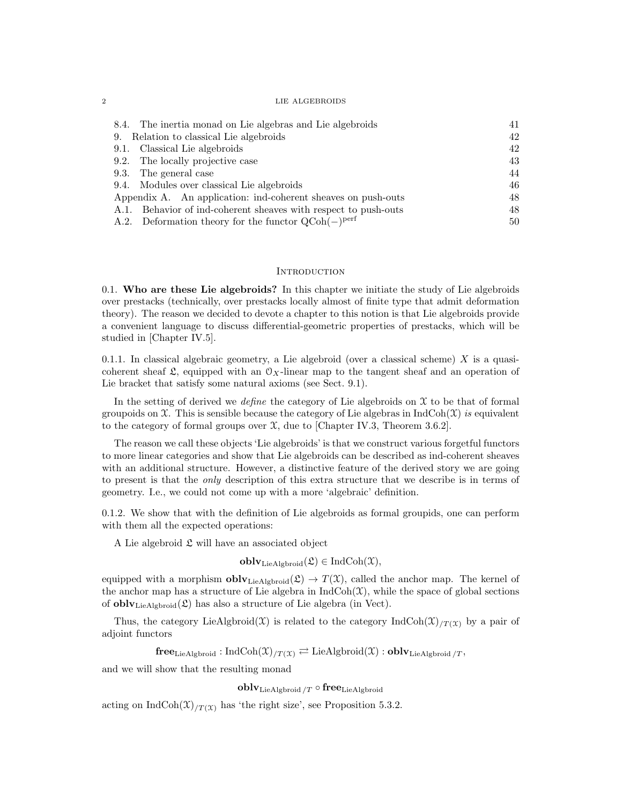| 8.4. The inertia monad on Lie algebras and Lie algebroids         | 41 |
|-------------------------------------------------------------------|----|
| 9. Relation to classical Lie algebroids                           | 42 |
| 9.1. Classical Lie algebroids                                     | 42 |
| 9.2. The locally projective case                                  | 43 |
| 9.3. The general case                                             | 44 |
| 9.4. Modules over classical Lie algebroids                        | 46 |
| Appendix A. An application: ind-coherent sheaves on push-outs     |    |
| A.1. Behavior of ind-coherent sheaves with respect to push-outs   | 48 |
| A.2. Deformation theory for the functor $QCoh(-)$ <sup>perf</sup> | 50 |

# **INTRODUCTION**

0.1. Who are these Lie algebroids? In this chapter we initiate the study of Lie algebroids over prestacks (technically, over prestacks locally almost of finite type that admit deformation theory). The reason we decided to devote a chapter to this notion is that Lie algebroids provide a convenient language to discuss differential-geometric properties of prestacks, which will be studied in [Chapter IV.5].

0.1.1. In classical algebraic geometry, a Lie algebroid (over a classical scheme)  $X$  is a quasicoherent sheaf  $\mathfrak{L}$ , equipped with an  $\mathfrak{O}_X$ -linear map to the tangent sheaf and an operation of Lie bracket that satisfy some natural axioms (see Sect. 9.1).

In the setting of derived we *define* the category of Lie algebroids on  $\mathfrak X$  to be that of formal groupoids on  $\mathfrak X$ . This is sensible because the category of Lie algebras in IndCoh( $\mathfrak X$ ) is equivalent to the category of formal groups over  $\mathfrak{X}$ , due to [Chapter IV.3, Theorem 3.6.2].

The reason we call these objects 'Lie algebroids' is that we construct various forgetful functors to more linear categories and show that Lie algebroids can be described as ind-coherent sheaves with an additional structure. However, a distinctive feature of the derived story we are going to present is that the only description of this extra structure that we describe is in terms of geometry. I.e., we could not come up with a more 'algebraic' definition.

0.1.2. We show that with the definition of Lie algebroids as formal groupids, one can perform with them all the expected operations:

A Lie algebroid  $\mathfrak{L}$  will have an associated object

 $\textbf{oblv}_{\text{LieAlgbroid}}(\mathfrak{L}) \in \text{IndCoh}(\mathfrak{X}),$ 

equipped with a morphism  $\text{oblv}_{\text{LieAlgbroid}}(\mathfrak{L}) \to T(\mathfrak{X})$ , called the anchor map. The kernel of the anchor map has a structure of Lie algebra in  $IndCoh(\mathcal{X})$ , while the space of global sections of **obly**<sub>LieAlgbroid</sub> $(\mathfrak{L})$  has also a structure of Lie algebra (in Vect).

Thus, the category LieAlgbroid(X) is related to the category  $\text{IndCoh}(\mathfrak{X})_{T(\mathfrak{X})}$  by a pair of adjoint functors

 ${\bf free}_{\rm LieAlgbroid}: \rm IndCoh(\mathfrak{X})_{/T(\mathfrak{X})} \rightleftarrows \rm LieAlgbroid(\mathfrak{X}): {\bf oblv}_{\rm LieAlgbroid/\mathit{T}},$ 

and we will show that the resulting monad

 $oblv_{\text{LieAlgbroid}}$  /T  $\circ$  free<sub>LieAlgbroid</sub>

acting on IndCoh $(\mathfrak{X})_{/T(\mathfrak{X})}$  has 'the right size', see Proposition 5.3.2.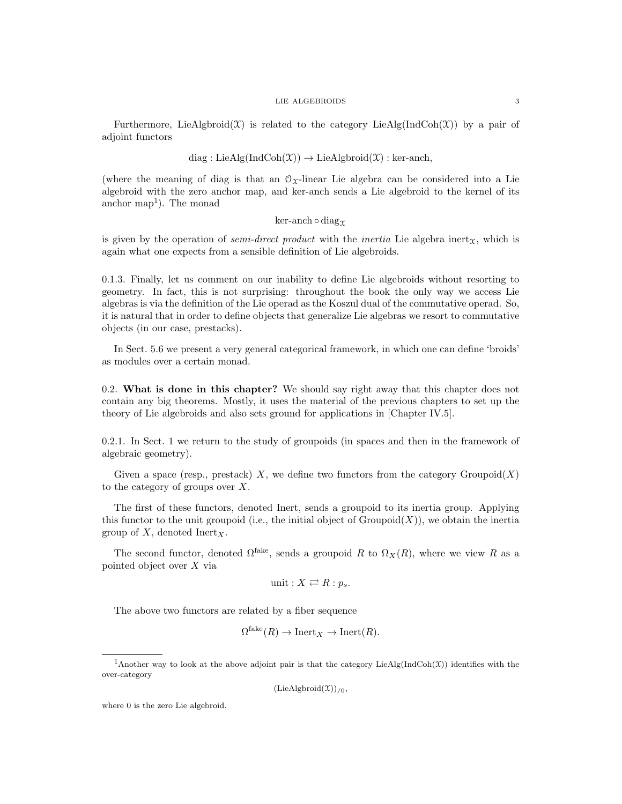Furthermore, LieAlgbroid( $\mathfrak{X}$ ) is related to the category LieAlg(IndCoh( $\mathfrak{X}$ )) by a pair of adjoint functors

# diag : LieAlg(IndCoh $(\mathfrak{X}) \rightarrow$  LieAlgbroid $(\mathfrak{X})$  : ker-anch,

(where the meaning of diag is that an  $\mathcal{O}_X$ -linear Lie algebra can be considered into a Lie algebroid with the zero anchor map, and ker-anch sends a Lie algebroid to the kernel of its anchor map<sup>1</sup>). The monad

# ker-anch  $\circ$  diag $\gamma$

is given by the operation of *semi-direct product* with the *inertia* Lie algebra inert<sub>x</sub>, which is again what one expects from a sensible definition of Lie algebroids.

0.1.3. Finally, let us comment on our inability to define Lie algebroids without resorting to geometry. In fact, this is not surprising: throughout the book the only way we access Lie algebras is via the definition of the Lie operad as the Koszul dual of the commutative operad. So, it is natural that in order to define objects that generalize Lie algebras we resort to commutative objects (in our case, prestacks).

In Sect. 5.6 we present a very general categorical framework, in which one can define 'broids' as modules over a certain monad.

0.2. What is done in this chapter? We should say right away that this chapter does not contain any big theorems. Mostly, it uses the material of the previous chapters to set up the theory of Lie algebroids and also sets ground for applications in [Chapter IV.5].

0.2.1. In Sect. 1 we return to the study of groupoids (in spaces and then in the framework of algebraic geometry).

Given a space (resp., prestack) X, we define two functors from the category  $Groupoid(X)$ to the category of groups over X.

The first of these functors, denoted Inert, sends a groupoid to its inertia group. Applying this functor to the unit groupoid (i.e., the initial object of  $Groupoid(X)$ ), we obtain the inertia group of X, denoted Inert<sub>X</sub>.

The second functor, denoted  $\Omega^{\text{fake}}$ , sends a groupoid R to  $\Omega_X(R)$ , where we view R as a pointed object over X via

$$
unit: X \rightleftarrows R : p_s.
$$

The above two functors are related by a fiber sequence

$$
\Omega^{\text{fake}}(R) \to \text{Inert}_X \to \text{Inert}(R).
$$

 $(LieAlgbroid(\mathcal{X}))_{/0}$ 

where 0 is the zero Lie algebroid.

<sup>&</sup>lt;sup>1</sup>Another way to look at the above adjoint pair is that the category LieAlg(IndCoh(X)) identifies with the over-category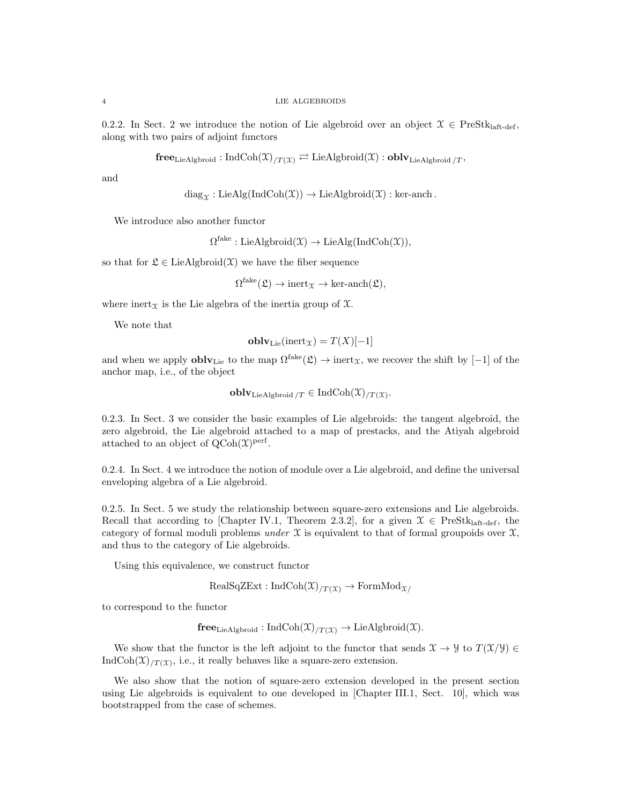0.2.2. In Sect. 2 we introduce the notion of Lie algebroid over an object  $\mathcal{X} \in \text{PreStk}_{\text{laff-def}}$ along with two pairs of adjoint functors

 $\mathbf{free}_{\mathrm{LieAlgbroid}} : \mathrm{IndCoh}(\mathfrak{X})_{/T(\mathfrak{X})} \rightleftarrows \mathrm{LieAlgbroid}(\mathfrak{X}) : \mathbf{oblv}_{\mathrm{LieAlgbroid}}/T$ 

and

$$
diag_{\mathfrak{X}}: LieAlg(IndCoh(\mathfrak{X})) \to LieAlgbroid(\mathfrak{X}): ker-anch.
$$

We introduce also another functor

 $\Omega^{\text{fake}}: \text{LieAlgbroid}(\mathfrak{X}) \to \text{LieAlg}(\text{IndCoh}(\mathfrak{X})),$ 

so that for  $\mathfrak{L} \in \text{LieAlgbroid}(\mathfrak{X})$  we have the fiber sequence

 $\Omega^{\text{fake}}(\mathfrak{L}) \to \text{inert}_{\mathfrak{X}} \to \text{ker-anch}(\mathfrak{L}),$ 

where inert $x$  is the Lie algebra of the inertia group of  $\mathfrak{X}$ .

We note that

$$
\mathbf{oblv}_{\mathrm{Lie}}(\mathrm{inert}_{\mathfrak{X}}) = T(X)[-1]
$$

and when we apply  $\text{oblv}_{\text{Lie}}$  to the map  $\Omega^{\text{fake}}(\mathfrak{L}) \to \text{inert}_{\mathfrak{X}}$ , we recover the shift by  $[-1]$  of the anchor map, i.e., of the object

$$
\mathbf{oblv}_{\mathrm{LieAlgbroid}\,}/T \in \mathrm{IndCoh}(\mathfrak{X})_{/T(\mathfrak{X})}.
$$

0.2.3. In Sect. 3 we consider the basic examples of Lie algebroids: the tangent algebroid, the zero algebroid, the Lie algebroid attached to a map of prestacks, and the Atiyah algebroid attached to an object of  $Q\text{Coh}(\mathfrak{X})^{\text{perf}}$ .

0.2.4. In Sect. 4 we introduce the notion of module over a Lie algebroid, and define the universal enveloping algebra of a Lie algebroid.

0.2.5. In Sect. 5 we study the relationship between square-zero extensions and Lie algebroids. Recall that according to [Chapter IV.1, Theorem 2.3.2], for a given  $\mathcal{X} \in \text{PreStk}_{\text{laff-def}}$ , the category of formal moduli problems under  $\mathfrak X$  is equivalent to that of formal groupoids over  $\mathfrak X$ , and thus to the category of Lie algebroids.

Using this equivalence, we construct functor

 $RealSqZExt : IndCoh(\mathfrak{X})_{/T(\mathfrak{X})} \rightarrow FormMod_{\mathfrak{X}/}$ 

to correspond to the functor

$$
free_{LieAlgbroid}: IndCoh(\mathfrak{X})_{/T(\mathfrak{X})} \to LieAlgbroid(\mathfrak{X}).
$$

We show that the functor is the left adjoint to the functor that sends  $\mathfrak{X} \to \mathcal{Y}$  to  $T(\mathfrak{X}/\mathcal{Y}) \in$ IndCoh $(\mathfrak{X})_{/T(\mathfrak{X})}$ , i.e., it really behaves like a square-zero extension.

We also show that the notion of square-zero extension developed in the present section using Lie algebroids is equivalent to one developed in [Chapter III.1, Sect. 10], which was bootstrapped from the case of schemes.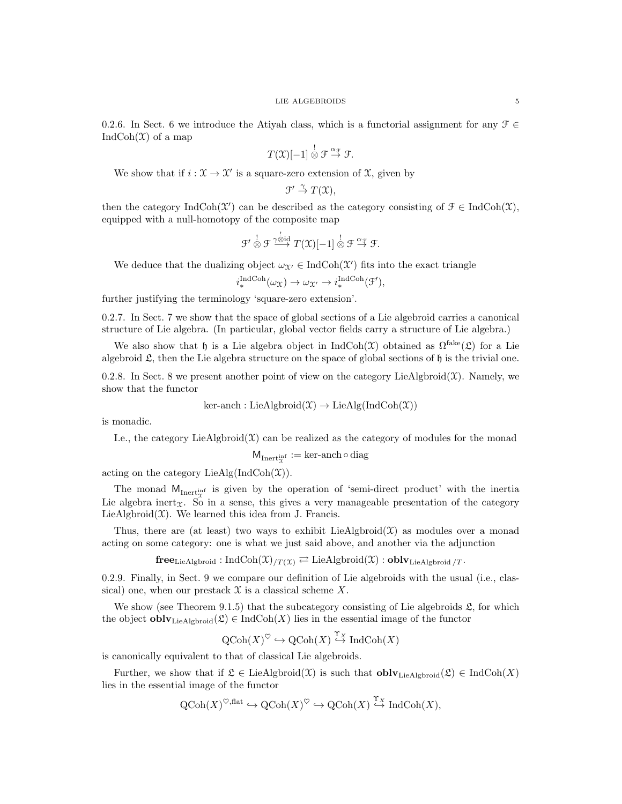0.2.6. In Sect. 6 we introduce the Atiyah class, which is a functorial assignment for any  $\mathcal{F} \in$ Ind $\text{Coh}(\mathfrak{X})$  of a map

$$
T(\mathfrak{X})[-1] \overset{!}{\otimes} \mathfrak{F} \overset{\alpha_{\mathfrak{F}}}{\to} \mathfrak{F}.
$$

We show that if  $i : \mathfrak{X} \to \mathfrak{X}'$  is a square-zero extension of  $\mathfrak{X}$ , given by

$$
\mathfrak{F}' \stackrel{\gamma}{\to} T(\mathfrak{X}),
$$

then the category IndCoh( $\mathfrak{X}'$ ) can be described as the category consisting of  $\mathfrak{F} \in \text{IndCoh}(\mathfrak{X})$ , equipped with a null-homotopy of the composite map

$$
\mathcal{F}' \overset{!}{\otimes} \mathcal{F} \overset{\gamma \overset{!}{\otimes} \mathrm{id}}{\longrightarrow} T(\mathfrak{X})[-1] \overset{!}{\otimes} \mathcal{F} \overset{\alpha_{\mathcal{F}}}{\rightarrow} \mathcal{F}.
$$

We deduce that the dualizing object  $\omega_{\mathcal{X}'} \in \text{IndCoh}(\mathcal{X}')$  fits into the exact triangle

$$
i^{\text{IndCoh}}_*(\omega_{\mathfrak{X}}) \to \omega_{\mathfrak{X}'} \to i^{\text{IndCoh}}_*(\mathfrak{F}'),
$$

further justifying the terminology 'square-zero extension'.

0.2.7. In Sect. 7 we show that the space of global sections of a Lie algebroid carries a canonical structure of Lie algebra. (In particular, global vector fields carry a structure of Lie algebra.)

We also show that h is a Lie algebra object in  $\text{IndCoh}(\mathfrak{X})$  obtained as  $\Omega^{\text{fake}}(\mathfrak{L})$  for a Lie algebroid  $\mathfrak{L}$ , then the Lie algebra structure on the space of global sections of  $\mathfrak h$  is the trivial one.

0.2.8. In Sect. 8 we present another point of view on the category LieAlgbroid $(\mathfrak{X})$ . Namely, we show that the functor

ker-anch : LieAlgbroid(
$$
\mathfrak{X}
$$
)  $\rightarrow$  LieAlg(IndCoh( $\mathfrak{X}$ ))

is monadic.

I.e., the category LieAlgbroid $(\mathfrak{X})$  can be realized as the category of modules for the monad

$$
\mathsf{M}_{\mathrm{Inert}^\mathrm{inf}_\mathfrak{X}}:=\ker\text{-}\mathrm{anch}\circ\mathrm{diag}
$$

acting on the category  $\text{LieAlg}(\text{IndCoh}(\mathfrak{X}))$ .

The monad  $M_{\text{Inert}}$  is given by the operation of 'semi-direct product' with the inertia Lie algebra inert<sub>x</sub>. So in a sense, this gives a very manageable presentation of the category LieAlgbroid $(\mathfrak{X})$ . We learned this idea from J. Francis.

Thus, there are (at least) two ways to exhibit  $LieAlgbroid(\mathcal{X})$  as modules over a monad acting on some category: one is what we just said above, and another via the adjunction

 ${\bf free}_{\rm LieAlgbroid}: \rm IndCoh(\mathfrak{X})_{/T(\mathfrak{X})} \rightleftarrows \rm LieAlgbroid(\mathfrak{X}): \bf oblv_{\rm LieAlgbroid/T}.$ 

0.2.9. Finally, in Sect. 9 we compare our definition of Lie algebroids with the usual (i.e., classical) one, when our prestack  $\mathfrak X$  is a classical scheme X.

We show (see Theorem 9.1.5) that the subcategory consisting of Lie algebroids  $\mathfrak{L}$ , for which the object  $\textbf{oblv}_{\text{LieAlgbroid}}(\mathfrak{L}) \in \text{IndCoh}(X)$  lies in the essential image of the functor

$$
QCoh(X)
$$
 <sup>$\heartsuit$</sup>   $\hookrightarrow QCoh(X)$  <sup>$\xrightarrow{\Upsilon_X}$</sup>  IndCoh(X)

is canonically equivalent to that of classical Lie algebroids.

Further, we show that if  $\mathfrak{L} \in \text{LieAlgbroid}(\mathfrak{X})$  is such that  $\textbf{oblv}_{\text{LieAlgbroid}}(\mathfrak{L}) \in \text{IndCoh}(X)$ lies in the essential image of the functor

$$
Q\mathrm{Coh}(X)^{\heartsuit,\mathrm{flat}} \hookrightarrow Q\mathrm{Coh}(X)^{\heartsuit} \hookrightarrow Q\mathrm{Coh}(X) \stackrel{\Upsilon_X}{\hookrightarrow} \mathrm{IndCoh}(X),
$$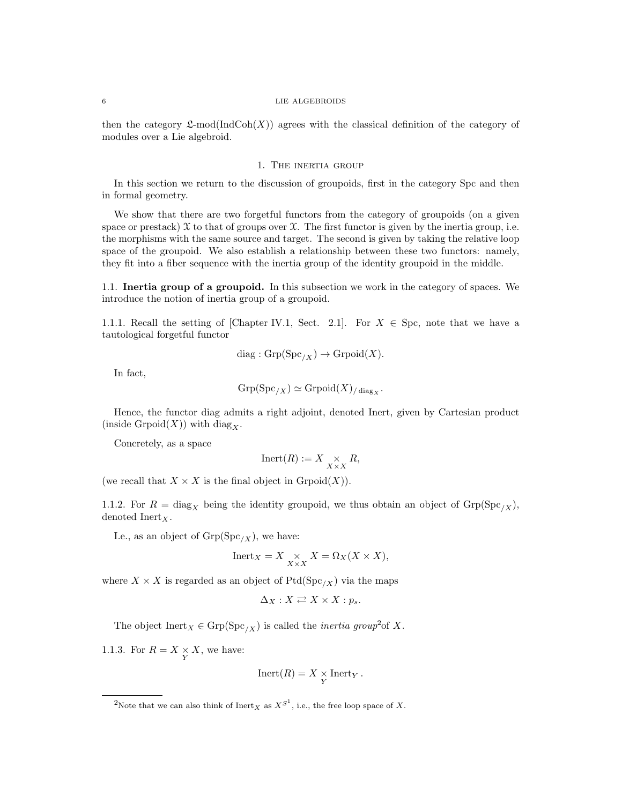then the category  $\mathfrak{L}\text{-mod}(\text{IndCoh}(X))$  agrees with the classical definition of the category of modules over a Lie algebroid.

### 1. The inertia group

In this section we return to the discussion of groupoids, first in the category Spc and then in formal geometry.

We show that there are two forgetful functors from the category of groupoids (on a given space or prestack)  $\mathfrak X$  to that of groups over  $\mathfrak X$ . The first functor is given by the inertia group, i.e. the morphisms with the same source and target. The second is given by taking the relative loop space of the groupoid. We also establish a relationship between these two functors: namely, they fit into a fiber sequence with the inertia group of the identity groupoid in the middle.

1.1. Inertia group of a groupoid. In this subsection we work in the category of spaces. We introduce the notion of inertia group of a groupoid.

1.1.1. Recall the setting of [Chapter IV.1, Sect. 2.1]. For  $X \in Spc$ , note that we have a tautological forgetful functor

$$
diag: \mathrm{Grp}(\mathrm{Spc}_{/X}) \to \mathrm{Grpoid}(X).
$$

In fact,

$$
\operatorname{Grp}(\operatorname{Spc}_{/X}) \simeq \operatorname{Grpoid}(X)_{/\operatorname{diag}_X}.
$$

Hence, the functor diag admits a right adjoint, denoted Inert, given by Cartesian product (inside Grpoid $(X)$ ) with diag<sub>x</sub>.

Concretely, as a space

$$
\mathrm{Inert}(R):=X\underset{X\times X}{\times}R,
$$

(we recall that  $X \times X$  is the final object in  $\text{Gropoid}(X)$ ).

1.1.2. For  $R = \text{diag}_X$  being the identity groupoid, we thus obtain an object of  $\text{Grp}(Spc_{/X}),$ denoted  $\text{Inert}_X$ .

I.e., as an object of  $\mathrm{Grp}( \mathrm{Spc}_{/X}),$  we have:

$$
Inert_X = X \underset{X \times X}{\times} X = \Omega_X(X \times X),
$$

where  $X \times X$  is regarded as an object of Ptd(Spc<sub>/X</sub>) via the maps

$$
\Delta_X: X \rightleftarrows X \times X : p_s.
$$

The object  $\text{Inert}_X \in \text{Grp}(\text{Spc}_{/X})$  is called the *inertia group*<sup>2</sup> of X.

1.1.3. For  $R = X \underset{Y}{\times} X$ , we have:

$$
Inert(R) = X \underset{Y}{\times} Inert_Y.
$$

<sup>&</sup>lt;sup>2</sup>Note that we can also think of  $\text{Inert}_X$  as  $X^{S^1}$ , i.e., the free loop space of X.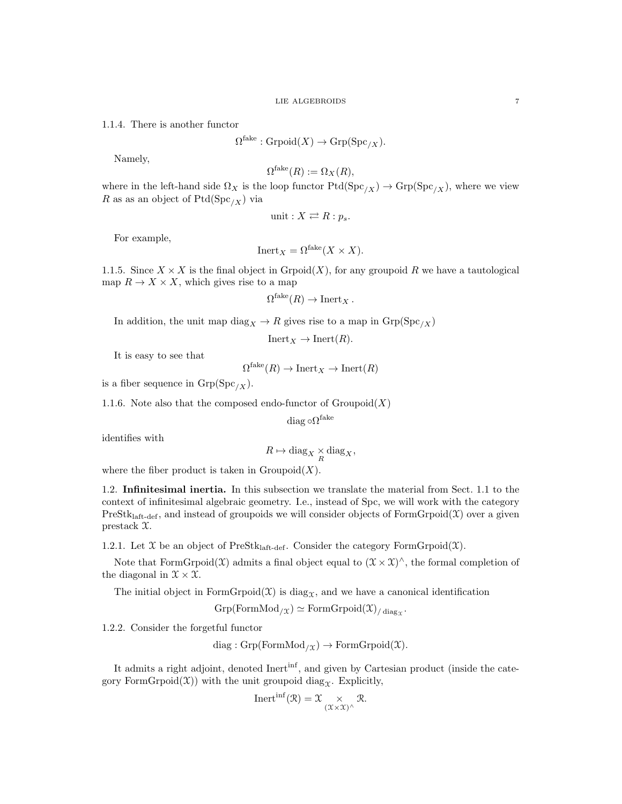1.1.4. There is another functor

 $\Omega^{\text{fake}} : \text{Grpoid}(X) \to \text{Grp}(\text{Spc}_{/X}).$ 

Namely,

$$
\Omega^{\text{fake}}(R) := \Omega_X(R),
$$

where in the left-hand side  $\Omega_X$  is the loop functor  $Ptd(Spc_{/X}) \to \text{Grp}(Spc_{/X})$ , where we view R as as an object of  $Ptd(Spc_{/X})$  via

$$
unit: X \rightleftarrows R : p_s.
$$

For example,

$$
Inert_X = \Omega^{fake}(X \times X).
$$

1.1.5. Since  $X \times X$  is the final object in Grpoid(X), for any groupoid R we have a tautological map  $R \to X \times X$ , which gives rise to a map

$$
\Omega^{\text{fake}}(R) \to \text{Inert}_X \, .
$$

In addition, the unit map  $\text{diag}_X \to R$  gives rise to a map in  $\text{Grp}(\text{Spc}_{/X})$ 

 $Inert_X \to Inert(R).$ 

It is easy to see that

 $\Omega^{\text{fake}}(R) \to \text{Inert}_X \to \text{Inert}(R)$ 

is a fiber sequence in  $\mathrm{Grp}( \mathrm{Spc}_{/X}).$ 

1.1.6. Note also that the composed endo-functor of  $Groupoid(X)$ 

 $\mathrm{diag}\,\circ\!\Omega^{\mathrm{fake}}$ 

identifies with

$$
R \mapsto \text{diag}_X \underset{R}{\times} \text{diag}_X,
$$

where the fiber product is taken in  $Groupoid(X)$ .

1.2. Infinitesimal inertia. In this subsection we translate the material from Sect. 1.1 to the context of infinitesimal algebraic geometry. I.e., instead of Spc, we will work with the category  $PreStk<sub>laff-def</sub>$ , and instead of groupoids we will consider objects of FormGrpoid $(\mathfrak{X})$  over a given prestack X.

1.2.1. Let  $\mathfrak X$  be an object of PreStk<sub>laft-def</sub>. Consider the category FormGrpoid( $\mathfrak X$ ).

Note that FormGrpoid $(\mathfrak{X})$  admits a final object equal to  $(\mathfrak{X} \times \mathfrak{X})^{\wedge}$ , the formal completion of the diagonal in  $\mathfrak{X} \times \mathfrak{X}$ .

The initial object in FormGrpoid $(\mathfrak{X})$  is diag<sub>x</sub>, and we have a canonical identification

$$
\mathrm{Grp}(\mathrm{FormMod}_{/\mathfrak{X}})\simeq \mathrm{FormGrpoid}(\mathfrak{X})_{/\operatorname{diag}_{\mathfrak{X}}}.
$$

1.2.2. Consider the forgetful functor

diag :  $Grp(FormMod<sub>/X</sub>) \to FormGrpoid(X).$ 

It admits a right adjoint, denoted Inert<sup>inf</sup>, and given by Cartesian product (inside the category FormGrpoid $(\mathfrak{X})$  with the unit groupoid diag<sub>X</sub>. Explicitly,

Inert<sup>inf</sup>
$$
(\mathfrak{R}) = \mathfrak{X} \underset{(\mathfrak{X} \times \mathfrak{X})^{\wedge}}{\times} \mathfrak{R}.
$$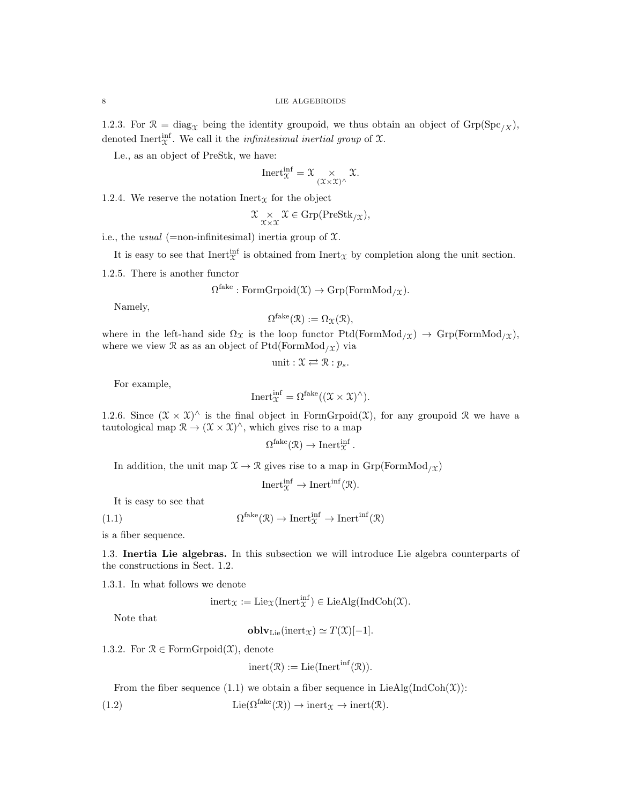1.2.3. For  $\mathcal{R} = \text{diag}_{\mathcal{X}}$  being the identity groupoid, we thus obtain an object of  $\text{Grp}(Spc_{/X}),$ denoted Inert<sup>inf</sup>. We call it the *infinitesimal inertial group* of  $\mathfrak{X}$ .

I.e., as an object of PreStk, we have:

$$
\\Inert_{\mathfrak{X}}^{\inf} = \mathfrak{X} \underset{(\mathfrak{X} \times \mathfrak{X})^{\wedge}}{\times} \mathfrak{X}.
$$

1.2.4. We reserve the notation  $\text{Inert}_\mathfrak{X}$  for the object

$$
\mathfrak{X} \underset{\mathfrak{X} \times \mathfrak{X}}{\times} \mathfrak{X} \in \mathrm{Grp}(\mathrm{PreStk}_{/\mathfrak{X}}),
$$

i.e., the *usual* (=non-infinitesimal) inertia group of  $\mathfrak{X}$ .

It is easy to see that  $\text{Inert}_{\mathfrak{X}}^{\text{inf}}$  is obtained from  $\text{Inert}_{\mathfrak{X}}$  by completion along the unit section.

1.2.5. There is another functor

$$
\Omega^{\text{fake}} : \text{FormGrpoid}(\mathfrak{X}) \to \text{Grp}(\text{FormMod}_{/\mathfrak{X}}).
$$

Namely,

$$
\Omega^{\text{fake}}(\mathcal{R}) := \Omega_{\mathcal{X}}(\mathcal{R}),
$$

where in the left-hand side  $\Omega_{\mathfrak{X}}$  is the loop functor Ptd(FormMod<sub>/X</sub>)  $\rightarrow$  Grp(FormMod<sub>/X</sub>), where we view  $\mathcal R$  as as an object of Ptd(FormMod<sub>/X</sub>) via

unit : 
$$
\mathfrak{X} \rightleftarrows \mathfrak{R} : p_s
$$
.

For example,

Inert<sup>inf</sup><sub>$$
\mathcal{X}
$$</sub> =  $\Omega^{\text{fake}}((\mathcal{X} \times \mathcal{X})^{\wedge}).$ 

1.2.6. Since  $(\mathfrak{X} \times \mathfrak{X})^{\wedge}$  is the final object in FormGrpoid( $\mathfrak{X}$ ), for any groupoid  $\mathfrak{R}$  we have a tautological map  $\mathcal{R} \to (\mathcal{X} \times \mathcal{X})^{\wedge}$ , which gives rise to a map

$$
\Omega^{\text{fake}}(\mathfrak{R}) \to \text{Inert}_{\mathfrak{X}}^{\text{inf}}.
$$

In addition, the unit map  $\mathfrak{X} \to \mathfrak{R}$  gives rise to a map in  $\mathrm{Grp}(\mathrm{FormMod}_{/\mathfrak{X}})$ 

Inert $\mathop{\rm inf}^{\inf}$   $\to$  Inert<sup>inf</sup>( $\mathcal{R}$ ).

It is easy to see that

(1.1)  $\Omega^{\text{fake}}(\mathcal{R}) \to \text{Inert}_{\mathcal{X}}^{\text{inf}} \to \text{Inert}^{\text{inf}}(\mathcal{R})$ 

is a fiber sequence.

1.3. Inertia Lie algebras. In this subsection we will introduce Lie algebra counterparts of the constructions in Sect. 1.2.

1.3.1. In what follows we denote

 $\text{inert}_{\mathfrak{X}} := \text{Lie}_{\mathfrak{X}}(\text{Inert}_{\mathfrak{X}}^{\text{inf}}) \in \text{LieAlg}(\text{IndCoh}(\mathfrak{X}).$ 

Note that

**oblv**<sub>Lie</sub>(inert
$$
\chi
$$
)  $\simeq$   $T(\mathfrak{X})[-1]$ .

1.3.2. For  $\mathcal{R} \in \mathrm{FormG}{\mathrm{rpoid}}(\mathcal{X})$ , denote

$$
inert(\mathcal{R}) := Lie(Inertinf(\mathcal{R})).
$$

From the fiber sequence (1.1) we obtain a fiber sequence in LieAlg(IndCoh( $\mathfrak{X}$ )):

(1.2)  $\text{Lie}(\Omega^{\text{fake}}(\mathcal{R})) \to \text{inert}_{\mathcal{X}} \to \text{inert}(\mathcal{R}).$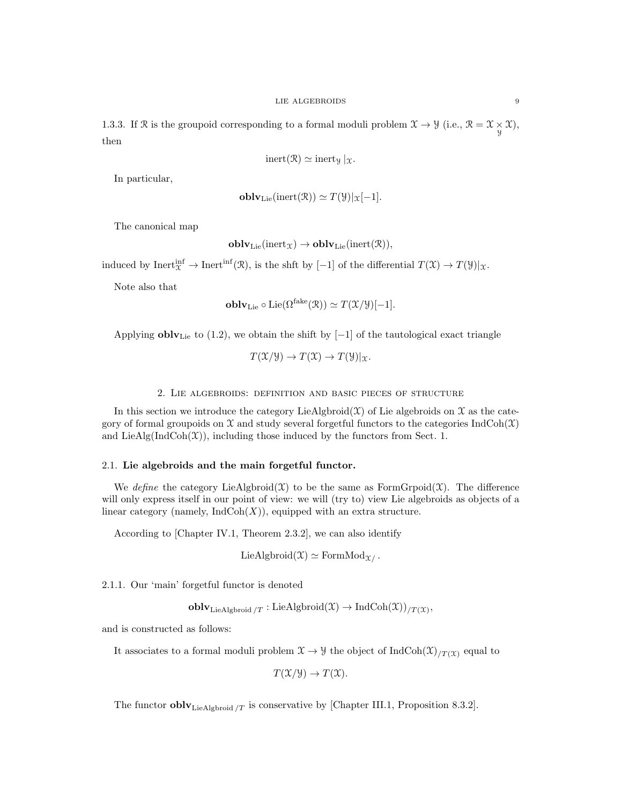1.3.3. If R is the groupoid corresponding to a formal moduli problem  $\mathcal{X} \to \mathcal{Y}$  (i.e.,  $\mathcal{R} = \mathcal{X} \times \mathcal{X}$ ), then

$$
\mathrm{inert}(\mathcal{R})\simeq \mathrm{inert}_{\mathcal{Y}}\,|_{\mathcal{X}}.
$$

In particular,

$$
\mathbf{oblv}_{\mathrm{Lie}}(\mathrm{inert}(\mathcal{R})) \simeq T(\mathcal{Y})|_{\mathcal{X}}[-1].
$$

The canonical map

$$
\mathbf{oblv}_{\mathrm{Lie}}(\mathrm{inert}_{\mathfrak{X}}) \to \mathbf{oblv}_{\mathrm{Lie}}(\mathrm{inert}(\mathfrak{R})),
$$

induced by  $\text{Inert}_{\mathfrak{X}}^{\text{inf}} \to \text{Inert}^{\text{inf}}(\mathfrak{R})$ , is the shft by  $[-1]$  of the differential  $T(\mathfrak{X}) \to T(\mathfrak{Y})|_{\mathfrak{X}}$ .

Note also that

$$
\mathbf{oblv}_{\mathrm{Lie}} \circ \mathrm{Lie}(\Omega^{\mathrm{fake}}(\mathfrak{R})) \simeq T(\mathfrak{X}/\mathfrak{Y})[-1].
$$

Applying  $\textbf{oblv}_{\text{Lie}}$  to (1.2), we obtain the shift by [-1] of the tautological exact triangle

$$
T(\mathfrak{X}/\mathfrak{Y}) \to T(\mathfrak{X}) \to T(\mathfrak{Y})|_{\mathfrak{X}}.
$$

### 2. Lie algebroids: definition and basic pieces of structure

In this section we introduce the category LieAlgbroid( $X$ ) of Lie algebroids on  $X$  as the category of formal groupoids on  $\mathfrak X$  and study several forgetful functors to the categories IndCoh( $\mathfrak X$ ) and LieAlg( $IndCoh(\mathcal{X})$ ), including those induced by the functors from Sect. 1.

# 2.1. Lie algebroids and the main forgetful functor.

We define the category LieAlgbroid(X) to be the same as FormGrpoid(X). The difference will only express itself in our point of view: we will (try to) view Lie algebroids as objects of a linear category (namely,  $\text{IndCoh}(X)$ ), equipped with an extra structure.

According to [Chapter IV.1, Theorem 2.3.2], we can also identify

LieAlgbroid( $\mathfrak{X}$ )  $\simeq$  FormMod<sub> $\mathfrak{X}$ </sub>.

2.1.1. Our 'main' forgetful functor is denoted

 $\textbf{oblv}_{\text{LieAlgbroid}/T}:\text{LieAlgbroid}(\mathfrak{X})\to \text{IndCoh}(\mathfrak{X}))_{/T(\mathfrak{X})},$ 

and is constructed as follows:

It associates to a formal moduli problem  $\mathfrak{X} \to \mathfrak{Y}$  the object of IndCoh $(\mathfrak{X})_{T(\mathfrak{X})}$  equal to

$$
T(\mathfrak{X}/\mathfrak{Y}) \to T(\mathfrak{X}).
$$

The functor **obly**<sub>LieAlgbroid</sub>  $\pi$  is conservative by [Chapter III.1, Proposition 8.3.2].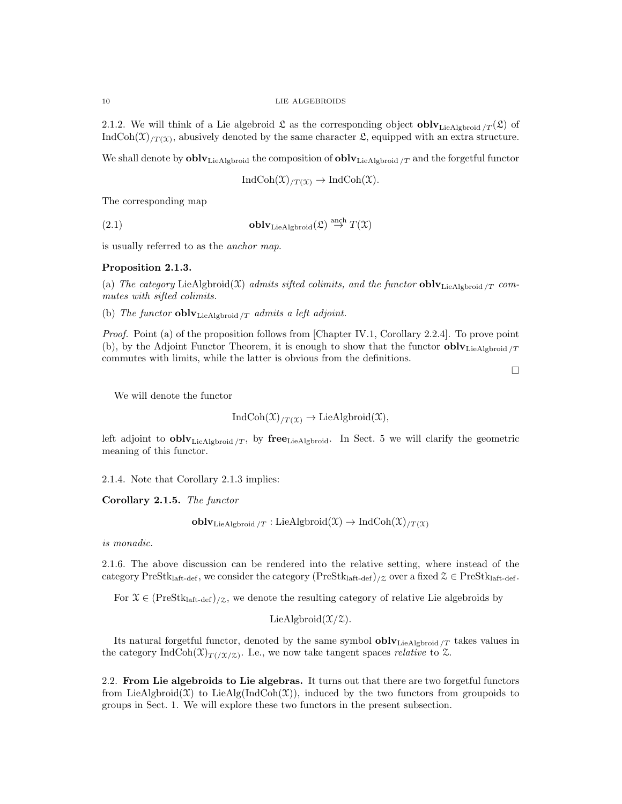2.1.2. We will think of a Lie algebroid  $\mathfrak L$  as the corresponding object **obly**<sub>LieAlgbroid /T</sub>( $\mathfrak L$ ) of IndCoh $(\mathfrak{X})_{/T(\mathfrak{X})}$ , abusively denoted by the same character  $\mathfrak{L}$ , equipped with an extra structure.

We shall denote by  $\textbf{oblv}_{\text{LieAlgbroid}}$  the composition of  $\textbf{oblv}_{\text{LieAlgbroid}}/T$  and the forgetful functor

 $IndCoh(\mathfrak{X})_{/T(\mathfrak{X})} \to IndCoh(\mathfrak{X}).$ 

The corresponding map

(2.1) **obly** Lie Algbroid  $(\mathfrak{L}) \stackrel{\text{anch}}{\rightarrow} T(\mathfrak{X})$ 

is usually referred to as the anchor map.

# Proposition 2.1.3.

(a) The category LieAlgbroid(X) admits sifted colimits, and the functor  $oblv_{\text{LieAlgbroid}/T}$  commutes with sifted colimits.

(b) The functor  $oblv_{\text{LieAlgbroid}/T}$  admits a left adjoint.

Proof. Point (a) of the proposition follows from [Chapter IV.1, Corollary 2.2.4]. To prove point (b), by the Adjoint Functor Theorem, it is enough to show that the functor  $oblv<sub>LieAlgbroid</sub>/T$ commutes with limits, while the latter is obvious from the definitions.

 $\Box$ 

We will denote the functor

 $IndCoh(\mathfrak{X})_{/T(\mathfrak{X})} \to LieAlgbroid(\mathfrak{X}),$ 

left adjoint to **obly**<sub>LieAlgbroid</sub>  $\gamma$ , by **free**<sub>LieAlgbroid</sub>. In Sect. 5 we will clarify the geometric meaning of this functor.

2.1.4. Note that Corollary 2.1.3 implies:

Corollary 2.1.5. The functor

 $\textbf{oblv}_{\text{LieAlgbroid}}/T : \text{LieAlgbroid}(\mathfrak{X}) \to \text{IndCoh}(\mathfrak{X})/T(\mathfrak{X})$ 

is monadic.

2.1.6. The above discussion can be rendered into the relative setting, where instead of the category PreStk<sub>laft-def</sub>, we consider the category  $(PreStk<sub>laff-def</sub>)_{/\mathcal{Z}}$  over a fixed  $\mathcal{Z} \in PreStk<sub>laff-def</sub>$ .

For  $\mathcal{X} \in (\text{PreStk}_{\text{laff-def}})_{\mathcal{Z}}$ , we denote the resulting category of relative Lie algebroids by

LieAlgbroid $(\mathcal{X}/\mathcal{Z})$ .

Its natural forgetful functor, denoted by the same symbol  $oblv_{\text{LieAlgbroid}/T}$  takes values in the category IndCoh $(\mathfrak{X})_{T/(\mathfrak{X}/\mathfrak{X})}$ . I.e., we now take tangent spaces relative to  $\mathfrak{X}$ .

2.2. From Lie algebroids to Lie algebras. It turns out that there are two forgetful functors from LieAlgbroid(X) to LieAlg(IndCoh(X)), induced by the two functors from groupoids to groups in Sect. 1. We will explore these two functors in the present subsection.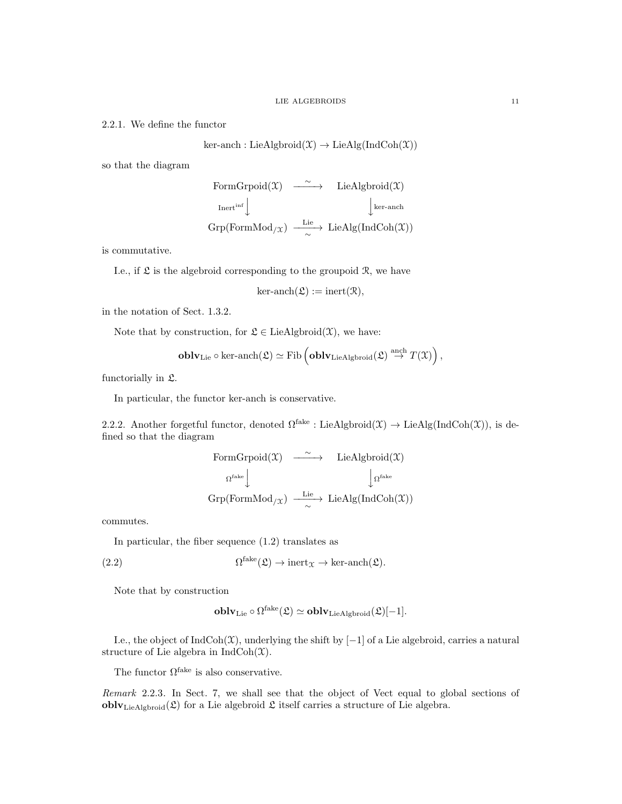2.2.1. We define the functor

$$
ker-anch: LieAlgbroid(\mathfrak{X}) \to LieAlg(IndCoh(\mathfrak{X}))
$$

so that the diagram

FormGrpoid $(\mathfrak{X}) \longrightarrow$  LieAlgbroid $(\mathfrak{X})$  $\text{Inert}^{\text{inf}}\bigg\downarrow$  $\int$  ker-anch  $\mathrm{Grp}(\mathrm{FormMod}_{/\mathfrak{X}}) \xrightarrow[\sim]{\mathrm{Lie}} \mathrm{LieAlg}(\mathrm{IndCoh}(\mathfrak{X}))$ 

is commutative.

I.e., if  $\mathfrak L$  is the algebroid corresponding to the groupoid  $\mathfrak R$ , we have

$$
\text{ker-anch}(\mathfrak{L}) := \text{inert}(\mathfrak{R}),
$$

in the notation of Sect. 1.3.2.

Note that by construction, for  $\mathfrak{L} \in \mathrm{LieAlgbroid}(\mathfrak{X})$ , we have:

$$
\mathbf{oblv}_{\mathrm{Lie}}\circ\ker\text{-}\mathrm{anch}(\mathfrak{L})\simeq\mathrm{Fib}\left(\mathbf{oblv}_{\mathrm{LieAlgbroid}}(\mathfrak{L})\stackrel{\text{anch}}{\rightarrow}T(\mathfrak{X})\right),
$$

functorially in L.

In particular, the functor ker-anch is conservative.

2.2.2. Another forgetful functor, denoted  $\Omega^{\text{fake}}$ : LieAlgbroid $(\mathfrak{X}) \to \text{LieAlg}(\text{IndCoh}(\mathfrak{X}))$ , is defined so that the diagram

FormGrpoid(
$$
\mathfrak{X}
$$
)  $\xrightarrow{\sim}$  LieAlgbroid( $\mathfrak{X}$ )  
\n $\Omega^{\text{fake}}$  $\downarrow \Omega^{\text{fake}}$   
\n $\text{Grp}(\text{FormMod}_{/\mathfrak{X}}) \xrightarrow{\text{Lie}} \text{LieAlg}(\text{IndCoh}(\mathfrak{X}))$ 

commutes.

In particular, the fiber sequence (1.2) translates as

(2.2) 
$$
\Omega^{\text{fake}}(\mathfrak{L}) \to \text{inert}_{\mathfrak{X}} \to \text{ker-anch}(\mathfrak{L}).
$$

Note that by construction

$$
\mathbf{oblv}_{\mathrm{Lie}} \circ \Omega^{\mathrm{fake}}(\mathfrak{L}) \simeq \mathbf{oblv}_{\mathrm{LieAlgbroid}}(\mathfrak{L})[-1].
$$

I.e., the object of IndCoh( $\mathfrak{X}$ ), underlying the shift by [−1] of a Lie algebroid, carries a natural structure of Lie algebra in  $IndCoh(\mathfrak{X})$ .

The functor  $\Omega^{\text{fake}}$  is also conservative.

Remark 2.2.3. In Sect. 7, we shall see that the object of Vect equal to global sections of **obly**<sub>LieAlgbroid</sub> $(\mathfrak{L})$  for a Lie algebroid  $\mathfrak{L}$  itself carries a structure of Lie algebra.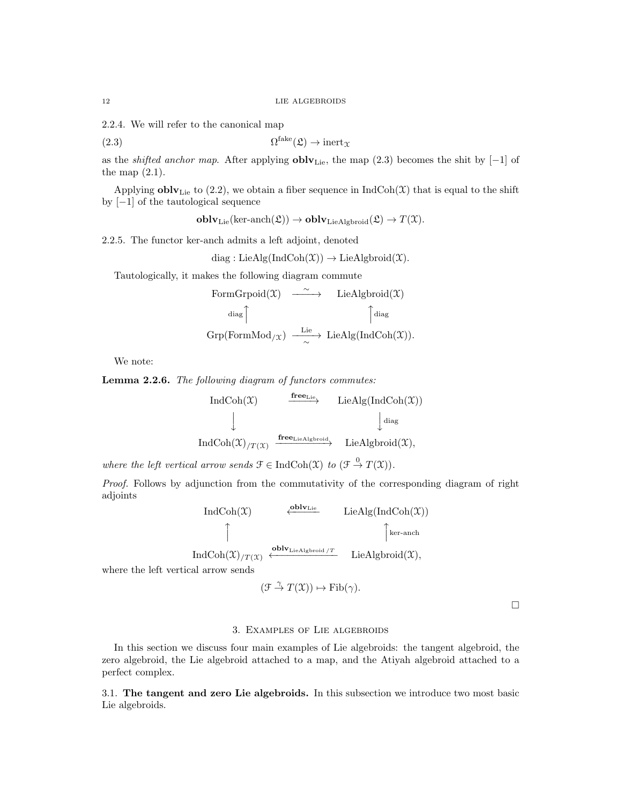2.2.4. We will refer to the canonical map

(2.3) 
$$
\Omega^{\text{fake}}(\mathfrak{L}) \to \text{inert}_{\mathfrak{X}}
$$

as the *shifted anchor map*. After applying  $oblv<sub>Lie</sub>$ , the map (2.3) becomes the shit by [−1] of the map  $(2.1)$ .

Applying  $\text{oblv}_{\text{Lie}}$  to (2.2), we obtain a fiber sequence in  $\text{IndCoh}(\mathfrak{X})$  that is equal to the shift by [−1] of the tautological sequence

$$
oblvLie(ker-anch( $\mathfrak{L}$ ))  $\rightarrow$ **oblv**<sub>LieAlgbroid</sub>( $\mathfrak{L}$ )  $\rightarrow$   $T(\mathfrak{X})$ .
$$

2.2.5. The functor ker-anch admits a left adjoint, denoted

$$
diag: LieAlg(IndCoh(\mathfrak{X})) \to LieAlgbroid(\mathfrak{X}).
$$

Tautologically, it makes the following diagram commute

FormGrpoid(
$$
\mathfrak{X}
$$
)  $\xrightarrow{\sim}$  LieAlgbroid( $\mathfrak{X}$ )  
\n $\text{diag}$  $\uparrow$   
\n $\text{Grp}(FormMod_{/\mathfrak{X}}) \xrightarrow{\text{Lie}}$  LieAlg(IndCoh( $\mathfrak{X}$ )).

We note:

Lemma 2.2.6. The following diagram of functors commutes:

$$
\begin{array}{ccc}\n\text{IndCoh}(\mathfrak{X}) & \xrightarrow{\mathbf{free}_{\text{Lie}}} & \text{LieAlg}(\text{IndCoh}(\mathfrak{X})) \\
\downarrow & & \downarrow^{\text{diag}} \\
\text{IndCoh}(\mathfrak{X})_{/T(\mathfrak{X})} & \xrightarrow{\mathbf{free}_{\text{LieAlgbroid}}} & \text{LieAlgbroid}(\mathfrak{X}),\n\end{array}
$$

where the left vertical arrow sends  $\mathcal{F} \in \text{IndCoh}(\mathcal{X})$  to  $(\mathcal{F} \stackrel{0}{\to} T(\mathcal{X}))$ .

Proof. Follows by adjunction from the commutativity of the corresponding diagram of right adjoints

$$
\left.\n\begin{array}{cc}\n\text{IndCoh}(\mathfrak{X}) & \xleftarrow{\text{oblv}_{\text{Lie}}} & \text{LieAlg}(\text{IndCoh}(\mathfrak{X})) \\
\uparrow & & \uparrow \\
\text{Rer-anch} & & \text{oblv}_{\text{LieAlgbroid}/T} & \text{LieAlghriid}(\mathfrak{X})\n\end{array}\n\right\}
$$

IndCoh $(\mathfrak{X})_{/T}(\mathfrak{X}) \leftarrow$ LieAlgbroid $(\mathcal{X}),$ 

where the left vertical arrow sends

$$
(\mathcal{F} \stackrel{\gamma}{\to} T(\mathfrak{X})) \mapsto \mathrm{Fib}(\gamma).
$$

 $\Box$ 

# 3. Examples of Lie algebroids

In this section we discuss four main examples of Lie algebroids: the tangent algebroid, the zero algebroid, the Lie algebroid attached to a map, and the Atiyah algebroid attached to a perfect complex.

3.1. The tangent and zero Lie algebroids. In this subsection we introduce two most basic Lie algebroids.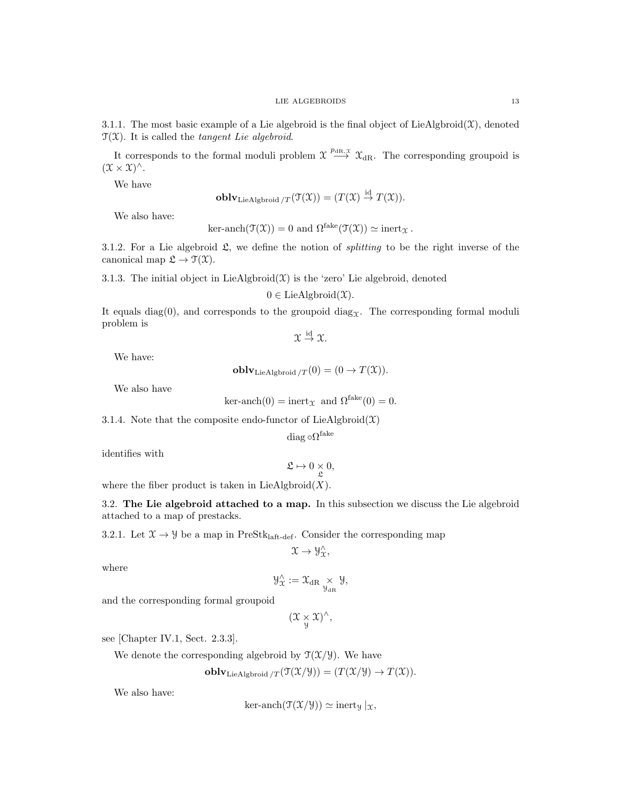3.1.1. The most basic example of a Lie algebroid is the final object of LieAlgbroid $(\mathfrak{X})$ , denoted  $\mathfrak{T}(\mathfrak{X})$ . It is called the *tangent Lie algebroid*.

It corresponds to the formal moduli problem  $\mathfrak{X} \stackrel{p_{\text{dR}},\mathfrak{X}}{\longrightarrow} \mathfrak{X}_{\text{dR}}$ . The corresponding groupoid is  $(\mathfrak{X} \times \mathfrak{X})^{\wedge}.$ 

We have

**oblv**<sub>LieAlgbroid</sub> 
$$
\pi(\mathfrak{T}(\mathfrak{X})) = (T(\mathfrak{X}) \stackrel{\text{id}}{\rightarrow} T(\mathfrak{X})).
$$

We also have:

ker-anch
$$
(\mathfrak{T}(\mathfrak{X})) = 0
$$
 and  $\Omega^{\text{fake}}(\mathfrak{T}(\mathfrak{X})) \simeq \text{inert}_{\mathfrak{X}}$ .

3.1.2. For a Lie algebroid  $\mathfrak{L}$ , we define the notion of *splitting* to be the right inverse of the canonical map  $\mathfrak{L} \to \mathfrak{T}(\mathfrak{X})$ .

3.1.3. The initial object in LieAlgbroid $(\mathfrak{X})$  is the 'zero' Lie algebroid, denoted

$$
0 \in
$$
 LieAlgbroid $(\mathcal{X})$ .

It equals diag(0), and corresponds to the groupoid diag<sub> $\mathfrak{X}$ </sub>. The corresponding formal moduli problem is

 $\mathfrak{X} \stackrel{\text{id}}{\rightarrow} \mathfrak{X}.$ 

We have:

**oblv**<sub>LieAlgbroid</sub> 
$$
\pi(0) = (0 \rightarrow T(\mathfrak{X}))
$$
.

We also have

$$
ker-anch(0) = inert_{\mathcal{X}} \text{ and } \Omega^{fake}(0) = 0.
$$

3.1.4. Note that the composite endo-functor of LieAlgbroid $(\mathfrak{X})$ 

diag o $\Omega^{\mathrm{fake}}$ 

identifies with

$$
\mathfrak{L} \mapsto 0 \underset{\mathfrak{L}}{\times} 0,
$$

where the fiber product is taken in  $\text{LieAlgbroid}(X)$ .

3.2. The Lie algebroid attached to a map. In this subsection we discuss the Lie algebroid attached to a map of prestacks.

3.2.1. Let  $\mathfrak{X} \to \mathfrak{Y}$  be a map in PreStk<sub>laft-def</sub>. Consider the corresponding map

$$
\mathfrak{X}\to\mathcal{Y}_{\mathfrak{X}}^{\wedge},
$$

where

$$
\mathcal{Y}_{\mathfrak{X}}^{\wedge}:=\mathfrak{X}_{\mathrm{dR}}\underset{\mathcal{Y}_{\mathrm{dR}}}{\times}\mathcal{Y},
$$

and the corresponding formal groupoid

 $(\mathfrak{X}\underset{\mathfrak{Y}}{\times}\mathfrak{X})^{\wedge},$ 

see [Chapter IV.1, Sect. 2.3.3].

We denote the corresponding algebroid by  $\mathcal{T}(\mathcal{X}/\mathcal{Y})$ . We have

**oblv**<sub>LieAlgbroid</sub> 
$$
\pi(\mathfrak{T}(\mathfrak{X}/\mathfrak{Y})) = (\pi(\mathfrak{X}/\mathfrak{Y}) \to \pi(\mathfrak{X})).
$$

We also have:

$$
\text{ker-anch}(\mathfrak{T}(\mathfrak{X}/\mathcal{Y})) \simeq \text{inert}_{\mathcal{Y}}|_{\mathfrak{X}},
$$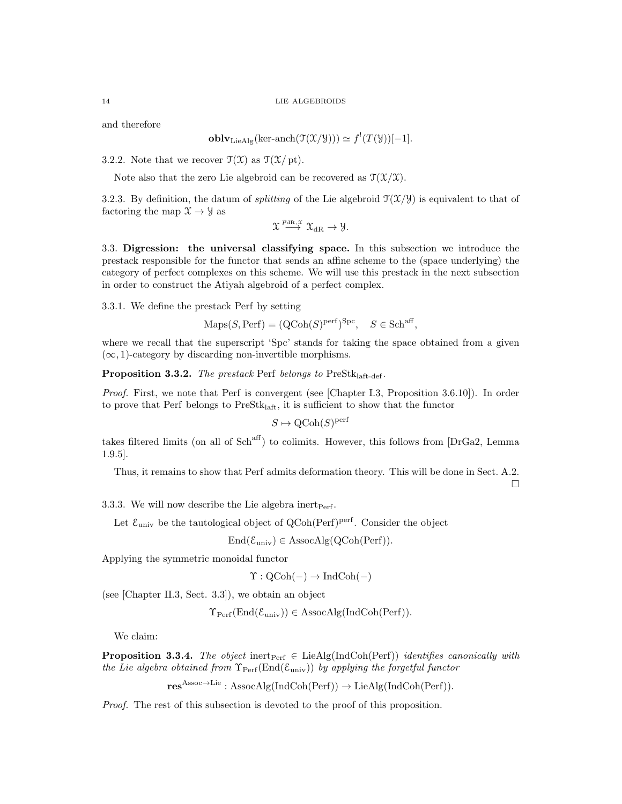and therefore

$$
\mathbf{oblv}_{\mathrm{LieAlg}}(\mathrm{ker}\text{-}\mathrm{anch}(\mathfrak{T}(\mathfrak{X}/\mathcal{Y}))) \simeq f^!(T(\mathcal{Y}))[-1].
$$

3.2.2. Note that we recover  $\mathfrak{T}(\mathfrak{X})$  as  $\mathfrak{T}(\mathfrak{X}/\mathrm{pt})$ .

Note also that the zero Lie algebroid can be recovered as  $\mathcal{T}(\mathcal{X}/\mathcal{X})$ .

3.2.3. By definition, the datum of *splitting* of the Lie algebroid  $\mathcal{T}(\mathcal{X}/\mathcal{Y})$  is equivalent to that of factoring the map  $\mathfrak{X} \rightarrow \mathfrak{Y}$  as

$$
\mathfrak{X} \overset{p_{\mathrm{dR},\mathfrak{X}}}{\longrightarrow} \mathfrak{X}_{\mathrm{dR}} \to \mathcal{Y}.
$$

3.3. Digression: the universal classifying space. In this subsection we introduce the prestack responsible for the functor that sends an affine scheme to the (space underlying) the category of perfect complexes on this scheme. We will use this prestack in the next subsection in order to construct the Atiyah algebroid of a perfect complex.

3.3.1. We define the prestack Perf by setting

 $\text{Maps}(S, \text{Perf}) = (\text{QCoh}(S)^{\text{perf}})^{\text{Spc}}, \quad S \in \text{Sch}^{\text{aff}},$ 

where we recall that the superscript 'Spc' stands for taking the space obtained from a given  $(\infty, 1)$ -category by discarding non-invertible morphisms.

**Proposition 3.3.2.** The prestack Perf belongs to  $PreStk<sub>laff-def</sub>$ .

Proof. First, we note that Perf is convergent (see [Chapter I.3, Proposition 3.6.10]). In order to prove that Perf belongs to  $PreStk<sub>laff</sub>$ , it is sufficient to show that the functor

$$
S \mapsto \text{QCoh}(S)^{\text{perf}}
$$

takes filtered limits (on all of  $Sch<sup>aff</sup>$ ) to colimits. However, this follows from [DrGa2, Lemma 1.9.5].

Thus, it remains to show that Perf admits deformation theory. This will be done in Sect. A.2.

 $\Box$ 

3.3.3. We will now describe the Lie algebra inert  $P_{\text{erf}}$ .

Let  $\mathcal{E}_{\text{univ}}$  be the tautological object of  $Q\text{Coh}(\text{Perf})^{\text{perf}}$ . Consider the object

$$
End(\mathcal{E}_{\text{univ}}) \in Associ\text{AssocAlg}(QCoh(Perf)).
$$

Applying the symmetric monoidal functor

$$
\Upsilon: \mathrm{QCoh}(-) \to \mathrm{IndCoh}(-)
$$

(see [Chapter II.3, Sect. 3.3]), we obtain an object

$$
\Upsilon_{\text{Perf}}(\text{End}(\mathcal{E}_{\text{univ}})) \in \text{AssocAlg}(\text{IndCoh}(\text{Perf})).
$$

We claim:

**Proposition 3.3.4.** The object inert<sub>Perf</sub>  $\in$  LieAlg(IndCoh(Perf)) identifies canonically with the Lie algebra obtained from  $\Upsilon_{\text{Perf}}(\text{End}(\mathcal{E}_{\text{univ}}))$  by applying the forgetful functor

 $res^{Assoc \rightarrow Lie}: AssocAlg(IndCoh(Perf)) \rightarrow LieAlg(IndCoh(Perf)).$ 

Proof. The rest of this subsection is devoted to the proof of this proposition.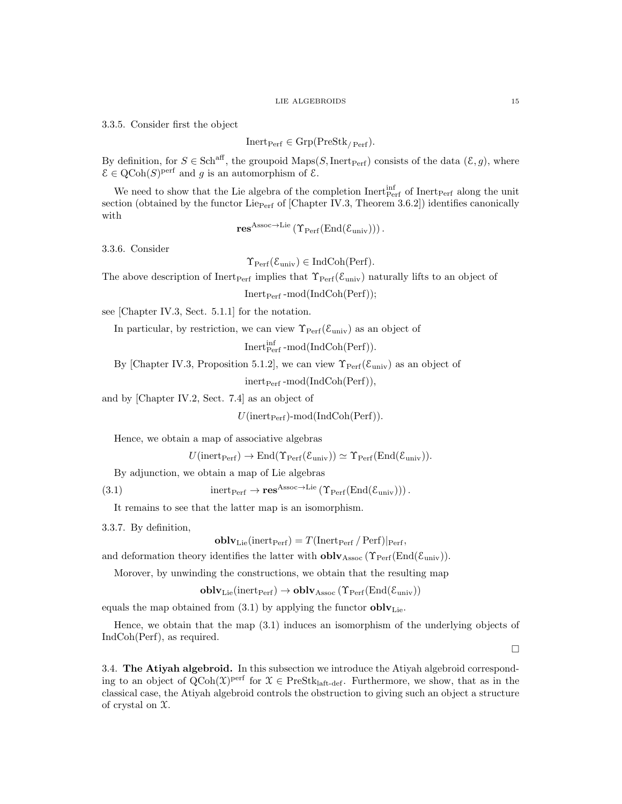3.3.5. Consider first the object

$$
Inert_{\text{Perf}} \in \text{Grp}(\text{PreStk}_{/\text{Perf}}).
$$

By definition, for  $S \in Sch^{aff}$ , the groupoid Maps(S, Inert<sub>Perf</sub>) consists of the data  $(\mathcal{E}, g)$ , where  $\mathcal{E} \in \mathrm{QCoh}(S)$ <sup>perf</sup> and g is an automorphism of  $\mathcal{E}$ .

We need to show that the Lie algebra of the completion  $\text{Inert}_{\text{Perf}}$  of  $\text{Inert}_{\text{Perf}}$  along the unit section (obtained by the functor Lie<sub>Perf</sub> of [Chapter IV.3, Theorem 3.6.2]) identifies canonically with

$$
\mathbf{res}^{Assoc \to \mathrm{Lie}}\left(\Upsilon_{\mathrm{Perf}}(\mathrm{End}(\mathcal{E}_{\mathrm{univ}}))\right).
$$

3.3.6. Consider

 $\Upsilon_{\text{Perf}}(\mathcal{E}_{\text{univ}}) \in \text{IndCoh}(\text{Perf}).$ 

The above description of Inert<sub>Perf</sub> implies that  $\Upsilon_{\text{Perf}}(\mathcal{E}_{\text{univ}})$  naturally lifts to an object of

 $Inert<sub>Perf</sub> -mod(IndCoh(Perf));$ 

see [Chapter IV.3, Sect. 5.1.1] for the notation.

In particular, by restriction, we can view  $\Upsilon_{\text{Perf}}(\mathcal{E}_{\text{univ}})$  as an object of

 $\operatorname{Inert}^{\operatorname{inf}}_{\operatorname{Perf}}\operatorname{-mod}(\operatorname{IndCoh}(\operatorname{Perf})).$ 

By [Chapter IV.3, Proposition 5.1.2], we can view  $\Upsilon_{\text{Perf}}(\mathcal{E}_{\text{univ}})$  as an object of

 $inert<sub>Perf</sub> -mod(IndCoh(Perf)),$ 

and by [Chapter IV.2, Sect. 7.4] as an object of

 $U(\text{inert}_{\text{Perf}})$ -mod $(\text{IndCoh}(\text{Perf}))$ .

Hence, we obtain a map of associative algebras

$$
U(\text{inert}_{\text{Perf}}) \to \text{End}(\Upsilon_{\text{Perf}}(\mathcal{E}_{\text{univ}})) \simeq \Upsilon_{\text{Perf}}(\text{End}(\mathcal{E}_{\text{univ}})).
$$

By adjunction, we obtain a map of Lie algebras

(3.1) inert<sub>Perf</sub>  $\rightarrow$  res<sup>Assoc→Lie</sup> ( $\Upsilon_{\text{Perf}}(\text{End}(\mathcal{E}_{\text{univ}}))$ ).

It remains to see that the latter map is an isomorphism.

3.3.7. By definition,

$$
\mathbf{oblv}_{\mathrm{Lie}}(\mathrm{inert}_{\mathrm{Perf}}) = T(\mathrm{Inert}_{\mathrm{Perf}} / \mathrm{Perf})|_{\mathrm{Perf}},
$$

and deformation theory identifies the latter with  $oblv<sub>Assoc</sub>$  ( $\Upsilon_{\text{Perf}}(\text{End}(\mathcal{E}_{\text{univ}}))$ ).

Morover, by unwinding the constructions, we obtain that the resulting map

$$
\mathbf{oblv}_{\mathrm{Lie}}(\mathrm{inert}_{\mathrm{Perf}}) \to \mathbf{oblv}_{\mathrm{Assoc}}\left(\Upsilon_{\mathrm{Perf}}(\mathrm{End}(\mathcal{E}_{\mathrm{univ}})\right)
$$

equals the map obtained from (3.1) by applying the functor  $\textbf{oblv}_{\text{Lie}}$ .

Hence, we obtain that the map (3.1) induces an isomorphism of the underlying objects of IndCoh(Perf), as required.

 $\Box$ 

3.4. The Atiyah algebroid. In this subsection we introduce the Atiyah algebroid corresponding to an object of  $QCoh(\mathfrak{X})^{perf}$  for  $\mathfrak{X} \in \text{PreStk}_{\text{laff-def}}$ . Furthermore, we show, that as in the classical case, the Atiyah algebroid controls the obstruction to giving such an object a structure of crystal on X.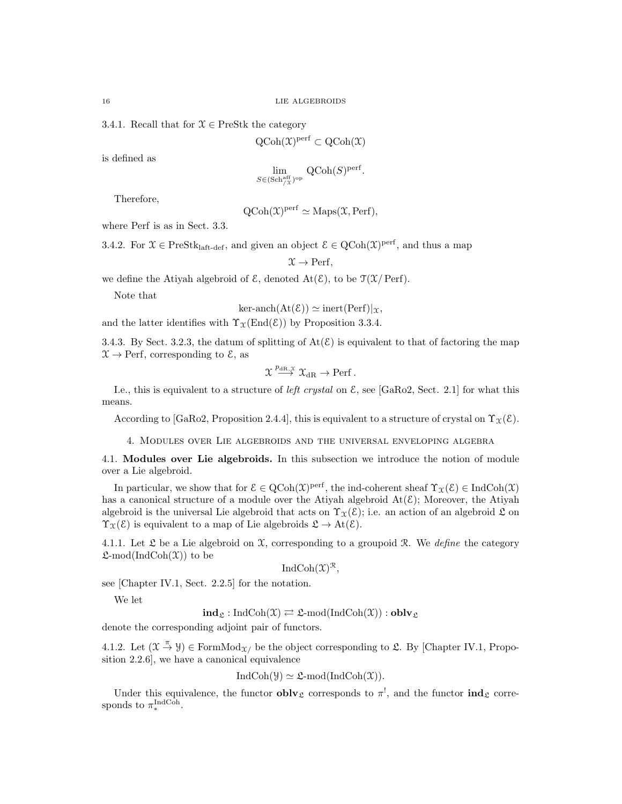3.4.1. Recall that for  $\mathcal{X} \in \text{PreStk}$  the category

$$
QCoh(\mathfrak{X})^{perf} \subset QCoh(\mathfrak{X})
$$

is defined as

$$
\lim_{S \in (\text{Sch}_{/X}^{\text{aff}})^{\text{op}}} \text{QCoh}(S)^{\text{perf}}.
$$

Therefore,

$$
QCoh(\mathfrak{X})perf \simeq Maps(\mathfrak{X},
$$

where Perf is as in Sect. 3.3.

3.4.2. For  $\mathfrak{X} \in \text{PreStk}_{\text{laft-def}}$ , and given an object  $\mathcal{E} \in \text{QCoh}(\mathfrak{X})^{\text{perf}}$ , and thus a map

$$
\mathfrak{X} \to \text{Perf},
$$

we define the Atiyah algebroid of  $\mathcal{E}$ , denoted  $\text{At}(\mathcal{E})$ , to be  $\mathcal{T}(\mathcal{X}/\operatorname{Perf})$ .

Note that

$$
\text{ker-anch}(\text{At}(\mathcal{E})) \simeq \text{inert}(\text{Perf})|_{\mathcal{X}},
$$

and the latter identifies with  $\Upsilon_{\mathfrak{X}}(End(\mathcal{E}))$  by Proposition 3.3.4.

3.4.3. By Sect. 3.2.3, the datum of splitting of  $At(\mathcal{E})$  is equivalent to that of factoring the map  $\mathfrak{X} \rightarrow$  Perf, corresponding to  $\mathfrak{E}$ , as

$$
\mathfrak{X} \overset{p_{\mathrm{dR},\mathfrak{X}}}{\longrightarrow} \mathfrak{X}_{\mathrm{dR}} \to \operatorname{Perf}.
$$

I.e., this is equivalent to a structure of *left crystal* on  $\mathcal{E}$ , see [GaRo2, Sect. 2.1] for what this means.

According to [GaRo2, Proposition 2.4.4], this is equivalent to a structure of crystal on  $\Upsilon_{\mathfrak{X}}(\mathcal{E})$ .

4. Modules over Lie algebroids and the universal enveloping algebra

4.1. Modules over Lie algebroids. In this subsection we introduce the notion of module over a Lie algebroid.

In particular, we show that for  $\mathcal{E} \in \mathrm{QCoh}(\mathfrak{X})^{\mathrm{perf}}$ , the ind-coherent sheaf  $\Upsilon_{\mathfrak{X}}(\mathcal{E}) \in \mathrm{IndCoh}(\mathfrak{X})$ has a canonical structure of a module over the Atiyah algebroid  $\text{At}(\mathcal{E})$ ; Moreover, the Atiyah algebroid is the universal Lie algebroid that acts on  $\Upsilon_{\mathfrak{X}}(\mathcal{E})$ ; i.e. an action of an algebroid  $\mathfrak{L}$  on  $\Upsilon_{\mathfrak{X}}(\mathcal{E})$  is equivalent to a map of Lie algebroids  $\mathfrak{L} \to \text{At}(\mathcal{E})$ .

4.1.1. Let  $\mathfrak L$  be a Lie algebroid on  $\mathfrak X$ , corresponding to a groupoid  $\mathfrak R$ . We define the category  $\mathfrak{L}\text{-mod}(\text{IndCoh}(\mathfrak{X}))$  to be

$$
IndCoh(\mathfrak{X})^{\mathfrak{R}},
$$

see [Chapter IV.1, Sect. 2.2.5] for the notation.

We let

 $\mathbf{ind}_{\mathfrak{L}} : \mathrm{IndCoh}(\mathfrak{X}) \rightleftarrows \mathfrak{L}\text{-mod}(\mathrm{IndCoh}(\mathfrak{X})) : \mathbf{oblv}_{\mathfrak{L}}$ 

denote the corresponding adjoint pair of functors.

4.1.2. Let  $(\mathfrak{X} \stackrel{\pi}{\to} \mathfrak{Y}) \in \mathrm{FormMod}_{\mathfrak{X}}$  be the object corresponding to  $\mathfrak{L}$ . By [Chapter IV.1, Proposition 2.2.6], we have a canonical equivalence

$$
IndCoh(\mathcal{Y}) \simeq \mathfrak{L}\text{-mod}(IndCoh(\mathfrak{X})).
$$

Under this equivalence, the functor  $\textbf{oblv}_{\mathfrak{L}}$  corresponds to  $\pi^!$ , and the functor  $\textbf{ind}_{\mathfrak{L}}$  corresponds to  $\pi_*^{\text{IndCoh}}$ .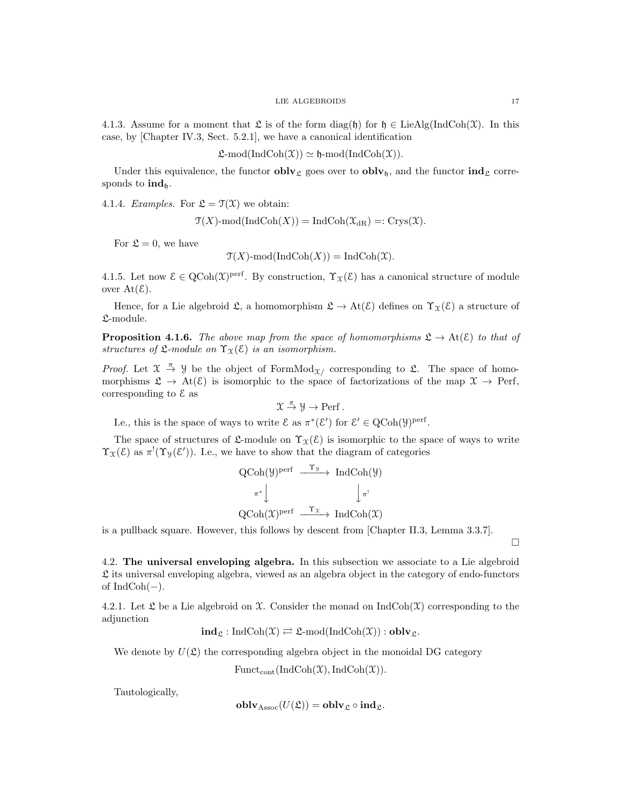4.1.3. Assume for a moment that  $\mathfrak L$  is of the form diag(h) for  $\mathfrak h \in \text{LieAlg}(\text{IndCoh}(\mathfrak X))$ . In this case, by [Chapter IV.3, Sect. 5.2.1], we have a canonical identification

 $\mathfrak{L}\text{-mod}(\text{IndCoh}(\mathfrak{X})) \simeq \mathfrak{h}\text{-mod}(\text{IndCoh}(\mathfrak{X})).$ 

Under this equivalence, the functor  $\textbf{oblv}_{\mathfrak{L}}$  goes over to  $\textbf{oblv}_{\mathfrak{h}}$ , and the functor  $\textbf{ind}_{\mathfrak{L}}$  corresponds to  $\mathrm{ind}_{h}$ .

4.1.4. Examples. For  $\mathfrak{L} = \mathfrak{T}(\mathfrak{X})$  we obtain:

 $\mathfrak{T}(X)$ -mod(IndCoh $(X)$ ) = IndCoh $(\mathfrak{X}_{\text{dR}})$  =: Crys $(\mathfrak{X})$ .

For  $\mathfrak{L} = 0$ , we have

 $\mathfrak{T}(X)$ -mod $(IndCoh(X)) = IndCoh(\mathfrak{X}).$ 

4.1.5. Let now  $\mathcal{E} \in \mathrm{QCoh}(\mathfrak{X})^{\mathrm{perf}}$ . By construction,  $\Upsilon_{\mathfrak{X}}(\mathcal{E})$  has a canonical structure of module over  $At(\mathcal{E})$ .

Hence, for a Lie algebroid  $\mathfrak{L}$ , a homomorphism  $\mathfrak{L} \to \mathrm{At}(\mathcal{E})$  defines on  $\Upsilon_{\mathfrak{X}}(\mathcal{E})$  a structure of L-module.

**Proposition 4.1.6.** The above map from the space of homomorphisms  $\mathfrak{L} \to \mathrm{At}(\mathcal{E})$  to that of structures of  $\mathfrak{L}\text{-module on }\Upsilon_{\mathfrak{X}}(\mathcal{E})$  is an isomorphism.

*Proof.* Let  $\mathfrak{X} \stackrel{\pi}{\to} \mathfrak{Y}$  be the object of FormMod<sub> $\mathfrak{X}$ </sub> corresponding to  $\mathfrak{L}$ . The space of homomorphisms  $\mathfrak{L} \to \mathrm{At}(\mathcal{E})$  is isomorphic to the space of factorizations of the map  $\mathfrak{X} \to \mathrm{Perf}$ , corresponding to  $\mathcal E$  as

$$
\mathfrak{X} \stackrel{\pi}{\rightarrow} \mathcal{Y} \rightarrow \mathrm{Perf}\,.
$$

I.e., this is the space of ways to write  $\mathcal{E}$  as  $\pi^*(\mathcal{E}')$  for  $\mathcal{E}' \in \text{QCoh}(\mathcal{Y})^{\text{perf}}$ .

The space of structures of  $\mathfrak{L}$ -module on  $\Upsilon_{\mathfrak{X}}(\mathcal{E})$  is isomorphic to the space of ways to write  $\Upsilon_{\mathfrak{X}}(\mathcal{E})$  as  $\pi^{!}(\Upsilon_{\mathcal{Y}}(\mathcal{E}'))$ . I.e., we have to show that the diagram of categories

$$
\begin{array}{ccc}\n\text{QCoh}(\mathcal{Y})^{\text{perf}} & \xrightarrow{\Upsilon_{\mathcal{Y}}} & \text{IndCoh}(\mathcal{Y}) \\
\pi^* & \downarrow & \downarrow_{\pi'} \\
\text{QCoh}(\mathcal{X})^{\text{perf}} & \xrightarrow{\Upsilon_{\mathcal{X}}} & \text{IndCoh}(\mathcal{X})\n\end{array}
$$

is a pullback square. However, this follows by descent from [Chapter II.3, Lemma 3.3.7].

4.2. The universal enveloping algebra. In this subsection we associate to a Lie algebroid  $\mathfrak L$  its universal enveloping algebra, viewed as an algebra object in the category of endo-functors of  $IndCoh(-)$ .

4.2.1. Let  $\mathfrak L$  be a Lie algebroid on  $\mathfrak X$ . Consider the monad on IndCoh( $\mathfrak X$ ) corresponding to the adjunction

$$
\mathbf{ind}_{\mathfrak{L}} : \mathrm{IndCoh}(\mathfrak{X}) \rightleftarrows \mathfrak{L}\text{-mod}(\mathrm{IndCoh}(\mathfrak{X})) : \mathbf{oblv}_{\mathfrak{L}}.
$$

We denote by  $U(\mathfrak{L})$  the corresponding algebra object in the monoidal DG category

 $\text{Funct}_{\text{cont}}(\text{IndCoh}(\mathfrak{X}),\text{IndCoh}(\mathfrak{X})).$ 

Tautologically,

$$
\mathbf{oblv}_{\mathrm{Assoc}}(U(\mathfrak{L})) = \mathbf{oblv}_{\mathfrak{L}} \circ \mathbf{ind}_{\mathfrak{L}}.
$$

 $\Box$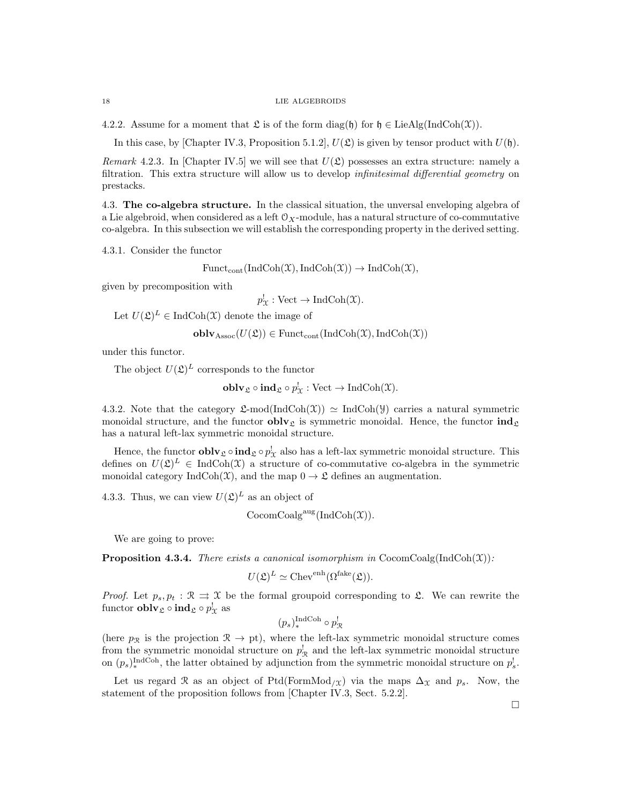4.2.2. Assume for a moment that  $\mathfrak L$  is of the form diag(h) for  $\mathfrak h \in \text{LieAlg}(\text{IndCoh}(\mathfrak X)).$ 

In this case, by [Chapter IV.3, Proposition 5.1.2],  $U(\mathfrak{L})$  is given by tensor product with  $U(\mathfrak{h})$ .

Remark 4.2.3. In [Chapter IV.5] we will see that  $U(\mathfrak{L})$  possesses an extra structure: namely a filtration. This extra structure will allow us to develop infinitesimal differential geometry on prestacks.

4.3. The co-algebra structure. In the classical situation, the unversal enveloping algebra of a Lie algebroid, when considered as a left  $\mathcal{O}_X$ -module, has a natural structure of co-commutative co-algebra. In this subsection we will establish the corresponding property in the derived setting.

4.3.1. Consider the functor

$$
Funct_{cont}(IndCoh(\mathfrak{X}),IndCoh(\mathfrak{X})) \to IndCoh(\mathfrak{X}),
$$

given by precomposition with

 $p_{\mathcal{X}}^! : \text{Vect} \to \text{IndCoh}(\mathcal{X}).$ 

Let  $U(\mathfrak{L})^L \in \text{IndCoh}(\mathfrak{X})$  denote the image of

 $\textbf{oblv}_{\text{Assoc}}(U(\mathfrak{L})) \in \text{Funct}_{\text{cont}}(\text{IndCoh}(\mathfrak{X}),\text{IndCoh}(\mathfrak{X}))$ 

under this functor.

The object  $U(\mathfrak{L})^L$  corresponds to the functor

 $\textbf{oblv}_{\mathfrak{L}} \circ \textbf{ind}_{\mathfrak{L}} \circ p_{\mathfrak{X}}^! : \text{Vect} \to \text{IndCoh}(\mathfrak{X}).$ 

4.3.2. Note that the category  $\mathfrak{L}\text{-mod}(\text{IndCoh}(\mathfrak{X})) \simeq \text{IndCoh}(\mathfrak{Y})$  carries a natural symmetric monoidal structure, and the functor  $\textbf{oblv}_{\mathfrak{L}}$  is symmetric monoidal. Hence, the functor  $\textbf{ind}_{\mathfrak{L}}$ has a natural left-lax symmetric monoidal structure.

Hence, the functor  $\textbf{oblv}_{\mathfrak{L}} \circ \textbf{ind}_{\mathfrak{L}} \circ p_{\chi}^!$  also has a left-lax symmetric monoidal structure. This defines on  $U(\mathfrak{L})^L \in \text{IndCoh}(\mathfrak{X})$  a structure of co-commutative co-algebra in the symmetric monoidal category IndCoh(X), and the map  $0 \to \mathfrak{L}$  defines an augmentation.

4.3.3. Thus, we can view  $U(\mathfrak{L})^L$  as an object of

$$
CocomCoalgaug(IndCoh(\mathfrak{X})).
$$

We are going to prove:

**Proposition 4.3.4.** There exists a canonical isomorphism in CocomCoalg(IndCoh(X)):

$$
U(\mathfrak{L})^L \simeq \text{Chev}^{\text{enh}}(\Omega^{\text{fake}}(\mathfrak{L})).
$$

*Proof.* Let  $p_s, p_t : \mathcal{R} \implies \mathcal{X}$  be the formal groupoid corresponding to  $\mathcal{L}$ . We can rewrite the functor  $\textbf{oblv}_{\mathfrak{L}} \circ \textbf{ind}_{\mathfrak{L}} \circ p_{\mathfrak{X}}^!$  as

 $(p_s)_*^{\text{IndCoh}} \circ p_{\mathcal{R}}^!$ 

(here  $p_{\mathcal{R}}$  is the projection  $\mathcal{R} \to pt$ ), where the left-lax symmetric monoidal structure comes from the symmetric monoidal structure on  $p_{\mathcal{R}}^{\dagger}$  and the left-lax symmetric monoidal structure on  $(p_s)_*^{\text{IndCoh}}$ , the latter obtained by adjunction from the symmetric monoidal structure on  $p_s^!$ .

Let us regard R as an object of Ptd(FormMod<sub>/X</sub>) via the maps  $\Delta_{\mathfrak{X}}$  and  $p_s$ . Now, the statement of the proposition follows from [Chapter IV.3, Sect. 5.2.2].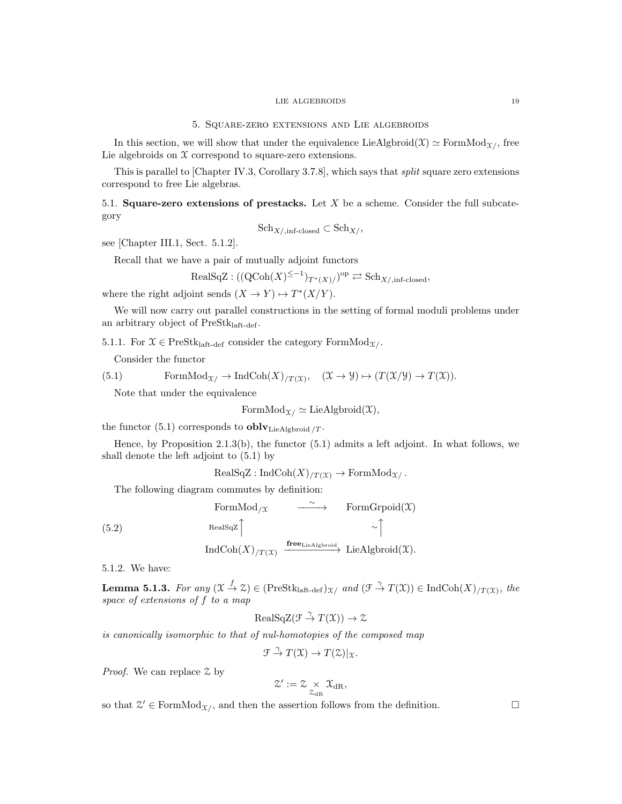### 5. Square-zero extensions and Lie algebroids

In this section, we will show that under the equivalence LieAlgbroid( $\mathfrak{X}$ )  $\simeq$  FormMod<sub>X/</sub>, free Lie algebroids on  $X$  correspond to square-zero extensions.

This is parallel to [Chapter IV.3, Corollary 3.7.8], which says that split square zero extensions correspond to free Lie algebras.

5.1. Square-zero extensions of prestacks. Let X be a scheme. Consider the full subcategory

$$
Sch_{X/\text{,inf-closed}} \subset Sch_{X/\text{,}}
$$

see [Chapter III.1, Sect. 5.1.2].

Recall that we have a pair of mutually adjoint functors

$$
\text{RealSqZ} : ((\text{QCoh}(X)^{\leq -1})_{T^*(X)}/\text{P}^{\text{op}} \rightleftarrows \text{Sch}_{X/\text{,inf-closed}},
$$

where the right adjoint sends  $(X \to Y) \mapsto T^*(X/Y)$ .

We will now carry out parallel constructions in the setting of formal moduli problems under an arbitrary object of PreStklaft-def.

5.1.1. For  $\mathfrak{X} \in \text{PreStk}_{\text{laft-def}}$  consider the category Form  $\text{Mod}_{\mathfrak{X}/\mathfrak{X}}$ .

Consider the functor

(5.1) FormMod<sub>$$
\mathcal{X}
$$</sub>  $\rightarrow$  IndCoh $(X)_{/T(\mathcal{X})}$ ,  $(\mathcal{X} \rightarrow \mathcal{Y}) \mapsto (T(\mathcal{X}/\mathcal{Y}) \rightarrow T(\mathcal{X}))$ .

Note that under the equivalence

$$
\mathrm{FormMod}_{\mathfrak{X}/} \simeq \mathrm{LieAlgbroid}(\mathfrak{X}),
$$

the functor (5.1) corresponds to  $\textbf{oblv}_{\text{LieAlgbroid}}/T$ .

Hence, by Proposition 2.1.3(b), the functor (5.1) admits a left adjoint. In what follows, we shall denote the left adjoint to (5.1) by

$$
RealSqZ: IndCoh(X)_{/T(\mathfrak{X})} \to FormMod_{\mathfrak{X}/}.
$$

The following diagram commutes by definition:

$$
\begin{array}{ccc}\n\text{FormMod}_{/\mathfrak{X}} & \xrightarrow{\sim} & \text{FormGropical}(\mathfrak{X}) \\
\text{RealSqZ} \uparrow & & \uparrow \\
\text{IndCoh}(X)_{/T(\mathfrak{X})} & \xrightarrow{\text{free}_{\text{LieAlgbroid}}} & \text{LieAlgbroid}(\mathfrak{X}).\n\end{array}
$$

5.1.2. We have:

**Lemma 5.1.3.** For any  $(\mathfrak{X} \stackrel{f}{\to} \mathfrak{X}) \in (\text{PreStk}_{\text{laft-det}})_{\mathfrak{X}}/$  and  $(\mathfrak{F} \stackrel{\gamma}{\to} T(\mathfrak{X})) \in \text{IndCoh}(X)_{/T(\mathfrak{X})}$ , the space of extensions of f to a map

$$
\text{RealSqZ}(\mathcal{F} \stackrel{\gamma}{\to} T(\mathcal{X})) \to \mathcal{Z}
$$

is canonically isomorphic to that of nul-homotopies of the composed map

 $\mathfrak{F} \stackrel{\gamma}{\to} T(\mathfrak{X}) \to T(\mathfrak{X})|_{\mathfrak{X}}.$ 

Proof. We can replace  $\mathfrak X$  by

$$
\mathcal{Z}':=\mathcal{Z}\underset{\mathcal{Z}_{\mathrm{dR}}}{\times}\mathcal{X}_{\mathrm{dR}},
$$

so that  $\mathcal{Z}' \in \text{FormMod}_{\mathcal{X}}$ , and then the assertion follows from the definition.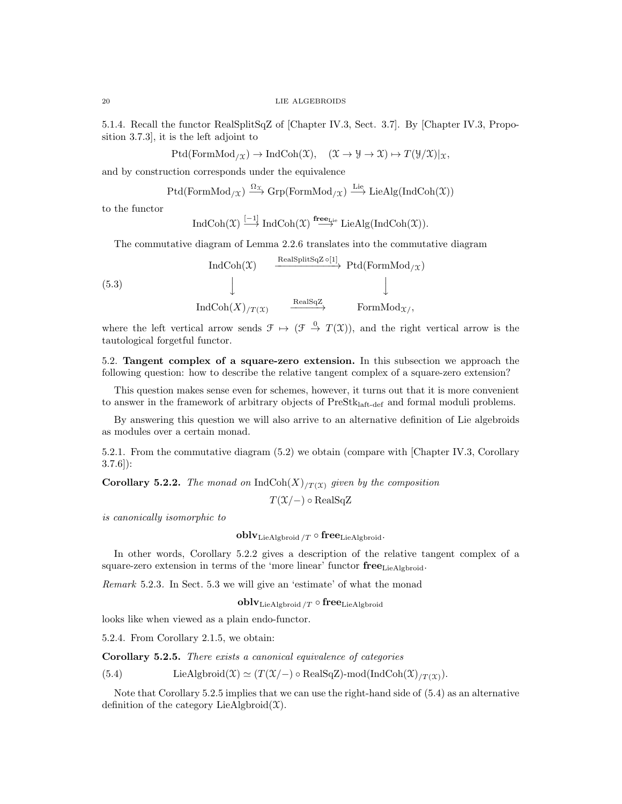5.1.4. Recall the functor RealSplitSqZ of [Chapter IV.3, Sect. 3.7]. By [Chapter IV.3, Proposition 3.7.3], it is the left adjoint to

 $Ptd(FormMod_{/\mathfrak{X}}) \to IndCoh(\mathfrak{X}), \quad (\mathfrak{X} \to \mathfrak{Y} \to \mathfrak{X}) \mapsto T(\mathfrak{Y}/\mathfrak{X})|_{\mathfrak{X}},$ 

and by construction corresponds under the equivalence

$$
\mathrm{Ptd}(\mathrm{FormMod}_{/\mathfrak{X}}) \xrightarrow{\Omega_{\mathfrak{X}}} \mathrm{Grp}(\mathrm{FormMod}_{/\mathfrak{X}}) \xrightarrow{\mathrm{Lie}} \mathrm{LieAlg}(\mathrm{IndCoh}(\mathfrak{X}))
$$

to the functor

$$
\operatorname{IndCoh}(\mathfrak X) \stackrel{[-1]}{\longrightarrow} \operatorname{IndCoh}(\mathfrak X) \stackrel{\mathbf{free}_{\mathrm{Lie}}}{\longrightarrow} \operatorname{LieAlg}(\operatorname{IndCoh}(\mathfrak X)).
$$

The commutative diagram of Lemma 2.2.6 translates into the commutative diagram

$$
\begin{array}{ccc}\n\text{IndCoh}(\mathfrak{X}) & \xrightarrow{\text{RealSplitSqZ} \circ [1]} \text{Ptd}(\text{FormMod}_{/\mathfrak{X}}) \\
\downarrow & & \downarrow \\
\text{IndCoh}(X)_{/T(\mathfrak{X})} & \xrightarrow{\text{RealSqZ}} \text{FormMod}_{\mathfrak{X}/},\n\end{array}
$$

where the left vertical arrow sends  $\mathcal{F} \mapsto (\mathcal{F} \stackrel{0}{\to} T(\mathcal{X}))$ , and the right vertical arrow is the tautological forgetful functor.

5.2. Tangent complex of a square-zero extension. In this subsection we approach the following question: how to describe the relative tangent complex of a square-zero extension?

This question makes sense even for schemes, however, it turns out that it is more convenient to answer in the framework of arbitrary objects of PreStk<sub>laft-def</sub> and formal moduli problems.

By answering this question we will also arrive to an alternative definition of Lie algebroids as modules over a certain monad.

5.2.1. From the commutative diagram (5.2) we obtain (compare with [Chapter IV.3, Corollary 3.7.6]):

**Corollary 5.2.2.** The monad on IndCoh $(X)_{T(X)}$  given by the composition

 $T(\mathfrak{X}/-) \circ \text{RealSqZ}$ 

is canonically isomorphic to

$$
\operatorname{\textbf{oblv}}_{\operatorname{LieAlgbroid}/T} \circ \operatorname{\textbf{free}}_{\operatorname{LieAlgbroid}}.
$$

In other words, Corollary 5.2.2 gives a description of the relative tangent complex of a square-zero extension in terms of the 'more linear' functor  $free_{LieAlgbroid}$ .

Remark 5.2.3. In Sect. 5.3 we will give an 'estimate' of what the monad

 $oblv_{\text{LieAlgbroid}}$  /T  $\circ$  free<sub>LieAlgbroid</sub>

looks like when viewed as a plain endo-functor.

5.2.4. From Corollary 2.1.5, we obtain:

Corollary 5.2.5. There exists a canonical equivalence of categories

(5.4) LieAlgbroid(X)  $\simeq (T(\mathfrak{X}/-) \circ \text{RealSqZ})\text{-mod}(\text{IndCoh}(\mathfrak{X})/T(\mathfrak{X})).$ 

Note that Corollary 5.2.5 implies that we can use the right-hand side of (5.4) as an alternative definition of the category LieAlgbroid $(\mathfrak{X})$ .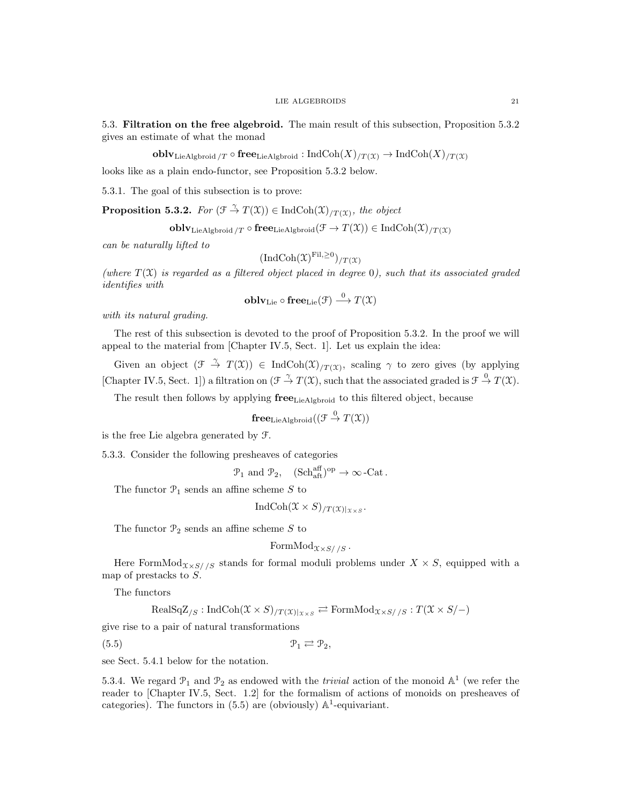5.3. Filtration on the free algebroid. The main result of this subsection, Proposition 5.3.2 gives an estimate of what the monad

**obl** $\mathbf{v}_{\text{LieAlgbroid}}$  /T  $\circ$  free<sub>LieAlgbroid</sub> : IndCoh $(X)_{/T(\mathcal{X})}$   $\to$  IndCoh $(X)_{/T(\mathcal{X})}$ 

looks like as a plain endo-functor, see Proposition 5.3.2 below.

5.3.1. The goal of this subsection is to prove:

**Proposition 5.3.2.** For  $(\mathcal{F} \stackrel{\gamma}{\to} T(\mathfrak{X})) \in \text{IndCoh}(\mathfrak{X})_{/T(\mathfrak{X})}$ , the object

$$
\mathbf{oblv}_{\mathrm{LieAlgbroid}\text{ }/T}\circ\mathbf{free}_{\mathrm{LieAlgbroid}}(\mathcal{F}\to T(\mathfrak{X}))\in\mathrm{IndCoh}(\mathfrak{X})_{/T(\mathfrak{X})}
$$

can be naturally lifted to

$$
(\text{IndCoh}(\mathfrak{X})^{\text{Fil},\geq 0})_{/T}(\mathfrak{X})
$$

(where  $T(\mathfrak{X})$  is regarded as a filtered object placed in degree 0), such that its associated graded identifies with

$$
\mathbf{oblv}_\mathrm{Lie}\circ\mathbf{free}_\mathrm{Lie}(\mathcal{F})\stackrel{0}{\longrightarrow}T(\mathfrak{X})
$$

with its natural grading.

The rest of this subsection is devoted to the proof of Proposition 5.3.2. In the proof we will appeal to the material from [Chapter IV.5, Sect. 1]. Let us explain the idea:

Given an object  $(\mathcal{F} \stackrel{\gamma}{\to} T(\mathfrak{X})) \in \text{IndCoh}(\mathfrak{X})_{T(\mathfrak{X})}$ , scaling  $\gamma$  to zero gives (by applying [Chapter IV.5, Sect. 1]) a filtration on  $(\mathcal{F} \stackrel{\gamma}{\to} T(\mathfrak{X}),$  such that the associated graded is  $\mathcal{F} \stackrel{0}{\to} T(\mathfrak{X}).$ 

The result then follows by applying  ${\bf free}_{\rm LieAlebroid}$  to this filtered object, because

$$
\mathbf{free}_{\mathrm{LieAlgbroid}}((\mathcal{F} \stackrel{0}{\to} T(\mathfrak{X}))
$$

is the free Lie algebra generated by F.

5.3.3. Consider the following presheaves of categories

 $\mathcal{P}_1$  and  $\mathcal{P}_2$ ,  $(Sch_{\text{aff}}^{\text{aff}})^{\text{op}} \to \infty$ -Cat.

The functor  $\mathcal{P}_1$  sends an affine scheme S to

IndCoh $(\mathfrak{X} \times S)_{/T(\mathfrak{X})|_{\mathfrak{X} \times S}}$ .

The functor  $\mathcal{P}_2$  sends an affine scheme S to

FormMod
$$
\chi \times S//S
$$
.

Here FormMod $x \times s$ //s stands for formal moduli problems under  $X \times S$ , equipped with a map of prestacks to S.

The functors

$$
\text{RealSqZ}_{\!/S} : \text{IndCoh}(\mathfrak{X} \times S)_{/T(\mathfrak{X})|_{\mathfrak{X} \times S}} \rightleftarrows \text{FormMod}_{\mathfrak{X} \times S//S} : T(\mathfrak{X} \times S/-)
$$

give rise to a pair of natural transformations

 $(5.5)$   $\mathcal{P}_1 \rightleftarrows \mathcal{P}_2$ 

see Sect. 5.4.1 below for the notation.

5.3.4. We regard  $\mathcal{P}_1$  and  $\mathcal{P}_2$  as endowed with the *trivial* action of the monoid  $\mathbb{A}^1$  (we refer the reader to [Chapter IV.5, Sect. 1.2] for the formalism of actions of monoids on presheaves of categories). The functors in  $(5.5)$  are (obviously)  $\mathbb{A}^1$ -equivariant.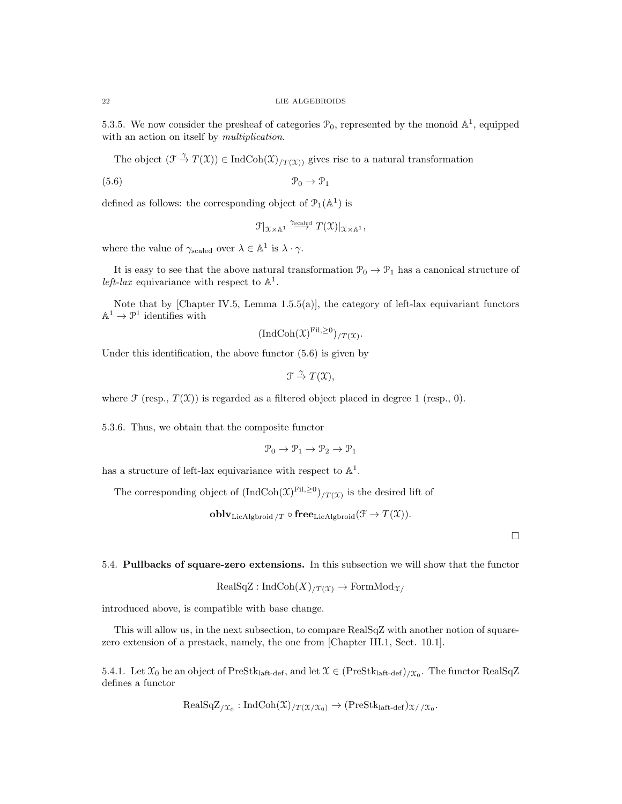5.3.5. We now consider the presheaf of categories  $\mathcal{P}_0$ , represented by the monoid  $\mathbb{A}^1$ , equipped with an action on itself by *multiplication*.

The object  $(\mathcal{F} \stackrel{\gamma}{\to} T(\mathfrak{X})) \in \text{IndCoh}(\mathfrak{X})_{T(\mathfrak{X})}$  gives rise to a natural transformation

 $(5.6)$   $\mathcal{P}_0 \rightarrow \mathcal{P}_1$ 

defined as follows: the corresponding object of  $\mathcal{P}_1(\mathbb{A}^1)$  is

$$
\mathcal{F}|_{\mathfrak{X}\times\mathbb{A}^1}\stackrel{\gamma_{\text{scaled}}}{\longrightarrow} T(\mathfrak{X})|_{\mathfrak{X}\times\mathbb{A}^1},
$$

where the value of  $\gamma_{\text{scaled}}$  over  $\lambda \in \mathbb{A}^1$  is  $\lambda \cdot \gamma$ .

It is easy to see that the above natural transformation  $\mathcal{P}_0 \to \mathcal{P}_1$  has a canonical structure of left-lax equivariance with respect to  $\mathbb{A}^1$ .

Note that by [Chapter IV.5, Lemma  $1.5.5(a)$ ], the category of left-lax equivariant functors  $\mathbb{A}^1 \to \mathcal{P}^1$  identifies with

$$
(\mathrm{IndCoh}(\mathfrak{X})^{\mathrm{Fil},\geq 0})_{/T}(\mathfrak{X})}.
$$

Under this identification, the above functor (5.6) is given by

$$
\mathfrak{F} \stackrel{\gamma}{\to} T(\mathfrak{X}),
$$

where  $\mathcal F$  (resp.,  $T(\mathfrak X)$ ) is regarded as a filtered object placed in degree 1 (resp., 0).

5.3.6. Thus, we obtain that the composite functor

$$
\mathcal{P}_0 \to \mathcal{P}_1 \to \mathcal{P}_2 \to \mathcal{P}_1
$$

has a structure of left-lax equivariance with respect to  $\mathbb{A}^1$ .

The corresponding object of  $\left(\text{IndCoh}(\mathfrak{X})^{\text{Fil},\geq0}\right)/T(\mathfrak{X})}$  is the desired lift of

obl $\mathbf{v}_{\text{LieAlgbroid}}$  /T  $\circ$  free<sub>LieAlgbroid</sub> ( $\mathcal{F} \to T(\mathfrak{X})$ ).

 $\Box$ 

5.4. Pullbacks of square-zero extensions. In this subsection we will show that the functor

$$
RealSqZ: IndCoh(X)_{/T(X)} \to FormMod_{X/}
$$

introduced above, is compatible with base change.

This will allow us, in the next subsection, to compare RealSqZ with another notion of squarezero extension of a prestack, namely, the one from [Chapter III.1, Sect. 10.1].

5.4.1. Let  $\mathfrak{X}_0$  be an object of PreStk<sub>laft-def</sub>, and let  $\mathfrak{X} \in (\text{PreStk}_{\text{laft-def}})_{/\mathfrak{X}_0}$ . The functor RealSqZ defines a functor

$$
\text{RealSqZ}_{/\mathfrak{X}_0} : \text{IndCoh}(\mathfrak{X})_{/T(\mathfrak{X}/\mathfrak{X}_0)} \to (\text{PreStk}_{\text{laft-def}})_{\mathfrak{X}//\mathfrak{X}_0}.
$$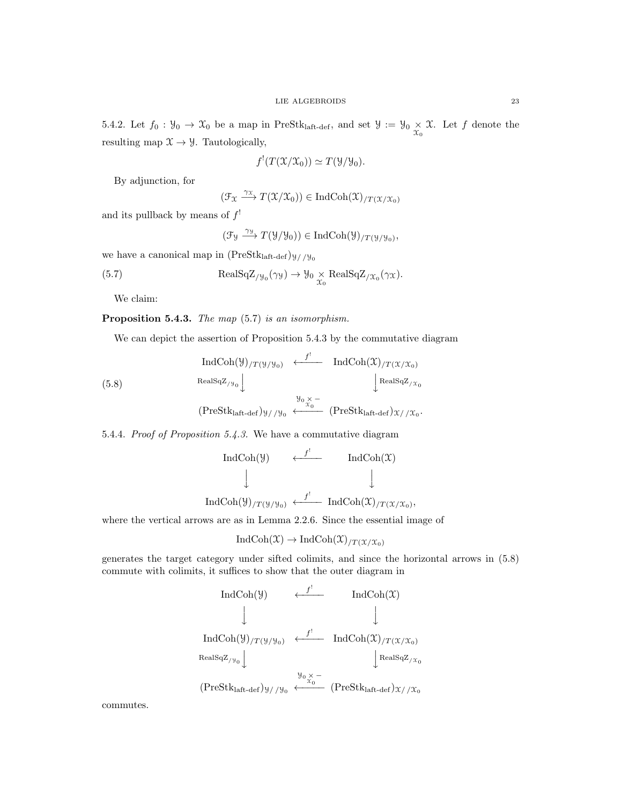5.4.2. Let  $f_0 : \mathcal{Y}_0 \to \mathcal{X}_0$  be a map in PreStk<sub>laft-def</sub>, and set  $\mathcal{Y} := \mathcal{Y}_0 \times \mathcal{X}$ . Let f denote the resulting map  $\mathfrak{X} \to \mathcal{Y}$ . Tautologically,

$$
f'(T(\mathfrak{X}/\mathfrak{X}_0)) \simeq T(\mathfrak{Y}/\mathfrak{Y}_0).
$$

By adjunction, for

$$
(\mathfrak{F}_{\mathfrak{X}} \xrightarrow{\gamma_{\mathfrak{X}}} T(\mathfrak{X}/\mathfrak{X}_0)) \in \mathrm{IndCoh}(\mathfrak{X})_{/T(\mathfrak{X}/\mathfrak{X}_0)}
$$

and its pullback by means of  $f'$ 

$$
(\mathcal{F}_{\mathcal{Y}} \xrightarrow{\gamma_{\mathcal{Y}}} T(\mathcal{Y}/\mathcal{Y}_0)) \in \mathrm{IndCoh}(\mathcal{Y})_{/T(\mathcal{Y}/\mathcal{Y}_0)},
$$

we have a canonical map in  $(PreStk<sub>laff-def</sub>)_{\mathcal{Y}/\mathcal{Y}_0}$ 

(5.7) 
$$
\text{RealSqZ}_{/\mathcal{Y}_0}(\gamma \mathcal{Y}) \to \mathcal{Y}_0 \underset{\mathcal{X}_0}{\times} \text{RealSqZ}_{/\mathcal{X}_0}(\gamma \mathcal{X}).
$$

We claim:

Proposition 5.4.3. The map  $(5.7)$  is an isomorphism.

We can depict the assertion of Proposition 5.4.3 by the commutative diagram

$$
\text{IndCoh}(\mathcal{Y})_{/T(\mathcal{Y}/\mathcal{Y}_0)} \xleftarrow{f'} \text{IndCoh}(\mathcal{X})_{/T(\mathcal{X}/\mathcal{X}_0)}
$$
\n
$$
\text{RealSqZ}_{/\mathcal{Y}_0} \downarrow \text{RealSqZ}_{/\mathcal{X}_0}
$$
\n
$$
\mathcal{Y}_0 \times -
$$

$$
(\text{PreStk}_{\text{laff-def}})_{\mathcal{Y}/\mathcal{Y}_0} \longleftarrow x_0 \quad (\text{PreStk}_{\text{laff-def}})_{\mathcal{X}/\mathcal{X}_0}.
$$

5.4.4. Proof of Proposition 5.4.3. We have a commutative diagram

$$
\begin{array}{ccc}\n\text{IndCoh}(\mathcal{Y}) & \xleftarrow{f^!} & \text{IndCoh}(\mathcal{X}) \\
\downarrow & & \downarrow \\
\text{IndCoh}(\mathcal{Y})_{/T(\mathcal{Y}/\mathcal{Y}_0)} & \xleftarrow{f^!} & \text{IndCoh}(\mathcal{X})_{/T(\mathcal{X}/\mathcal{X}_0)},\n\end{array}
$$

where the vertical arrows are as in Lemma 2.2.6. Since the essential image of

$$
IndCoh(\mathfrak{X}) \to IndCoh(\mathfrak{X})_{/T(\mathfrak{X}/\mathfrak{X}_0)}
$$

generates the target category under sifted colimits, and since the horizontal arrows in (5.8) commute with colimits, it suffices to show that the outer diagram in

$$
\operatorname{IndCoh}(\mathcal{Y}) \xleftarrow{f'} \operatorname{IndCoh}(\mathcal{X})
$$
\n
$$
\downarrow \qquad \qquad \downarrow
$$
\n
$$
\operatorname{IndCoh}(\mathcal{Y})_{/T(\mathcal{Y}/\mathcal{Y}_0)} \xleftarrow{f'} \operatorname{IndCoh}(\mathcal{X})_{/T(\mathcal{X}/\mathcal{X}_0)}
$$
\n
$$
\operatorname{RealSqZ}_{/\mathcal{Y}_0} \downarrow \qquad \qquad \downarrow \operatorname{RealSqZ}_{/\mathcal{X}_0}
$$
\n
$$
(\operatorname{PreStk}_{\operatorname{laft-def}})_{\mathcal{Y}/\mathcal{Y}_0} \xleftarrow{\mathcal{Y}_0} (\operatorname{PreStk}_{\operatorname{laft-def}})_{\mathcal{X}/\mathcal{X}_0}
$$

commutes.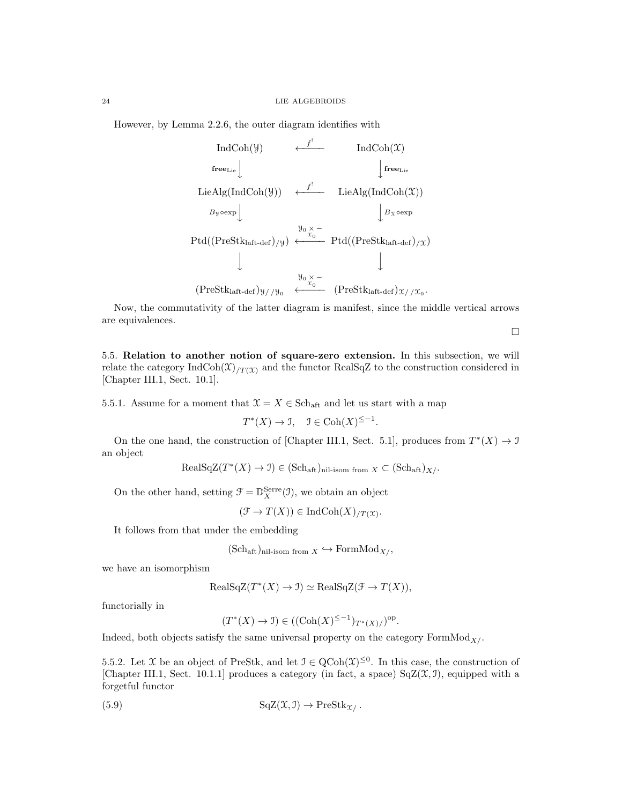However, by Lemma 2.2.6, the outer diagram identifies with

IndCoh(Y)  $\leftarrow$ <sup>f'</sup>  $IndCoh(\mathfrak{X})$  $\operatorname{free}_{\operatorname{Lie}}\int\limits_{\mathbb{R}}$  $\bigg|\mathbf{free}_{\mathrm{Lie}}$  $\downarrow$  $\text{LieAlg}(\text{IndCoh}(\mathcal{Y})) \quad \leftarrow^{\quad f'} \quad \text{LieAlg}(\text{IndCoh}(\mathcal{X}))$  $B_y \circ \exp \left( \frac{\beta}{2} \right)$  $\int B_X \circ \exp$  $Ptd((PreStk<sub>laff-def</sub>)/y)$  $y_0 \underset{x_0}{\times} \longleftarrow$  Ptd((PreStk<sub>laft-def</sub>)<sub>/X</sub>)  $\downarrow$  $\downarrow$  $(PreStk<sub>laff-def</sub>)_{\mathcal{Y}/\mathcal{Y}_0}$  $y_0 \underset{x_0}{\times} \longleftarrow$  (PreStk<sub>laft-def</sub>)  $\chi$  /  $\chi$ <sub>0</sub>.

Now, the commutativity of the latter diagram is manifest, since the middle vertical arrows are equivalences.

 $\Box$ 

5.5. Relation to another notion of square-zero extension. In this subsection, we will relate the category  $IndCoh(\mathfrak{X})_{/T(\mathfrak{X})}$  and the functor RealSqZ to the construction considered in [Chapter III.1, Sect. 10.1].

5.5.1. Assume for a moment that  $\mathcal{X} = X \in \text{Sch}_{\text{aff}}$  and let us start with a map

$$
T^*(X) \to \mathcal{I}, \quad \mathcal{I} \in \text{Coh}(X)^{\le -1}.
$$

On the one hand, the construction of [Chapter III.1, Sect. 5.1], produces from  $T^*(X) \to \mathcal{I}$ an object

$$
\text{RealSqZ}(T^*(X) \to \mathcal{I}) \in (\text{Sch}_{\text{aff}})_{\text{nil-isom from } X} \subset (\text{Sch}_{\text{aff}})_{X}.
$$

On the other hand, setting  $\mathcal{F} = \mathbb{D}_{X}^{\text{Serre}}(\mathcal{I})$ , we obtain an object

 $(\mathcal{F} \to T(X)) \in \text{IndCoh}(X)_{/T(\mathfrak{X})}.$ 

It follows from that under the embedding

$$
(Sch_{\text{aft}})_{\text{nil-isom from } X} \hookrightarrow \text{FormMod}_{X/}
$$
,

we have an isomorphism

$$
RealSqZ(T^*(X) \to \mathcal{I}) \simeq RealSqZ(\mathcal{F} \to T(X)),
$$

functorially in

$$
(T^*(X) \to \mathcal{I}) \in ((\mathrm{Coh}(X)^{\leq -1})_{T^*(X)/})^{\mathrm{op}}.
$$

Indeed, both objects satisfy the same universal property on the category  $\text{FormMod}_{X}/$ .

5.5.2. Let X be an object of PreStk, and let  $\mathcal{I} \in \mathrm{QCoh}(\mathcal{X})^{\leq 0}$ . In this case, the construction of [Chapter III.1, Sect. 10.1.1] produces a category (in fact, a space)  $SqZ(\mathfrak{X}, \mathfrak{I})$ , equipped with a forgetful functor

(5.9) 
$$
\mathrm{SqZ}(\mathfrak{X}, \mathfrak{I}) \to \mathrm{PreStk}_{\mathfrak{X}}.
$$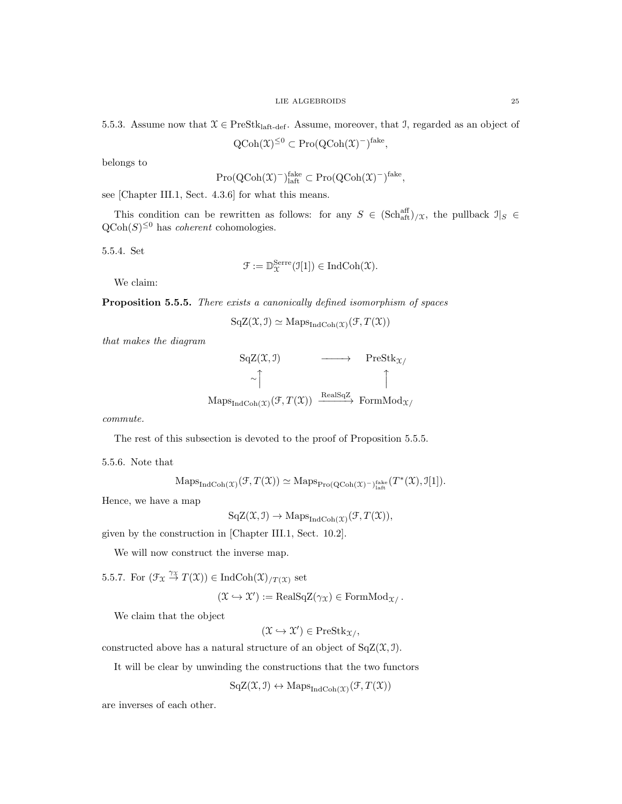5.5.3. Assume now that  $\mathcal{X} \in \text{PreStk}_{\text{laff-def}}$ . Assume, moreover, that J, regarded as an object of

,

$$
QCoh(\mathfrak{X})^{\leq 0} \subset Pro(QCoh(\mathfrak{X})^{-})^{\text{fake}}
$$

belongs to

$$
\mathrm{Pro}(\mathrm{QCoh}(\mathfrak{X})^{-})_{\mathrm{laff}}^{\mathrm{fake}} \subset \mathrm{Pro}(\mathrm{QCoh}(\mathfrak{X})^{-})^{\mathrm{fake}},
$$

see [Chapter III.1, Sect. 4.3.6] for what this means.

This condition can be rewritten as follows: for any  $S \in (\text{Sch}_{\text{aff}}^{\text{aff}})/\chi$ , the pullback  $\mathcal{I}|_S \in$  $Q\text{Coh}(S)^{\leq 0}$  has *coherent* cohomologies.

5.5.4. Set

$$
\mathcal{F}:=\mathbb{D}_{\mathfrak{X}}^{\rm Serre}(\mathfrak{I}[1])\in\mathrm{IndCoh}(\mathfrak{X}).
$$

We claim:

Proposition 5.5.5. There exists a canonically defined isomorphism of spaces

 $SqZ(\mathfrak{X}, \mathfrak{I}) \simeq \mathrm{Maps}_{\mathrm{IndCoh}(\mathfrak{X})}(\mathfrak{F}, T(\mathfrak{X}))$ 

that makes the diagram



commute.

The rest of this subsection is devoted to the proof of Proposition 5.5.5.

5.5.6. Note that

 $\operatorname{Maps}_{\operatorname{IndCoh}(\mathfrak{X})}(\mathcal{F}, T(\mathfrak{X})) \simeq \operatorname{Maps}_{\operatorname{Pro}(QCoh(\mathfrak{X})^{-})^{\operatorname{fake}}_{\text{laft}}} (T^*(\mathfrak{X}), \mathfrak{I}[1]).$ 

Hence, we have a map

 $SqZ(\mathfrak{X}, \mathfrak{I}) \rightarrow Maps_{IndCoh(\mathfrak{X})}(\mathfrak{F}, T(\mathfrak{X})),$ 

given by the construction in [Chapter III.1, Sect. 10.2].

We will now construct the inverse map.

5.5.7. For  $(\mathcal{F}_{\mathfrak{X}} \stackrel{\gamma_{\mathfrak{X}}}{\to} T(\mathfrak{X})) \in \text{IndCoh}(\mathfrak{X})_{/T(\mathfrak{X})}$  set

$$
(\mathfrak{X} \hookrightarrow \mathfrak{X}') := \text{RealSqZ}(\gamma_{\mathfrak{X}}) \in \text{FormMod}_{\mathfrak{X}/}.
$$

We claim that the object

 $(\mathfrak{X} \hookrightarrow \mathfrak{X}') \in \mathrm{PreStk}_{\mathfrak{X}/},$ 

constructed above has a natural structure of an object of  $SqZ(\mathfrak{X}, \mathfrak{I}).$ 

It will be clear by unwinding the constructions that the two functors

$$
SqZ(\mathfrak{X}, \mathfrak{I}) \leftrightarrow Maps_{IndCoh(\mathfrak{X})}(\mathfrak{F}, T(\mathfrak{X}))
$$

are inverses of each other.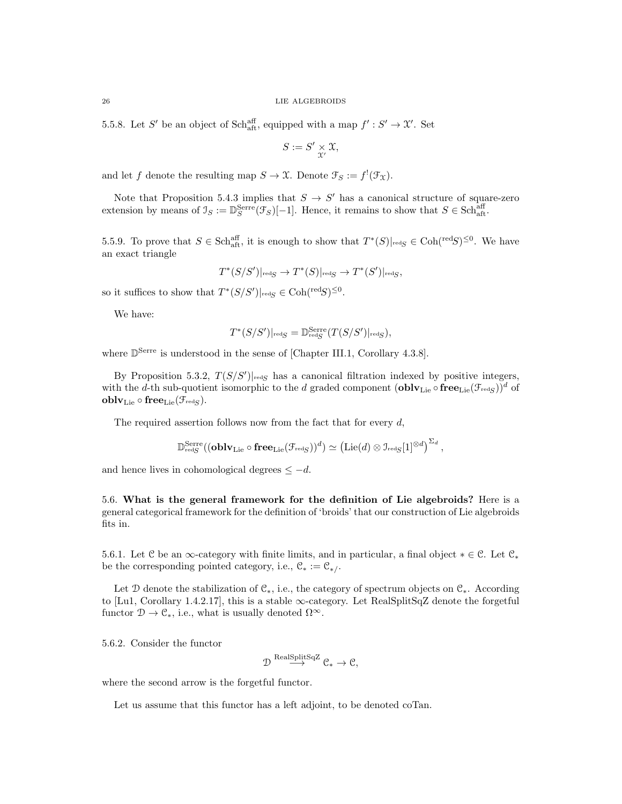5.5.8. Let S' be an object of Schaff, equipped with a map  $f': S' \to \mathcal{X}'$ . Set

$$
S := S' \underset{\mathcal{X}'}{\times} \mathfrak{X},
$$

and let f denote the resulting map  $S \to \mathfrak{X}$ . Denote  $\mathfrak{F}_S := f^{\mathfrak{l}}(\mathfrak{F}_\mathfrak{X})$ .

Note that Proposition 5.4.3 implies that  $S \to S'$  has a canonical structure of square-zero extension by means of  $\mathcal{I}_S := \mathbb{D}_S^{\text{Serre}}(\mathcal{F}_S)[-1]$ . Hence, it remains to show that  $S \in \text{Sch}_{\text{aff}}^{\text{aff}}$ .

5.5.9. To prove that  $S \in Sch_{\text{aff}}^{\text{aff}}$ , it is enough to show that  $T^*(S)|_{\text{red}S} \in Coh(\text{red}S)^{\leq 0}$ . We have an exact triangle

$$
T^*(S/S')|_{\text{red}S} \to T^*(S)|_{\text{red}S} \to T^*(S')|_{\text{red}S},
$$

so it suffices to show that  $T^*(S/S')|_{\text{red}S} \in \text{Coh}(\text{red}S)^{\leq 0}$ .

We have:

$$
T^*(S/S')|_{\text{red}S} = \mathbb{D}^{\text{Serre}}_{\text{red}S}(T(S/S')|_{\text{red}S}),
$$

where  $\mathbb{D}^{\text{Serre}}$  is understood in the sense of [Chapter III.1, Corollary 4.3.8].

By Proposition 5.3.2,  $T(S/S')|_{\text{red}S}$  has a canonical filtration indexed by positive integers, with the d-th sub-quotient isomorphic to the d graded component  $(\textbf{oblv}_{\text{Lie}} \circ \textbf{free}_{\text{Lie}}(\mathcal{F}_{\text{redS}}))^d$  of  ${\bf oblv}_{{\rm Lie}}\circ{\bf free}_{{\rm Lie}}({\mathfrak F}_{\rm redg}).$ 

The required assertion follows now from the fact that for every  $d$ ,

$$
\mathbb{D}^{\mathrm{Serre}}_{\mathrm{red}S}((\mathbf{oblv}_\mathrm{Lie}\circ\mathbf{free}_\mathrm{Lie}(\mathcal{F}_\mathrm{redS}))^d)\simeq \left(\mathrm{Lie}(d)\otimes \mathfrak{I}_\mathrm{redS}[1]^{\otimes d}\right)^{\Sigma_d},
$$

and hence lives in cohomological degrees  $\leq -d$ .

5.6. What is the general framework for the definition of Lie algebroids? Here is a general categorical framework for the definition of 'broids' that our construction of Lie algebroids fits in.

5.6.1. Let C be an ∞-category with finite limits, and in particular, a final object  $*\in \mathcal{C}$ . Let  $\mathcal{C}_*$ be the corresponding pointed category, i.e.,  $\mathcal{C}_* := \mathcal{C}_{*/}.$ 

Let D denote the stabilization of  $\mathcal{C}_*$ , i.e., the category of spectrum objects on  $\mathcal{C}_*$ . According to [Lu1, Corollary 1.4.2.17], this is a stable ∞-category. Let RealSplitSqZ denote the forgetful functor  $\mathcal{D} \to \mathcal{C}_*$ , i.e., what is usually denoted  $\Omega^{\infty}$ .

5.6.2. Consider the functor

$$
\mathcal{D} \overset{\mathrm{RealSplitSqZ}}{\longrightarrow} \mathcal{C}_* \to \mathcal{C},
$$

where the second arrow is the forgetful functor.

Let us assume that this functor has a left adjoint, to be denoted coTan.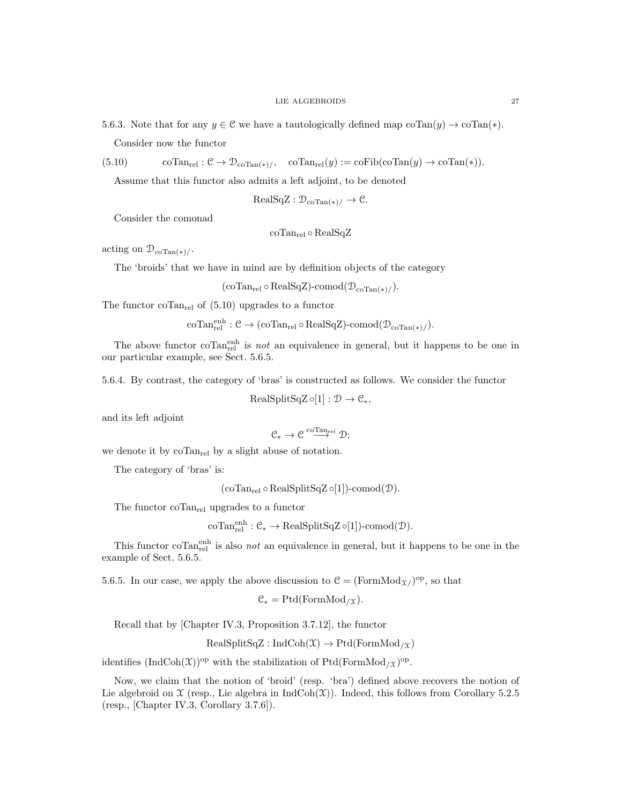5.6.3. Note that for any  $y \in \mathcal{C}$  we have a tautologically defined map coTan(y)  $\rightarrow$  coTan(\*).

Consider now the functor

(5.10)  $\text{coTan}_{rel}: \mathcal{C} \to \mathcal{D}_{\text{coTan}(*)}/$ ,  $\text{coTan}_{rel}(y) := \text{coFib}(\text{coTan}(y) \to \text{coTan}(*)$ .

Assume that this functor also admits a left adjoint, to be denoted

$$
\text{RealSqZ} : \mathcal{D}_{\text{coTan}(*)}/ \to \mathcal{C}.
$$

Consider the comonad

coTanrel ◦ RealSqZ

acting on  $\mathcal{D}_{\text{coTan}(*)/}$ .

The 'broids' that we have in mind are by definition objects of the category

 $(\text{coTan}_{rel} \circ \text{RealSqZ})$ -comod $(\mathcal{D}_{coTan(*)}/).$ 

The functor co $Tan_{rel}$  of  $(5.10)$  upgrades to a functor

 $\mathrm{coTan}_{\mathrm{rel}}^{\mathrm{enh}}: \mathcal{C} \to (\mathrm{coTan}_{\mathrm{rel}} \circ \mathrm{RealSqZ})\text{-comod}(\mathcal{D}_{\mathrm{coTan}(*)}/).$ 

The above functor co $\text{Tan}_{rel}^{\text{enh}}$  is *not* an equivalence in general, but it happens to be one in our particular example, see Sect. 5.6.5.

5.6.4. By contrast, the category of 'bras' is constructed as follows. We consider the functor

 $RealSplitSqZ \circ [1] : \mathcal{D} \to \mathcal{C}_*,$ 

and its left adjoint

$$
\mathfrak{C}_*\to \mathfrak{C}\stackrel{\mathrm{coTan}_{\mathrm{rel}}}{\longrightarrow}\mathfrak{D};
$$

we denote it by  $\mathrm{coTan}_{\mathrm{rel}}$  by a slight abuse of notation.

The category of 'bras' is:

 $(\text{coTan}_{rel} \circ \text{RealSplitSqZ} \circ [1])$ -comod $(\mathcal{D})$ .

The functor  $\mathrm{coTan}_{rel}$  upgrades to a functor

 $\mathrm{coTan}_{\mathrm{rel}}^{\mathrm{enh}} : \mathcal{C}_* \to \mathrm{RealSplitSqZ \circ [1])\text{-comod}(\mathcal{D})\text{.}$ 

This functor co $\text{Tan}_{rel}^{\text{enh}}$  is also *not* an equivalence in general, but it happens to be one in the example of Sect. 5.6.5.

5.6.5. In our case, we apply the above discussion to  $C = (\text{FormMod}_{\mathfrak{X}})^{\text{op}}$ , so that

 $C_* = \text{Ptd}(\text{FormMod}_{/\Upsilon}).$ 

Recall that by [Chapter IV.3, Proposition 3.7.12], the functor

 $RealSplitSqZ: IndCoh(\mathfrak{X}) \rightarrow Ptd(FormMod_{/\mathfrak{X}})$ 

identifies  $(IndCoh(\mathfrak{X}))^{op}$  with the stabilization of Ptd(FormMod<sub>/X</sub>)<sup>op</sup>.

Now, we claim that the notion of 'broid' (resp. 'bra') defined above recovers the notion of Lie algebroid on  $\mathfrak X$  (resp., Lie algebra in IndCoh $(\mathfrak X)$ ). Indeed, this follows from Corollary 5.2.5 (resp., [Chapter IV.3, Corollary 3.7.6]).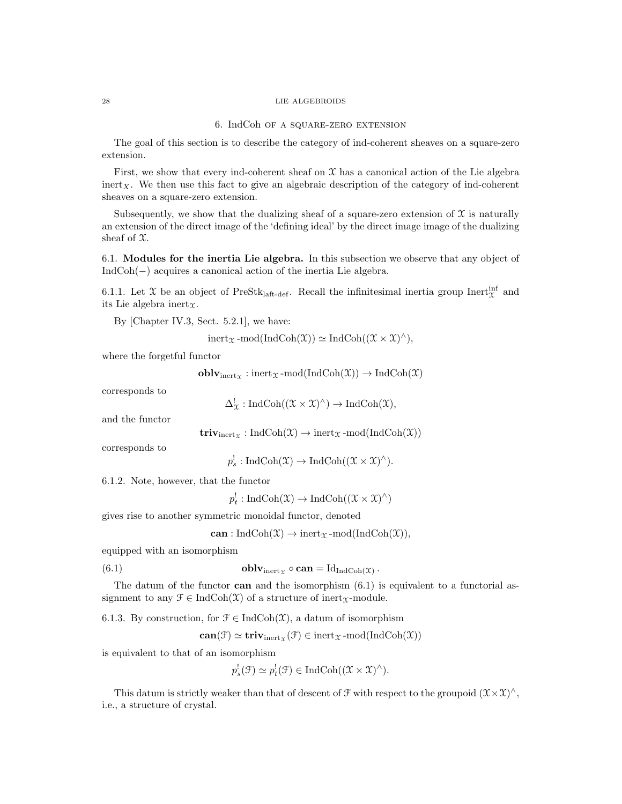### 6. IndCoh of a square-zero extension

The goal of this section is to describe the category of ind-coherent sheaves on a square-zero extension.

First, we show that every ind-coherent sheaf on  $\mathfrak X$  has a canonical action of the Lie algebra inert<sub>X</sub>. We then use this fact to give an algebraic description of the category of ind-coherent sheaves on a square-zero extension.

Subsequently, we show that the dualizing sheaf of a square-zero extension of  $\mathfrak X$  is naturally an extension of the direct image of the 'defining ideal' by the direct image image of the dualizing sheaf of  $\mathfrak{X}$ .

6.1. Modules for the inertia Lie algebra. In this subsection we observe that any object of IndCoh(−) acquires a canonical action of the inertia Lie algebra.

6.1.1. Let X be an object of PreStk<sub>laft-def</sub>. Recall the infinitesimal inertia group Inert<sup>inf</sup> and its Lie algebra inert $x$ .

By [Chapter IV.3, Sect. 5.2.1], we have:

$$
inert_{\mathfrak{X}}\operatorname{-mod}(\operatorname{IndCoh}(\mathfrak{X}))\simeq \operatorname{IndCoh}((\mathfrak{X}\times \mathfrak{X})^{\wedge}),
$$

where the forgetful functor

$$
\mathbf{oblv}_{\mathrm{inert}_{\mathfrak{X}}}:\mathrm{inert}_{\mathfrak{X}}\text{-mod}(\mathrm{IndCoh}(\mathfrak{X}))\to\mathrm{IndCoh}(\mathfrak{X})
$$

corresponds to

$$
\Delta^!_{\mathfrak{X}}: \mathrm{IndCoh}((\mathfrak{X} \times \mathfrak{X})^{\wedge}) \to \mathrm{IndCoh}(\mathfrak{X}),
$$

and the functor

 $\mathbf{triv}_{\text{inert}_{\mathcal{X}}} : \text{IndCoh}(\mathcal{X}) \to \text{inert}_{\mathcal{X}} \text{-mod}(\text{IndCoh}(\mathcal{X}))$ 

corresponds to

$$
p_s^!
$$
: IndCoh $(\mathfrak{X}) \to \text{IndCoh}((\mathfrak{X} \times \mathfrak{X})^{\wedge}).$ 

6.1.2. Note, however, that the functor

 $p_t^! : \text{IndCoh}(\mathfrak{X}) \to \text{IndCoh}((\mathfrak{X} \times \mathfrak{X})^{\wedge})$ 

gives rise to another symmetric monoidal functor, denoted

can : IndCoh $(\mathfrak{X}) \to \mathrm{inert}_{\mathfrak{X}}$ -mod(IndCoh $(\mathfrak{X})$ ),

equipped with an isomorphism

(6.1) 
$$
\mathbf{oblv}_{\text{inert}_{\mathcal{X}}} \circ \mathbf{can} = \mathrm{Id}_{\mathrm{IndCoh}(\mathcal{X})}.
$$

The datum of the functor can and the isomorphism  $(6.1)$  is equivalent to a functorial assignment to any  $\mathcal{F} \in \text{IndCoh}(\mathcal{X})$  of a structure of inert<sub> $\mathcal{X}$ </sub>-module.

6.1.3. By construction, for  $\mathcal{F} \in \text{IndCoh}(\mathcal{X})$ , a datum of isomorphism

 $\textbf{can}(\mathcal{F}) \simeq \textbf{triv}_{\text{inert}_{\mathcal{X}}}(\mathcal{F}) \in \text{inert}_{\mathcal{X}}\text{-mod}(\text{IndCoh}(\mathcal{X}))$ 

is equivalent to that of an isomorphism

$$
p_s^!(\mathcal{F}) \simeq p_t^!(\mathcal{F}) \in \mathrm{IndCoh}((\mathcal{X} \times \mathcal{X})^{\wedge}).
$$

This datum is strictly weaker than that of descent of  $\mathcal F$  with respect to the groupoid  $(\mathcal X \times \mathcal X)^\wedge$ , i.e., a structure of crystal.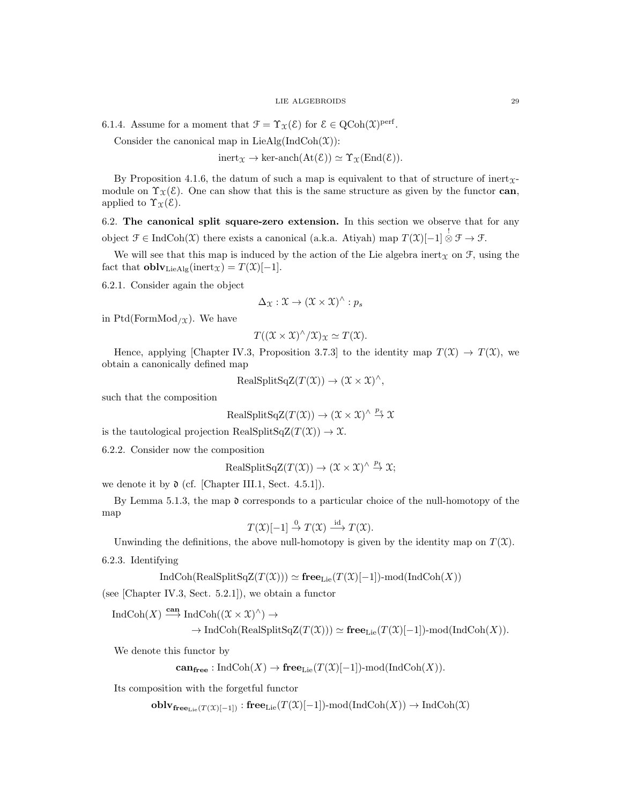6.1.4. Assume for a moment that  $\mathcal{F} = \Upsilon_{\mathcal{X}}(\mathcal{E})$  for  $\mathcal{E} \in \mathrm{QCoh}(\mathcal{X})^{\mathrm{perf}}$ .

Consider the canonical map in LieAlg(IndCoh $(\mathfrak{X})$ ):

 $inert_{\Upsilon} \to \text{ker-anch}(\text{At}(\mathcal{E})) \simeq \Upsilon_{\Upsilon}(\text{End}(\mathcal{E})).$ 

By Proposition 4.1.6, the datum of such a map is equivalent to that of structure of inert<sub> $x$ -</sub> module on  $\Upsilon_{\mathfrak{X}}(\mathcal{E})$ . One can show that this is the same structure as given by the functor can, applied to  $\Upsilon_{\mathfrak{X}}(\mathcal{E})$ .

6.2. The canonical split square-zero extension. In this section we observe that for any object  $\mathcal{F} \in \text{IndCoh}(\mathfrak{X})$  there exists a canonical (a.k.a. Atiyah) map  $T(\mathfrak{X})[-1] \overset{!}{\otimes} \mathcal{F} \to \mathcal{F}$ .

We will see that this map is induced by the action of the Lie algebra inert<sub>x</sub> on  $\mathcal{F}$ , using the fact that  $\textbf{oblv}_{\text{LieAlg}}(\text{inert}_\mathfrak{X}) = T(\mathfrak{X})[-1].$ 

6.2.1. Consider again the object

$$
\Delta_{\mathfrak{X}}: \mathfrak{X} \to (\mathfrak{X} \times \mathfrak{X})^{\wedge} : p_s
$$

in Ptd(FormMod<sub>/X</sub>). We have

$$
T((\mathfrak{X}\times\mathfrak{X})^{\wedge}/\mathfrak{X})_{\mathfrak{X}}\simeq T(\mathfrak{X}).
$$

Hence, applying [Chapter IV.3, Proposition 3.7.3] to the identity map  $T(\mathfrak{X}) \to T(\mathfrak{X})$ , we obtain a canonically defined map

$$
RealSplitSqZ(T(\mathfrak{X})) \to (\mathfrak{X} \times \mathfrak{X})^{\wedge},
$$

such that the composition

$$
RealSplitSqZ(T(\mathcal{X})) \to (\mathcal{X} \times \mathcal{X})^{\wedge} \stackrel{p_s}{\to} \mathcal{X}
$$

is the tautological projection RealSplitSqZ $(T(\mathfrak{X})) \to \mathfrak{X}$ .

6.2.2. Consider now the composition

$$
RealSplitSqZ(T(\mathfrak{X})) \to (\mathfrak{X} \times \mathfrak{X})^{\wedge} \stackrel{p_t}{\to} \mathfrak{X};
$$

we denote it by  $\mathfrak d$  (cf. [Chapter III.1, Sect. 4.5.1]).

By Lemma 5.1.3, the map  $\mathfrak d$  corresponds to a particular choice of the null-homotopy of the map

 $T(\mathfrak{X})[-1] \stackrel{0}{\rightarrow} T(\mathfrak{X}) \stackrel{\mathrm{id}}{\longrightarrow} T(\mathfrak{X}).$ 

Unwinding the definitions, the above null-homotopy is given by the identity map on  $T(\mathfrak{X})$ .

6.2.3. Identifying

$$
IndCoh(RealSplitSqZ(T(X))) \simeq \mathbf{free}_{Lie}(T(X)[-1])\text{-mod}(IndCoh(X))
$$

(see [Chapter IV.3, Sect. 5.2.1]), we obtain a functor

IndCoh $(X) \stackrel{\textbf{can}}{\longrightarrow} \text{IndCoh}((\mathfrak{X} \times \mathfrak{X})^{\wedge}) \rightarrow$ 

 $\rightarrow \text{IndCoh}(\text{RealSplitSqZ}(T(\mathfrak{X}))) \simeq \textbf{free}_{\text{Lie}}(T(\mathfrak{X})[-1])\text{-mod}(\text{IndCoh}(X)).$ 

We denote this functor by

 $\mathbf{can}_{\mathbf{free}} : \mathrm{IndCoh}(X) \to \mathbf{free}_{\mathrm{Lie}}(T(\mathfrak{X})[-1])\text{-mod}(\mathrm{IndCoh}(X)).$ 

Its composition with the forgetful functor

 $\text{oblv}_{\text{free}_{\text{Lie}}(T(\mathfrak{X})[-1])}$ : free<sub>Lie</sub>( $T(\mathfrak{X})[-1]$ )-mod(IndCoh(X))  $\to \text{IndCoh}(\mathfrak{X})$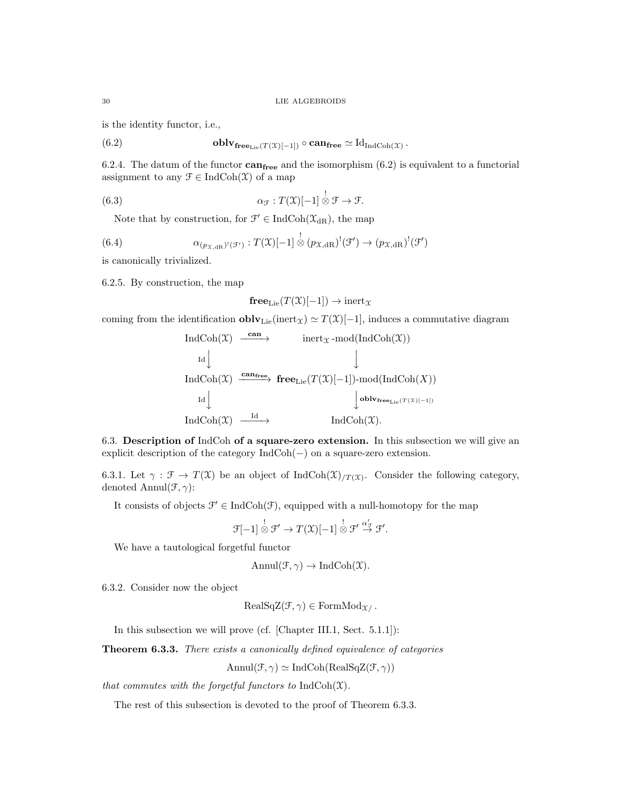is the identity functor, i.e.,

(6.2) 
$$
\mathbf{oblv}_{\mathbf{free}_{\mathbf{Lie}}(T(\mathcal{X})[-1])} \circ \mathbf{can}_{\mathbf{free}} \simeq \mathrm{Id}_{\mathrm{IndCoh}(\mathcal{X})}.
$$

6.2.4. The datum of the functor  $\textbf{can}_{\textbf{free}}$  and the isomorphism (6.2) is equivalent to a functorial assignment to any  $\mathcal{F} \in \text{IndCoh}(\mathcal{X})$  of a map

(6.3) 
$$
\alpha_{\mathcal{F}}: T(\mathfrak{X})[-1] \overset{!}{\otimes} \mathcal{F} \to \mathcal{F}.
$$

Note that by construction, for  $\mathcal{F}' \in \text{IndCoh}(\mathcal{X}_{dR})$ , the map

(6.4) 
$$
\alpha_{(p_{\mathfrak{X},\mathrm{dR}})^{\mathfrak{l}}(\mathcal{F}')} : T(\mathfrak{X})[-1] \overset{!}{\otimes} (p_{\mathfrak{X},\mathrm{dR}})^{\mathfrak{l}}(\mathcal{F}') \to (p_{\mathfrak{X},\mathrm{dR}})^{\mathfrak{l}}(\mathcal{F}')
$$

is canonically trivialized.

6.2.5. By construction, the map

$$
\mathbf{free}_{\mathrm{Lie}}(T(\mathfrak{X})[-1]) \to \mathrm{inert}_{\mathfrak{X}}
$$

coming from the identification  $\textbf{oblv}_{\text{Lie}}(\text{inert}_\mathcal{X}) \simeq T(\mathcal{X})[-1]$ , induces a commutative diagram

$$
\begin{array}{ccc}\n\text{IndCoh}(\mathfrak{X}) & \xrightarrow{\textbf{can}} & \text{inert}_{\mathfrak{X}}\text{-mod}(\text{IndCoh}(\mathfrak{X})) \\
\downarrow & & \downarrow \\
\text{IndCoh}(\mathfrak{X}) & \xrightarrow{\textbf{can}_{\textbf{free}}} & \textbf{free}_{\text{Lie}}(T(\mathfrak{X})[-1])\text{-mod}(\text{IndCoh}(X)) \\
\downarrow & & \downarrow \\
\text{IndCoh}(\mathfrak{X}) & \xrightarrow{\text{Id}} & & \downarrow \\
\text{IndCoh}(\mathfrak{X}) & \xrightarrow{\text{Id}} & & \text{IndCoh}(\mathfrak{X}).\n\end{array}
$$

6.3. Description of IndCoh of a square-zero extension. In this subsection we will give an explicit description of the category IndCoh(−) on a square-zero extension.

6.3.1. Let  $\gamma : \mathcal{F} \to T(\mathfrak{X})$  be an object of IndCoh $(\mathfrak{X})_{T(\mathfrak{X})}$ . Consider the following category, denoted Annul $(\mathcal{F}, \gamma)$ :

It consists of objects  $\mathcal{F}' \in \text{IndCoh}(\mathcal{F})$ , equipped with a null-homotopy for the map

$$
\mathcal{F}[-1]\overset{!}{\otimes}\mathcal{F}'\to T(\mathfrak{X})[-1]\overset{!}{\otimes}\mathcal{F}'\overset{\alpha'_{\mathcal{F}}}{\to}\mathcal{F}'.
$$

We have a tautological forgetful functor

$$
Annul(\mathcal{F}, \gamma) \to IndCoh(\mathcal{X}).
$$

6.3.2. Consider now the object

$$
RealSqZ(\mathcal{F}, \gamma) \in FormMod_{\mathcal{X}}.
$$

In this subsection we will prove (cf. [Chapter III.1, Sect. 5.1.1]):

Theorem 6.3.3. There exists a canonically defined equivalence of categories

$$
\text{Annul}(\mathcal{F}, \gamma) \simeq \text{IndCoh}(\text{RealSqZ}(\mathcal{F}, \gamma))
$$

that commutes with the forgetful functors to  $IndCoh(\mathfrak{X})$ .

The rest of this subsection is devoted to the proof of Theorem 6.3.3.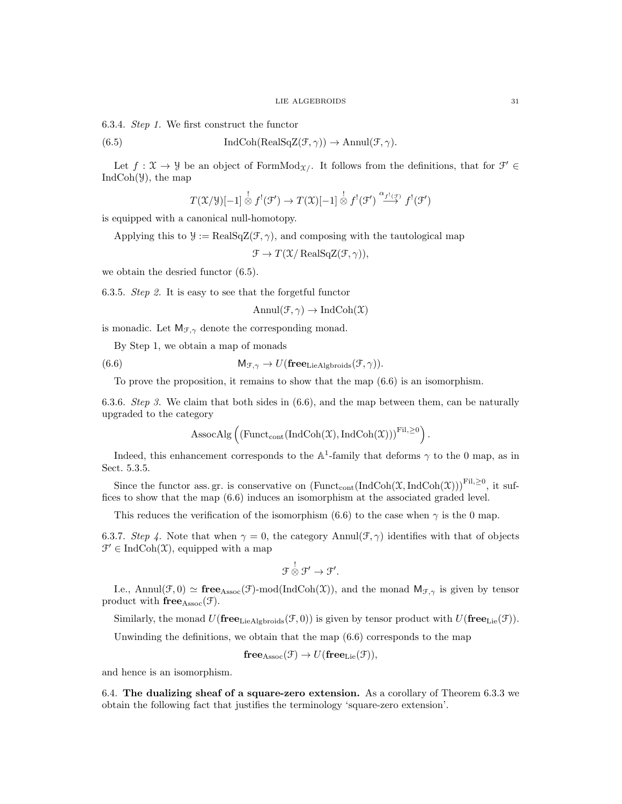6.3.4. Step 1. We first construct the functor

(6.5) 
$$
\operatorname{IndCoh}(\operatorname{RealSqZ}(\mathcal{F}, \gamma)) \to \operatorname{Annul}(\mathcal{F}, \gamma).
$$

Let  $f: \mathfrak{X} \to \mathcal{Y}$  be an object of FormMod<sub> $\mathfrak{X}/\mathfrak{t}$ </sub> It follows from the definitions, that for  $\mathcal{F}' \in$  $IndCoh(\mathcal{Y})$ , the map

$$
T(\mathfrak{X}/\mathfrak{Y})[-1] \overset{!}{\otimes} f^{!}(\mathfrak{F}') \to T(\mathfrak{X})[-1] \overset{!}{\otimes} f^{!}(\mathfrak{F}') \overset{\alpha_{f^{!}(\mathfrak{F})}}{\longrightarrow} f^{!}(\mathfrak{F}')
$$

is equipped with a canonical null-homotopy.

Applying this to  $\mathcal{Y} := \text{RealSqZ}(\mathcal{F}, \gamma)$ , and composing with the tautological map

 $\mathcal{F} \to T(\mathcal{X}/\operatorname{RealSqZ}(\mathcal{F}, \gamma)),$ 

we obtain the desried functor (6.5).

6.3.5. Step 2. It is easy to see that the forgetful functor

$$
Annul(\mathcal{F}, \gamma) \to IndCoh(\mathcal{X})
$$

is monadic. Let  $M_{\mathcal{F},\gamma}$  denote the corresponding monad.

By Step 1, we obtain a map of monads

(6.6) 
$$
M_{\mathcal{F}, \gamma} \to U(\mathbf{free}_{\text{LieAlgbroids}}(\mathcal{F}, \gamma)).
$$

To prove the proposition, it remains to show that the map (6.6) is an isomorphism.

6.3.6. Step 3. We claim that both sides in  $(6.6)$ , and the map between them, can be naturally upgraded to the category

$$
\mathrm{AssocAlg}\left(\left(\mathrm{Funct}_{\mathrm{cont}}(\mathrm{IndCoh}(\mathfrak{X}),\mathrm{IndCoh}(\mathfrak{X}))\right)^{\mathrm{Fil},\geq 0}\right).
$$

Indeed, this enhancement corresponds to the  $A^1$ -family that deforms  $\gamma$  to the 0 map, as in Sect. 5.3.5.

Since the functor ass. gr. is conservative on  $(\text{Funct}_{cont}(\text{IndCoh}(\mathfrak{X},\text{IndCoh}(\mathfrak{X})))^{Fil,\geq0}$ , it suffices to show that the map (6.6) induces an isomorphism at the associated graded level.

This reduces the verification of the isomorphism (6.6) to the case when  $\gamma$  is the 0 map.

6.3.7. Step 4. Note that when  $\gamma = 0$ , the category Annul( $\mathcal{F}, \gamma$ ) identifies with that of objects  $\mathcal{F}' \in \text{IndCoh}(\mathcal{X})$ , equipped with a map

$$
\mathfrak{F} \overset{!}{\otimes} \mathfrak{F}' \to \mathfrak{F}'.
$$

I.e., Annul(F, 0)  $\simeq$  free<sub>Assoc</sub>(F)-mod(IndCoh(X)), and the monad M<sub>F, $\gamma$ </sub> is given by tensor product with  $free<sub>Assoc</sub>(\mathcal{F})$ .

Similarly, the monad  $U(\mathbf{free}_{\text{LieAlgbroids}}(\mathcal{F}, 0))$  is given by tensor product with  $U(\mathbf{free}_{\text{Lie}}(\mathcal{F}))$ .

Unwinding the definitions, we obtain that the map (6.6) corresponds to the map

$$
freeAssoc(\mathcal{F}) \to U(freeLie(\mathcal{F})),
$$

and hence is an isomorphism.

6.4. The dualizing sheaf of a square-zero extension. As a corollary of Theorem 6.3.3 we obtain the following fact that justifies the terminology 'square-zero extension'.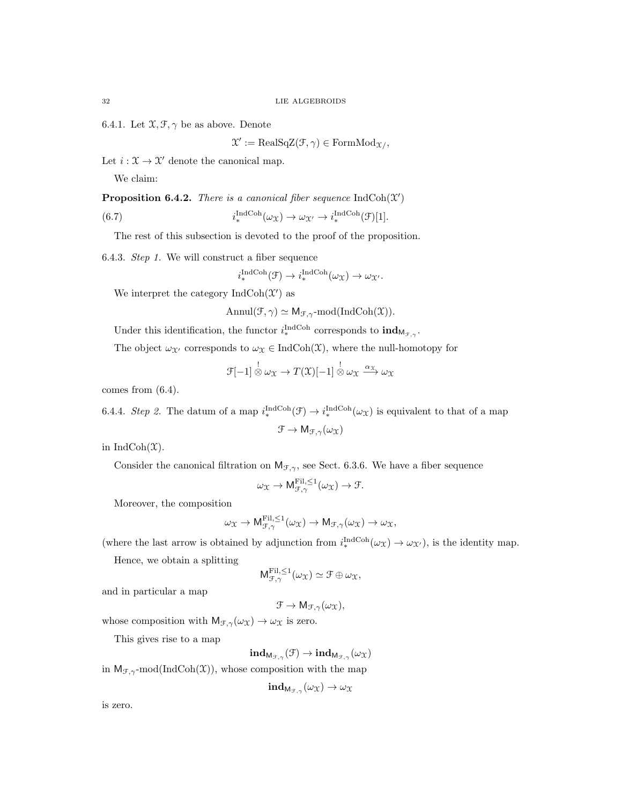6.4.1. Let  $\mathfrak{X}, \mathfrak{F}, \gamma$  be as above. Denote

 $\mathfrak{X}' := \text{RealSqZ}(\mathcal{F}, \gamma) \in \text{FormMod}_{\mathfrak{X}/},$ 

Let  $i : \mathfrak{X} \to \mathfrak{X}'$  denote the canonical map.

We claim:

**Proposition 6.4.2.** There is a canonical fiber sequence  $IndCoh(\mathcal{X}')$ 

(6.7) 
$$
i^{\text{IndCoh}}_{*}(\omega_{\mathfrak{X}}) \to \omega_{\mathfrak{X}'} \to i^{\text{IndCoh}}_{*}(\mathfrak{F})[1].
$$

The rest of this subsection is devoted to the proof of the proposition.

6.4.3. Step 1. We will construct a fiber sequence

$$
i^{\text{IndCoh}}_*(\mathcal{F}) \to i^{\text{IndCoh}}_*(\omega_{\mathcal{X}}) \to \omega_{\mathcal{X}}.
$$

We interpret the category  $\text{IndCoh}(\mathcal{X}')$  as

Annul $(\mathcal{F}, \gamma) \simeq \mathsf{M}_{\mathcal{F}, \gamma}$ -mod $(\text{IndCoh}(\mathfrak{X})).$ 

Under this identification, the functor  $i_{*}^{\text{IndCoh}}$  corresponds to  $\text{ind}_{M_{\mathcal{F},\gamma}}$ .

The object  $\omega_{\mathfrak{X}'}$  corresponds to  $\omega_{\mathfrak{X}} \in \text{IndCoh}(\mathfrak{X})$ , where the null-homotopy for

$$
\mathcal{F}[-1] \overset{!}{\otimes} \omega_{\mathfrak{X}} \to T(\mathfrak{X})[-1] \overset{!}{\otimes} \omega_{\mathfrak{X}} \xrightarrow{\alpha_{\mathfrak{X}}} \omega_{\mathfrak{X}}
$$

comes from (6.4).

6.4.4. Step 2. The datum of a map  $i_*^{\text{IndCoh}}(\mathcal{F}) \to i_*^{\text{IndCoh}}(\omega_{\mathcal{X}})$  is equivalent to that of a map  $\mathcal{F} \to M_{\mathcal{F},\gamma}(\omega_{\mathfrak{X}})$ 

in IndCoh $(\mathfrak{X})$ .

Consider the canonical filtration on  $M_{\mathcal{F},\gamma}$ , see Sect. 6.3.6. We have a fiber sequence

$$
\omega_{\mathfrak{X}} \to \mathsf{M}^{\mathrm{Fil},\leq 1}_{\mathcal{F},\gamma}(\omega_{\mathfrak{X}}) \to \mathcal{F}.
$$

Moreover, the composition

$$
\omega_{\mathfrak{X}} \to \mathsf{M}_{\mathcal{F}, \gamma}^{\mathrm{Fil}, \leq 1}(\omega_{\mathfrak{X}}) \to \mathsf{M}_{\mathcal{F}, \gamma}(\omega_{\mathfrak{X}}) \to \omega_{\mathfrak{X}},
$$

(where the last arrow is obtained by adjunction from  $i_*^{\text{IndCoh}}(\omega_X) \to \omega_{\mathcal{X}}$ ), is the identity map.

Hence, we obtain a splitting

$$
M_{\mathcal{F},\gamma}^{\text{Fil},\leq 1}(\omega_{\mathfrak{X}}) \simeq \mathcal{F} \oplus \omega_{\mathfrak{X}},
$$

and in particular a map

$$
\mathcal{F} \to \mathsf{M}_{\mathcal{F},\gamma}(\omega_{\mathfrak{X}}),
$$

whose composition with  $M_{\mathcal{F},\gamma}(\omega_X) \to \omega_X$  is zero.

This gives rise to a map

 $\mathbf{ind}_{\mathsf{M}_{\mathcal{F},\gamma}}(\mathcal{F}) \rightarrow \mathbf{ind}_{\mathsf{M}_{\mathcal{F},\gamma}}(\omega_{\mathfrak{X}})$ 

in  $M_{\mathcal{F},\gamma}$ -mod(IndCoh(X)), whose composition with the map

$$
\mathbf{ind}_{\mathsf{M}_{\mathcal{F},\gamma}}(\omega_{\mathfrak{X}}) \to \omega_{\mathfrak{X}}
$$

is zero.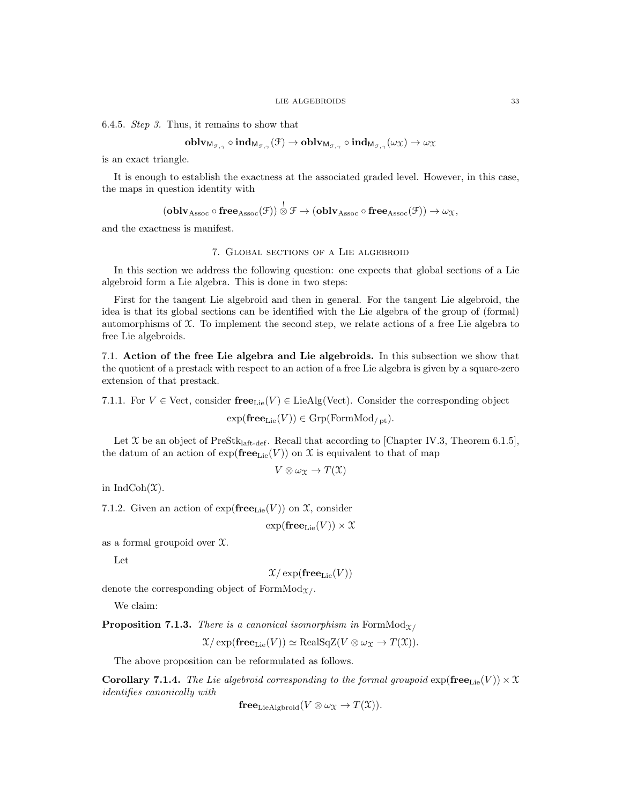6.4.5. Step 3. Thus, it remains to show that

$$
\operatorname{\mathbf{oblv}}_{\mathsf{M}_{\mathcal{F},\gamma}}\circ\operatorname{\mathbf{ind}}_{\mathsf{M}_{\mathcal{F},\gamma}}(\mathcal{F})\to\operatorname{\mathbf{oblv}}_{\mathsf{M}_{\mathcal{F},\gamma}}\circ\operatorname{\mathbf{ind}}_{\mathsf{M}_{\mathcal{F},\gamma}}(\omega_\mathfrak{X})\to\omega_\mathfrak{X}
$$

is an exact triangle.

It is enough to establish the exactness at the associated graded level. However, in this case, the maps in question identity with

 $(\mathbf{oblv}_\mathrm{Assoc} \circ \mathbf{free}_\mathrm{Assoc}(\mathcal{F})) \overset{!}{\otimes} \mathcal{F} \to (\mathbf{oblv}_\mathrm{Assoc} \circ \mathbf{free}_\mathrm{Assoc}(\mathcal{F})) \to \omega_{\mathcal{X}},$ 

and the exactness is manifest.

# 7. Global sections of a Lie algebroid

In this section we address the following question: one expects that global sections of a Lie algebroid form a Lie algebra. This is done in two steps:

First for the tangent Lie algebroid and then in general. For the tangent Lie algebroid, the idea is that its global sections can be identified with the Lie algebra of the group of (formal) automorphisms of X. To implement the second step, we relate actions of a free Lie algebra to free Lie algebroids.

7.1. Action of the free Lie algebra and Lie algebroids. In this subsection we show that the quotient of a prestack with respect to an action of a free Lie algebra is given by a square-zero extension of that prestack.

7.1.1. For  $V \in$  Vect, consider free<sub>Lie</sub> $(V) \in$  LieAlg(Vect). Consider the corresponding object

 $exp(\mathbf{free}_{Lie}(V)) \in \mathrm{Grp}(\mathrm{FormMod}_{/pt}).$ 

Let  $\mathfrak X$  be an object of PreStk<sub>laft-def</sub>. Recall that according to [Chapter IV.3, Theorem 6.1.5], the datum of an action of  $\exp(\mathbf{free}_{\text{Lie}}(V))$  on X is equivalent to that of map

$$
V\otimes \omega_{\mathfrak{X}}\to T(\mathfrak{X})
$$

in IndCoh $(\mathfrak{X})$ .

7.1.2. Given an action of  $exp(free<sub>Lie</sub>(V))$  on X, consider

 $\exp(\mathbf{free}_{\mathrm{Lie}}(V)) \times \mathfrak{X}$ 

as a formal groupoid over X.

Let

 $\mathfrak{X}/\exp(\mathbf{free}_{\mathrm{Lie}}(V))$ 

denote the corresponding object of FormMod $_{\Upsilon}$ .

We claim:

**Proposition 7.1.3.** There is a canonical isomorphism in FormMod<sub>X/</sub>

 $\mathfrak{X}/\exp(\mathbf{free}_{\mathrm{Lie}}(V)) \simeq \mathrm{RealSqZ}(V \otimes \omega_{\mathfrak{X}} \to T(\mathfrak{X})).$ 

The above proposition can be reformulated as follows.

**Corollary 7.1.4.** The Lie algebroid corresponding to the formal groupoid  $\exp(\mathbf{free}_{\text{Lie}}(V)) \times \mathcal{X}$ identifies canonically with

 $free_{LieAlphroid}(V \otimes \omega_T \rightarrow T(\mathfrak{X})).$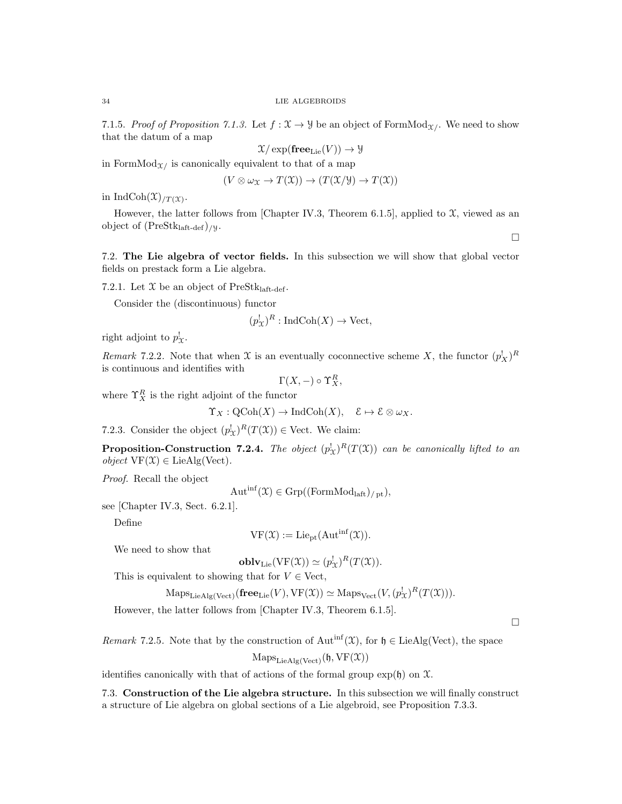7.1.5. Proof of Proposition 7.1.3. Let  $f: \mathcal{X} \to \mathcal{Y}$  be an object of FormMod<sub>X</sub>. We need to show that the datum of a map

$$
\mathfrak{X}/\exp(\mathbf{free}_{\mathrm{Lie}}(V)) \to \mathcal{Y}
$$

in FormMod $\chi$  is canonically equivalent to that of a map

$$
(V \otimes \omega_{\mathfrak{X}} \to T(\mathfrak{X})) \to (T(\mathfrak{X}/\mathfrak{Y}) \to T(\mathfrak{X}))
$$

in IndCoh $(\mathfrak{X})_{/T}(\mathfrak{X})$ .

However, the latter follows from [Chapter IV.3, Theorem 6.1.5], applied to  $\mathfrak{X}$ , viewed as an object of  $(PreStk<sub>laff-def</sub>)$ /y.

7.2. The Lie algebra of vector fields. In this subsection we will show that global vector fields on prestack form a Lie algebra.

7.2.1. Let  $\mathfrak X$  be an object of PreStklaft-def.

Consider the (discontinuous) functor

$$
(p_{\mathcal{X}}^!)^R: \mathrm{IndCoh}(X) \to \mathrm{Vect},
$$

right adjoint to  $p_{\mathfrak{X}}^!$ .

Remark 7.2.2. Note that when X is an eventually coconnective scheme X, the functor  $(p_X^!)^R$ is continuous and identifies with

 $\Gamma(X, -) \circ \Upsilon_X^R$ 

where  $\Upsilon_X^R$  is the right adjoint of the functor

 $\Upsilon_X : \mathrm{QCoh}(X) \to \mathrm{IndCoh}(X), \quad \mathcal{E} \mapsto \mathcal{E} \otimes \omega_X.$ 

7.2.3. Consider the object  $(p_{\mathcal{X}}^!)^R(T(\mathcal{X})) \in \text{Vect}$ . We claim:

**Proposition-Construction 7.2.4.** The object  $(p_X^!)^R(T(\mathfrak{X}))$  can be canonically lifted to an  $object \, VF(\mathfrak{X}) \in LieAlg(Vect).$ 

Proof. Recall the object

 $Aut<sup>inf</sup>(X) \in Grp((FormMod<sub>laff</sub>)<sub>/pt</sub>),$ 

see [Chapter IV.3, Sect. 6.2.1].

Define

$$
VF(\mathfrak{X}) := Lie_{pt}(Aut^{inf}(\mathfrak{X})).
$$

We need to show that

 $\mathbf{oblv}_{\mathrm{Lie}}(\mathrm{VF}(\mathfrak{X})) \simeq (p^!_{\mathfrak{X}})^R(T(\mathfrak{X})).$ 

This is equivalent to showing that for  $V \in$  Vect,

$$
\mathrm{Maps}_{\mathrm{LieAlg}(\mathrm{Vect})}(\mathbf{free}_{\mathrm{Lie}}(V), \mathrm{VF}(\mathfrak{X})) \simeq \mathrm{Maps}_{\mathrm{Vect}}(V, (p_{\mathfrak{X}}^{!})^{R}(T(\mathfrak{X}))).
$$

However, the latter follows from [Chapter IV.3, Theorem 6.1.5].

 $\Box$ 

 $\Box$ 

Remark 7.2.5. Note that by the construction of  $Aut<sup>inf</sup>(X)$ , for  $\mathfrak{h} \in LieAlg(Vect)$ , the space

$$
\mathrm{Maps}_{\mathrm{LieAlg}(\mathrm{Vect})}(\mathfrak{h},\mathrm{VF}(\mathfrak{X}))
$$

identifies canonically with that of actions of the formal group  $\exp(\mathfrak{h})$  on  $\mathfrak{X}$ .

7.3. Construction of the Lie algebra structure. In this subsection we will finally construct a structure of Lie algebra on global sections of a Lie algebroid, see Proposition 7.3.3.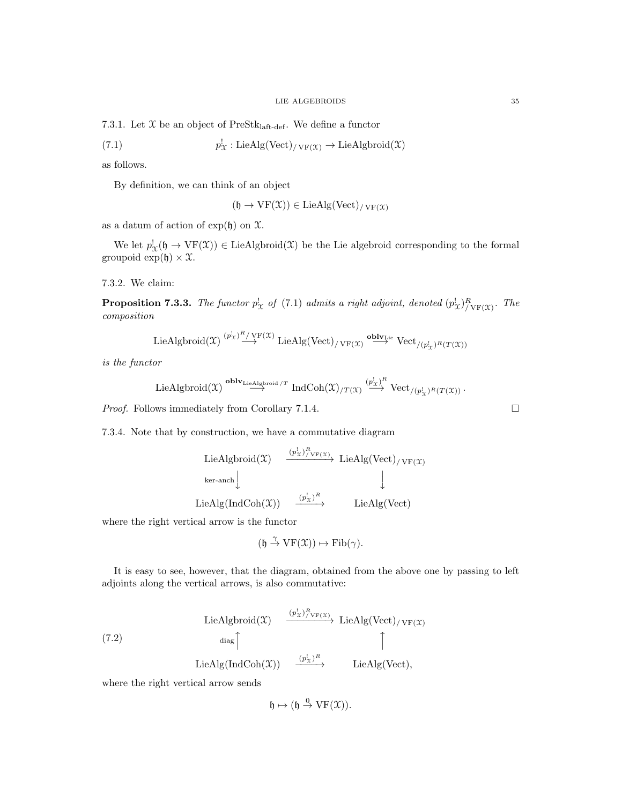7.3.1. Let  $\mathfrak X$  be an object of PreStk<sub>laft-def</sub>. We define a functor

(7.1) 
$$
p_{\mathcal{X}}^! : \text{LieAlg}(\text{Vect})_{/\text{VF}(\mathcal{X})} \to \text{LieAlgbroid}(\mathcal{X})
$$

as follows.

By definition, we can think of an object

$$
(\mathfrak{h} \to \mathrm{VF}(\mathfrak{X})) \in \mathrm{LieAlg}(\mathrm{Vect})_{/\mathrm{VF}(\mathfrak{X})}
$$

as a datum of action of  $\exp(\mathfrak{h})$  on  $\mathfrak{X}$ .

We let  $p_{\mathfrak{X}}^{\mathfrak{l}}(\mathfrak{h} \to \mathrm{VF}(\mathfrak{X})) \in \mathrm{LieAlgbroid}(\mathfrak{X})$  be the Lie algebroid corresponding to the formal groupoid  $\exp(\mathfrak{h}) \times \mathfrak{X}$ .

7.3.2. We claim:

**Proposition 7.3.3.** The functor  $p_{\chi}^!$  of (7.1) admits a right adjoint, denoted  $(p_{\chi}^!)_{/\text{VF}(\chi)}^R$ . The composition

 $\text{LieAlgbroid}(\mathfrak{X}) \stackrel{(p_{\mathfrak{X}}^{\text{I}})^R/\text{VF}(\mathfrak{X})}{\longrightarrow} \text{LieAlg}(\text{Vect})_{/\text{VF}(\mathfrak{X})} \stackrel{\textbf{oblv}_{\text{Lie}}}{\longrightarrow} \text{Vect}_{/(p_{\mathfrak{X}}^{\text{I}})^R(T(\mathfrak{X}))}$ 

is the functor

LieAlgbroid(
$$
\mathfrak{X}
$$
)<sup>oblv</sup><sub>LieAlgbroid/ $T$ IndCoh $(\mathfrak{X})_{/T(\mathfrak{X})}$  <sup>$(p_{\mathfrak{X}}^{\dagger})^R$</sup>  Vect <sub>$/(p_{\mathfrak{X}}^{\dagger})^R(T(\mathfrak{X}))$ .</sub></sub>

*Proof.* Follows immediately from Corollary 7.1.4.  $\square$ 

7.3.4. Note that by construction, we have a commutative diagram

\n
$$
\text{LieAlgbroid}(\mathfrak{X}) \xrightarrow{\left(\frac{p_X^{\dagger}\right)^R \text{VF}(\mathfrak{X})}{R \text{Var-arch}}} \text{LieAlg}(\text{Vect})/\text{VF}(\mathfrak{X})
$$
\n

\n\n $\text{LieAlg}(\text{IndCoh}(\mathfrak{X})) \xrightarrow{\left(\frac{p_X^{\dagger}\right)^R}{R \text{Var}}}$ \n

\n\n $\text{LieAlg}(\text{Vect})$ \n

where the right vertical arrow is the functor

$$
(\mathfrak{h}\stackrel{\gamma}{\to} \mathrm{VF}(\mathfrak{X}))\mapsto \mathrm{Fib}(\gamma).
$$

It is easy to see, however, that the diagram, obtained from the above one by passing to left adjoints along the vertical arrows, is also commutative:

$$
\begin{array}{ccc}\n\text{LieAlgbroid}(\mathfrak{X}) & \xrightarrow{(p_{\mathfrak{X}}^{\dagger})^R_{\text{VF}(\mathfrak{X})}} \text{LieAlg}(\text{Vect})_{/\text{VF}(\mathfrak{X})} \\
\downarrow \text{diag}\n\uparrow & \uparrow\n\end{array}
$$
\n
$$
\begin{array}{ccc}\n\text{LieAlg}(\text{IndCoh}(\mathfrak{X})) & \xrightarrow{(p_{\mathfrak{X}}^{\dagger})^R} & \text{LieAlg}(\text{Vect}),\n\end{array}
$$

where the right vertical arrow sends

$$
\mathfrak{h} \mapsto (\mathfrak{h} \stackrel{0}{\to} \mathrm{VF}(\mathfrak{X})).
$$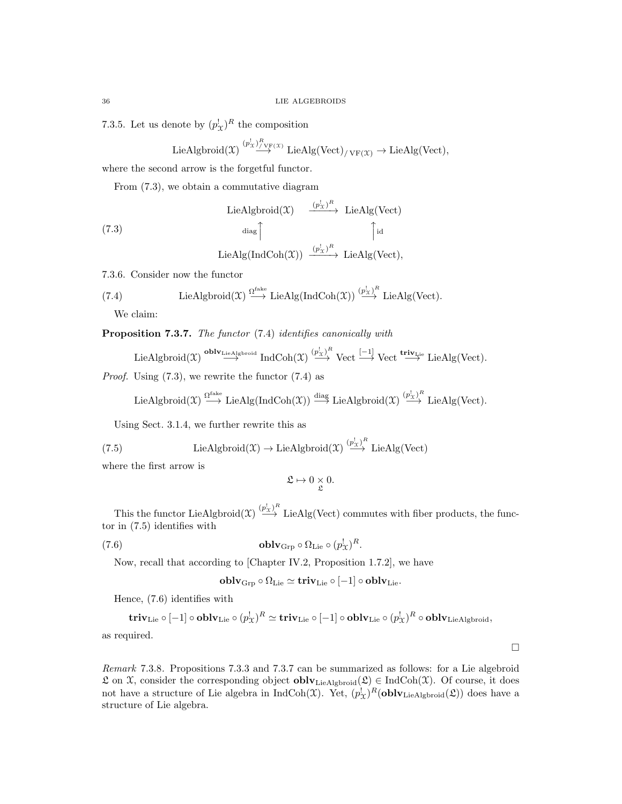7.3.5. Let us denote by  $(p_{\mathcal{X}}^!)^R$  the composition

$$
\text{LieAlgbroid}(\mathfrak{X}) \stackrel{(p_X^!)^R_{/VF}(\mathfrak{X})}{\longrightarrow} \text{LieAlg}(\text{Vect})_{/VF}(\mathfrak{X}) \longrightarrow \text{LieAlg}(\text{Vect}),
$$

where the second arrow is the forgetful functor.

From (7.3), we obtain a commutative diagram

(7.3)  
\n
$$
\begin{array}{ccc}\n \text{LieAlgbroid}(\mathfrak{X}) & \xrightarrow{(p_X^!)^R} & \text{LieAlg}(\text{Vect}) \\
 \downarrow^{\text{diag}} & \uparrow^{\text{id}} \\
 \text{LieAlg}(\text{IndCoh}(\mathfrak{X})) & \xrightarrow{(p_X^!)^R} & \text{LieAlg}(\text{Vect}),\n \end{array}
$$

7.3.6. Consider now the functor

(7.4) LieAlgbroid(
$$
\mathfrak{X}
$$
)  $\stackrel{\Omega^{\text{fake}}}{\longrightarrow}$  LieAlg(IndCoh( $\mathfrak{X}$ ))  $\stackrel{(p_X^!)^R}{\longrightarrow}$  LieAlg(Vect).

We claim:

Proposition 7.3.7. The functor (7.4) identifies canonically with

 $\text{LieAlgbroid}(\mathfrak{X}) \stackrel{\textbf{oblv}_\textbf{LieAlgbroid}}{\longrightarrow} \text{IndCoh}(\mathfrak{X}) \stackrel{(p_X^l)^R}{\longrightarrow} \text{Vect} \stackrel{[-1]}{\longrightarrow} \text{Vect} \stackrel{\textbf{triv}_\textbf{Lie}}{\longrightarrow} \text{LieAlg}(\text{Vect}).$ 

*Proof.* Using  $(7.3)$ , we rewrite the functor  $(7.4)$  as

$$
\text{LieAlgbroid}(\mathfrak{X}) \xrightarrow{\Omega^{\text{fake}}} \text{LieAlg}(\text{IndCoh}(\mathfrak{X})) \xrightarrow{\text{diag}} \text{LieAlgbroid}(\mathfrak{X}) \xrightarrow{(p_X^!)^R} \text{LieAlg}(\text{Vect}).
$$

Using Sect. 3.1.4, we further rewrite this as

(7.5) LieAlgbroid(
$$
\mathfrak{X}
$$
)  $\rightarrow$  LieAlgbroid( $\mathfrak{X}$ )  $\xrightarrow{(p_X^1)^R}$ LieAlg(Vect)

where the first arrow is

$$
\mathfrak{L} \mapsto 0 \underset{\mathfrak{L}}{\times} 0.
$$

This the functor Lie Algbroid $(\mathfrak{X}) \stackrel{(p_X^l)^R}{\longrightarrow}$  Lie Alg(Vect) commutes with fiber products, the functor in (7.5) identifies with

(7.6) 
$$
\mathbf{oblv}_{\mathrm{Grp}} \circ \Omega_{\mathrm{Lie}} \circ (p_{\mathcal{X}}^!)^R.
$$

Now, recall that according to [Chapter IV.2, Proposition 1.7.2], we have

$$
\mathbf{oblv}_{\mathrm{Grp}} \circ \Omega_{\mathrm{Lie}} \simeq \mathbf{triv}_{\mathrm{Lie}} \circ [-1] \circ \mathbf{oblv}_{\mathrm{Lie}}.
$$

Hence, (7.6) identifies with

 $\mathrm{\bf triv}_\mathrm{\rm Lie}\circ[-1]\circ\mathbf{oblv}_\mathrm{\rm Lie}\circ(p_\mathrm{X}^!)^R\simeq\mathrm{\bf triv}_\mathrm{\rm Lie}\circ[-1]\circ\mathbf{oblv}_\mathrm{\rm Lie}\circ(p_\mathrm{X}^!)^R\circ\mathbf{oblv}_\mathrm{\rm LieAlgbroid},$ 

as required.

Remark 7.3.8. Propositions 7.3.3 and 7.3.7 can be summarized as follows: for a Lie algebroid  $\mathcal L$  on  $\mathcal X$ , consider the corresponding object **oblv**<sub>LieAlgbroid</sub>( $\mathcal L$ ) ∈ IndCoh( $\mathcal X$ ). Of course, it does not have a structure of Lie algebra in  $IndCoh(\mathfrak{X})$ . Yet,  $(p_X^!)^R(\textbf{oblv}_{\text{LieAlgbroid}}(\mathfrak{L}))$  does have a structure of Lie algebra.

 $\Box$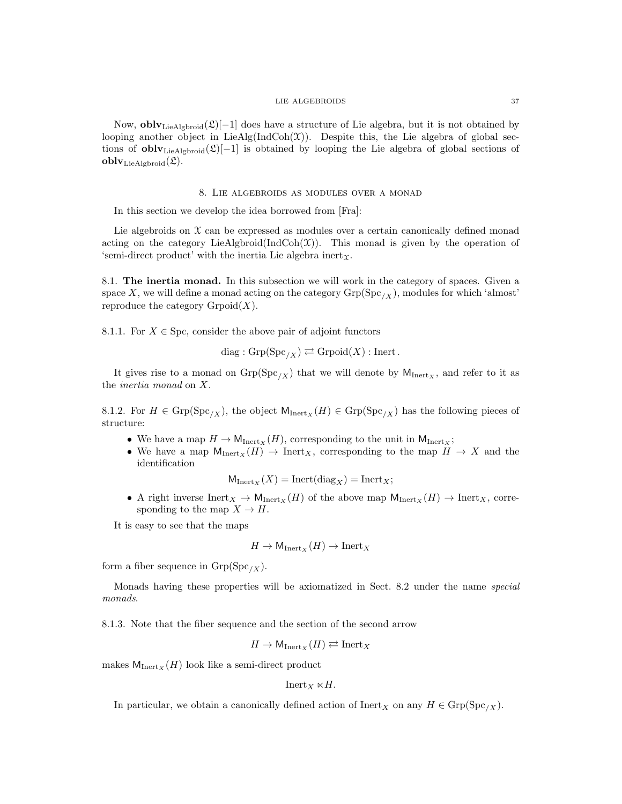Now,  $oblv_{\text{LieAlgbroid}}(\mathfrak{L})[-1]$  does have a structure of Lie algebra, but it is not obtained by looping another object in  $LieAlg(IndCoh(\mathcal{X}))$ . Despite this, the Lie algebra of global sections of **obly**<sub>LieAlgbroid</sub>( $\mathfrak{L}$ )[−1] is obtained by looping the Lie algebra of global sections of  $\operatorname{\textbf{oblv}}_{\operatorname{LieAlgbroid}}(\mathfrak{L}).$ 

### 8. Lie algebroids as modules over a monad

In this section we develop the idea borrowed from [Fra]:

Lie algebroids on  $\mathfrak X$  can be expressed as modules over a certain canonically defined monad acting on the category LieAlgbroid(IndCoh $(\mathfrak{X})$ ). This monad is given by the operation of 'semi-direct product' with the inertia Lie algebra inert $\chi$ .

8.1. The inertia monad. In this subsection we will work in the category of spaces. Given a space X, we will define a monad acting on the category  $\text{Grp}(Spc_{X})$ , modules for which 'almost' reproduce the category  $Gr{proj}(X)$ .

8.1.1. For  $X \in \text{Spc}$ , consider the above pair of adjoint functors

$$
diag: \mathrm{Grp}(\mathrm{Spc}_{/X}) \rightleftarrows \mathrm{Grpoid}(X): \mathrm{Inert}.
$$

It gives rise to a monad on  $\text{Grp}(Spec_X)$  that we will denote by  $M_{Inertz}$ , and refer to it as the inertia monad on X.

8.1.2. For  $H \in \text{Grp}(Spc_{/X})$ , the object  $M_{\text{Inert}_X}(H) \in \text{Grp}(Spc_{/X})$  has the following pieces of structure:

- We have a map  $H \to M_{\text{Inert}_X}(H)$ , corresponding to the unit in  $M_{\text{Inert}_X}$ ;
- We have a map  $M_{\text{Inert}_X}(H) \to \text{Inert}_X$ , corresponding to the map  $H \to X$  and the identification

$$
M_{\text{Inert}_X}(X) = \text{Inert}(\text{diag}_X) = \text{Inert}_X;
$$

• A right inverse  $\text{Inert}_X \to \mathsf{M}_{\text{Inert}_X}(H)$  of the above map  $\mathsf{M}_{\text{Inert}_X}(H) \to \text{Inert}_X$ , corresponding to the map  $X \to H$ .

It is easy to see that the maps

$$
H \to \mathsf{M}_{\mathrm{Inert}_X}(H) \to \mathrm{Inert}_X
$$

form a fiber sequence in  $Grp(Spc_{/X})$ .

Monads having these properties will be axiomatized in Sect. 8.2 under the name special monads.

8.1.3. Note that the fiber sequence and the section of the second arrow

$$
H \to \mathsf{M}_{\mathrm{Inert}_X}(H) \rightleftarrows \mathrm{Inert}_X
$$

makes  $M_{\text{Inert}_X}(H)$  look like a semi-direct product

$$
Inert_X \ltimes H.
$$

In particular, we obtain a canonically defined action of  $\text{Inert}_X$  on any  $H \in \text{Grp}(Spc_{X}).$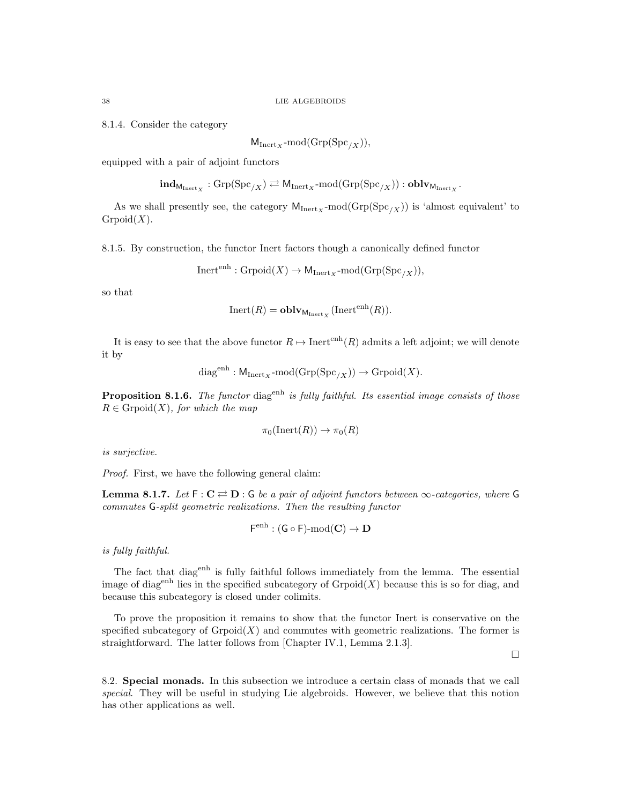8.1.4. Consider the category

$$
M_{\text{Inert}_X}\text{-mod}(\text{Grp}(\text{Spc}_{/X})),
$$

equipped with a pair of adjoint functors

 $\textbf{ind}_{\text{M}_{\text{Inert}_X}} : \text{Grp}(\text{Spc}_{/X}) \rightleftarrows \text{M}_{\text{Inert}_X}\text{-mod}(\text{Grp}(\text{Spc}_{/X})) : \textbf{oblv}_{\text{M}_{\text{Inert}_X}}.$ 

As we shall presently see, the category  $M_{\text{Inert}_X} \text{-mod}(\text{Grp}(Spc_{/X}))$  is 'almost equivalent' to  $Group(X).$ 

8.1.5. By construction, the functor Inert factors though a canonically defined functor

 $Iner^{enh}: Grpoid(X) \to M_{Inert_X}\text{-mod}(Grp(Spc_{/X})),$ 

so that

$$
Inert(R) = oblvMnertx (Inertenh(R)).
$$

It is easy to see that the above functor  $R \mapsto \text{Inert}^{\text{enh}}(R)$  admits a left adjoint; we will denote it by

$$
diag^{enh}: \mathsf{M}_{\mathrm{Inert}_X}\text{-mod}(\mathrm{Grp}({\mathrm{Spc}}_{/X}))\to{\mathrm{Grpoid}}(X).
$$

**Proposition 8.1.6.** The functor diag<sup>enh</sup> is fully faithful. Its essential image consists of those  $R \in \text{Gropoid}(X)$ , for which the map

$$
\pi_0(\mathrm{Inert}(R)) \to \pi_0(R)
$$

is surjective.

Proof. First, we have the following general claim:

**Lemma 8.1.7.** Let  $F: C \rightleftarrows D: G$  be a pair of adjoint functors between  $\infty$ -categories, where G commutes G-split geometric realizations. Then the resulting functor

$$
F^{\operatorname{enh}}:(G\circ F)\operatorname{\!-mod}(C)\to D
$$

is fully faithful.

The fact that diagent is fully faithful follows immediately from the lemma. The essential image of diag<sup>enh</sup> lies in the specified subcategory of  $Gronoid(X)$  because this is so for diag, and because this subcategory is closed under colimits.

To prove the proposition it remains to show that the functor Inert is conservative on the specified subcategory of  $Gr{poid}(X)$  and commutes with geometric realizations. The former is straightforward. The latter follows from [Chapter IV.1, Lemma 2.1.3].

 $\Box$ 

8.2. Special monads. In this subsection we introduce a certain class of monads that we call special. They will be useful in studying Lie algebroids. However, we believe that this notion has other applications as well.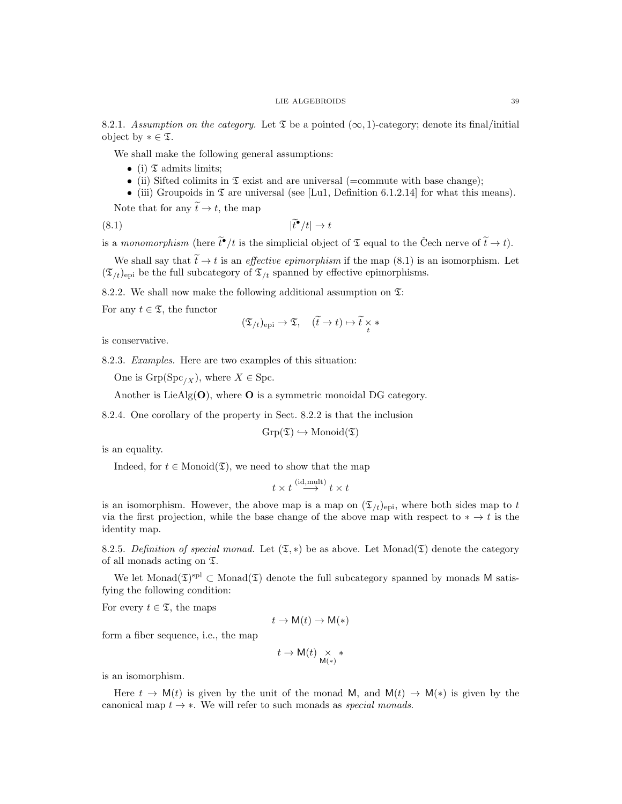8.2.1. Assumption on the category. Let  $\mathfrak T$  be a pointed  $(\infty, 1)$ -category; denote its final/initial object by  $* \in \mathfrak{T}$ .

We shall make the following general assumptions:

- (i)  $\mathfrak T$  admits limits;
- (ii) Sifted colimits in  $\mathfrak T$  exist and are universal (=commute with base change);
- (iii) Groupoids in  $\mathfrak T$  are universal (see [Lu1, Definition 6.1.2.14] for what this means).

Note that for any  $\widetilde{t} \to t$ , the map

$$
(8.1) \t\t\t\t |\tilde{t}^{\bullet}/t| \to t
$$

is a monomorphism (here  $\tilde{t}^{\bullet}/t$  is the simplicial object of  $\mathfrak T$  equal to the Čech nerve of  $\tilde{t} \to t$ ).

We shall say that  $\tilde{t} \to t$  is an *effective epimorphism* if the map (8.1) is an isomorphism. Let  $(\mathfrak{T}_{/t})_{\text{epi}}$  be the full subcategory of  $\mathfrak{T}_{/t}$  spanned by effective epimorphisms.

8.2.2. We shall now make the following additional assumption on  $\mathfrak{T}$ :

For any  $t \in \mathfrak{T}$ , the functor

$$
(\mathfrak{T}_{/t})_{\operatorname{epi}} \to \mathfrak{T}, \quad (\widetilde{t} \to t) \mapsto \widetilde{t} \underset{t}{\times} *
$$

is conservative.

8.2.3. Examples. Here are two examples of this situation:

One is  $\text{Grp}( \text{Spc}_{X}), \text{ where } X \in \text{Spc}.$ 

Another is LieAlg $(O)$ , where O is a symmetric monoidal DG category.

8.2.4. One corollary of the property in Sect. 8.2.2 is that the inclusion

 $Grp(\mathfrak{T}) \hookrightarrow \text{Monoid}(\mathfrak{T})$ 

is an equality.

Indeed, for  $t \in \text{Monoid}(\mathfrak{T})$ , we need to show that the map

$$
t \times t \stackrel{\text{(id,mult)}}{\longrightarrow} t \times t
$$

is an isomorphism. However, the above map is a map on  $(\mathfrak{T}_t)_{\text{epi}}$ , where both sides map to t via the first projection, while the base change of the above map with respect to  $* \to t$  is the identity map.

8.2.5. Definition of special monad. Let  $(\mathfrak{T},*)$  be as above. Let Monad( $\mathfrak{T}$ ) denote the category of all monads acting on T.

We let Monad $(\mathfrak{I})^{\text{spl}} \subset \text{Monad}(\mathfrak{I})$  denote the full subcategory spanned by monads M satisfying the following condition:

For every  $t \in \mathfrak{T}$ , the maps

$$
t \to \mathsf{M}(t) \to \mathsf{M}(*)
$$

form a fiber sequence, i.e., the map

$$
t\to \mathsf{M}(t)\underset{\mathsf{M}(\ast)}{\times}\ast
$$

is an isomorphism.

Here  $t \to M(t)$  is given by the unit of the monad M, and  $M(t) \to M(*)$  is given by the canonical map  $t \to *$ . We will refer to such monads as *special monads*.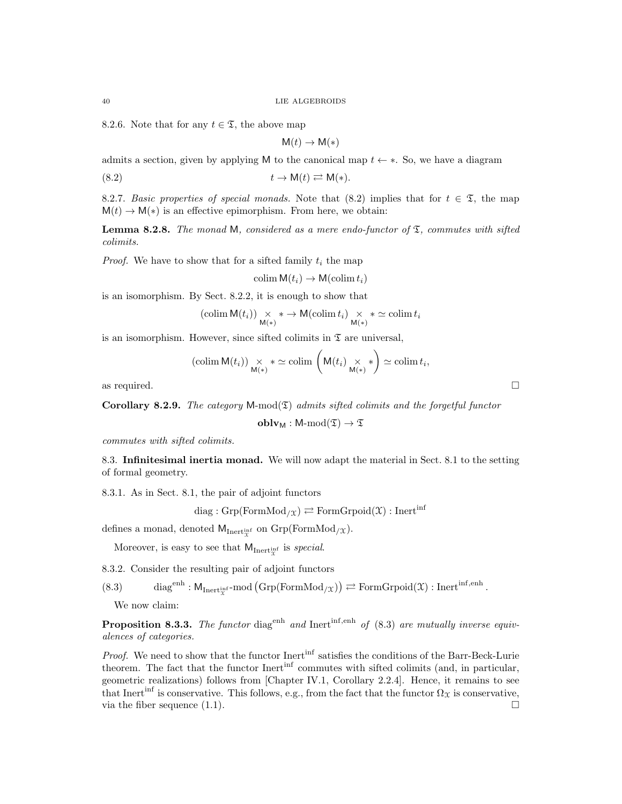8.2.6. Note that for any  $t \in \mathfrak{T}$ , the above map

$$
M(t) \to M(*)
$$

admits a section, given by applying M to the canonical map  $t \leftarrow *$ . So, we have a diagram

$$
(8.2) \t t \to M(t) \rightleftarrows M(*)
$$

8.2.7. Basic properties of special monads. Note that (8.2) implies that for  $t \in \mathcal{I}$ , the map  $M(t) \to M(*)$  is an effective epimorphism. From here, we obtain:

**Lemma 8.2.8.** The monad M, considered as a mere endo-functor of  $\mathfrak{T}$ , commutes with sifted colimits.

*Proof.* We have to show that for a sifted family  $t_i$  the map

$$
\operatorname{colim} \mathsf{M}(t_i) \to \mathsf{M}(\operatorname{colim} t_i)
$$

is an isomorphism. By Sect. 8.2.2, it is enough to show that

$$
(\operatorname{colim} \mathsf{M}(t_i)) \underset{\mathsf{M}(\ast)}{\times} \ast \to \mathsf{M}(\operatorname{colim} t_i) \underset{\mathsf{M}(\ast)}{\times} \ast \simeq \operatorname{colim} t_i
$$

is an isomorphism. However, since sifted colimits in  $\mathfrak T$  are universal,

$$
(\operatorname{colim} \mathsf{M}(t_i)) \underset{\mathsf{M}(\ast)}{\times} \ast \simeq \operatorname{colim} \left(\mathsf{M}(t_i) \underset{\mathsf{M}(\ast)}{\times} \ast\right) \simeq \operatorname{colim} t_i,
$$
 as required.

Corollary 8.2.9. The category  $M-mod(\mathfrak{T})$  admits sifted colimits and the forgetful functor

 $oblv_M : M\text{-mod}(\mathfrak{T}) \to \mathfrak{T}$ 

commutes with sifted colimits.

8.3. Infinitesimal inertia monad. We will now adapt the material in Sect. 8.1 to the setting of formal geometry.

8.3.1. As in Sect. 8.1, the pair of adjoint functors

 $diag : \text{Grp}(\text{FormMod}_{/\mathfrak{X}}) \rightleftarrows \text{FormGrpoid}(\mathfrak{X}) : \text{Inert}^{\text{inf}}$ 

defines a monad, denoted  $M_{\text{Inert}^{\text{inf}}_{\chi}}$  on  $\text{Grp}(\text{FormMod}_{/\chi})$ .

Moreover, is easy to see that  $M_{\text{Inert}^{\text{inf}}_{x}}$  is *special*.

8.3.2. Consider the resulting pair of adjoint functors

(8.3) diag<sup>enh</sup>:  $M_{\text{Inert}_{\mathcal{X}}^{\text{inf}}}$ -mod  $(\text{Grp}(\text{FormMod}_{/\mathcal{X}})) \rightleftarrows \text{FormGrpoid}(\mathcal{X})$ : Inert<sup>inf,enh</sup>.

We now claim:

**Proposition 8.3.3.** The functor diag<sup>enh</sup> and Inert<sup>inf,enh</sup> of (8.3) are mutually inverse equivalences of categories.

Proof. We need to show that the functor Inert<sup>inf</sup> satisfies the conditions of the Barr-Beck-Lurie theorem. The fact that the functor Inert<sup>inf</sup> commutes with sifted colimits (and, in particular, geometric realizations) follows from [Chapter IV.1, Corollary 2.2.4]. Hence, it remains to see that Inert<sup>inf</sup> is conservative. This follows, e.g., from the fact that the functor  $\Omega_{\mathfrak{X}}$  is conservative, via the fiber sequence  $(1.1)$ .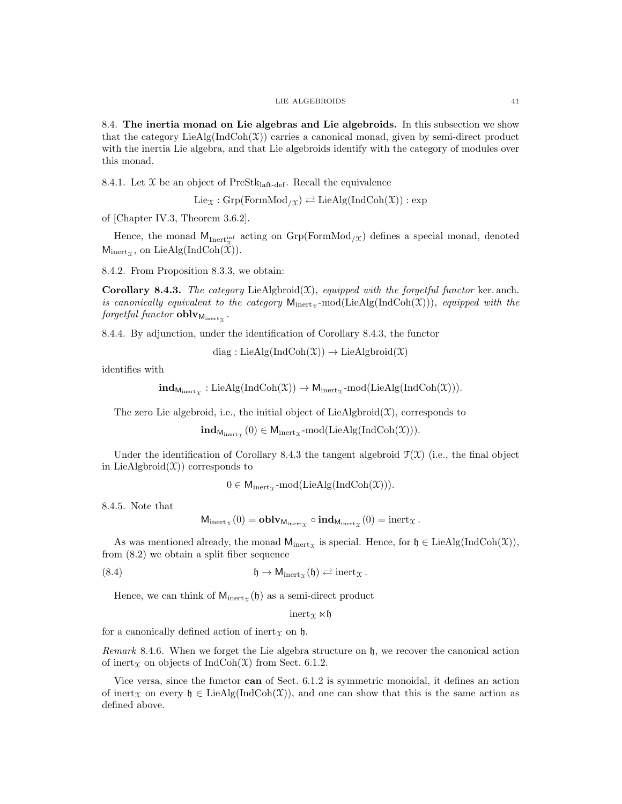8.4. The inertia monad on Lie algebras and Lie algebroids. In this subsection we show that the category  $\text{LieAlg}(\text{IndCoh}(\mathcal{X}))$  carries a canonical monad, given by semi-direct product with the inertia Lie algebra, and that Lie algebroids identify with the category of modules over this monad.

8.4.1. Let  $X$  be an object of PreSt $k_{\text{laff-def}}$ . Recall the equivalence

$$
Lie_{\mathfrak{X}}: Grp(FormMod_{/\mathfrak{X}}) \rightleftarrows LieAlg(IndCoh(\mathfrak{X})) : exp
$$

of [Chapter IV.3, Theorem 3.6.2].

Hence, the monad  $M_{\text{Inert}_{x}^{\text{inf}}}$  acting on  $\text{Grp}(\text{FormMod}_{/x})$  defines a special monad, denoted  $M_{\text{inert}_\mathfrak{X}}$ , on LieAlg(IndCoh(X)).

8.4.2. From Proposition 8.3.3, we obtain:

**Corollary 8.4.3.** The category LieAlgbroid $(\mathcal{X})$ , equipped with the forgetful functor ker. anch. is canonically equivalent to the category  $M_{\text{inert}}$ -mod(LieAlg(IndCoh(X))), equipped with the  $\emph{forgetful functor}$   ${\bf oblv}_{\mathrm{M_{inert}}_\mathcal{X}}$  .

8.4.4. By adjunction, under the identification of Corollary 8.4.3, the functor

diag : LieAlg(IndCoh $(\mathfrak{X}) \rightarrow$  LieAlgbroid $(\mathfrak{X})$ 

identifies with

$$
\mathbf{ind}_{M_{\mathrm{inert}_\mathcal{X}}}: \mathrm{LieAlg}(\mathrm{IndCoh}(\mathcal{X})) \rightarrow M_{\mathrm{inert}_\mathcal{X}}\text{-mod}(\mathrm{LieAlg}(\mathrm{IndCoh}(\mathcal{X}))).
$$

The zero Lie algebroid, i.e., the initial object of LieAlgbroid $(\mathfrak{X})$ , corresponds to

 $\textbf{ind}_{\textsf{M}_{\text{inert}}_{\mathcal{X}}}(0) \in \textsf{M}_{\text{inert}_{\mathcal{X}}} \text{-mod}(\text{LieAlg}(\text{IndCoh}(\mathcal{X}))).$ 

Under the identification of Corollary 8.4.3 the tangent algebroid  $\mathcal{T}(\mathcal{X})$  (i.e., the final object in LieAlgbroid $(\mathfrak{X})$  corresponds to

 $0 \in M_{\text{inert}}$  -mod(LieAlg(IndCoh(X))).

8.4.5. Note that

$$
M_{\text{inert}_{\mathfrak{X}}}(0) = \mathbf{oblv}_{M_{\text{inert}_{\mathfrak{X}}}} \circ \mathbf{ind}_{M_{\text{inert}_{\mathfrak{X}}}}(0) = \text{inert}_{\mathfrak{X}}.
$$

As was mentioned already, the monad  $M_{\text{inert}_{\Upsilon}}$  is special. Hence, for  $\mathfrak{h} \in \text{LieAlg}(\text{IndCoh}(\mathfrak{X})),$ from (8.2) we obtain a split fiber sequence

(8.4) 
$$
\mathfrak{h} \to \mathsf{M}_{\mathrm{inert}_{\mathfrak{X}}}(\mathfrak{h}) \rightleftarrows \mathrm{inert}_{\mathfrak{X}}.
$$

Hence, we can think of  $M_{\text{inert}_{\mathcal{X}}}(\mathfrak{h})$  as a semi-direct product

 $inert_{\Upsilon} \ltimes \mathfrak{h}$ 

for a canonically defined action of inert $\chi$  on h.

Remark 8.4.6. When we forget the Lie algebra structure on h, we recover the canonical action of inert<sub> $x$ </sub> on objects of IndCoh( $x$ ) from Sect. 6.1.2.

Vice versa, since the functor can of Sect. 6.1.2 is symmetric monoidal, it defines an action of inert<sub>X</sub> on every  $\mathfrak{h} \in \text{LieAlg}(\text{IndCoh}(\mathfrak{X}))$ , and one can show that this is the same action as defined above.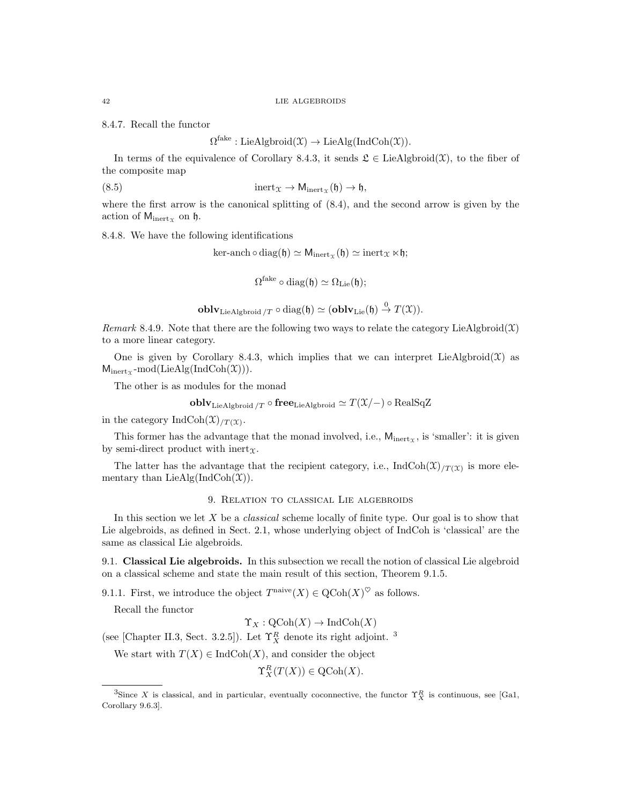8.4.7. Recall the functor

 $\Omega^{\text{fake}}: \text{LieAlgbroid}(\mathfrak{X}) \to \text{LieAlg}(\text{IndCoh}(\mathfrak{X})).$ 

In terms of the equivalence of Corollary 8.4.3, it sends  $\mathfrak{L} \in \text{LieAlgbroid}(\mathfrak{X})$ , to the fiber of the composite map

(8.5) 
$$
\text{inert}_{\mathcal{X}} \to M_{\text{inert}_{\mathcal{X}}}(\mathfrak{h}) \to \mathfrak{h},
$$

where the first arrow is the canonical splitting of  $(8.4)$ , and the second arrow is given by the action of  $M_{\text{inert}_x}$  on  $\mathfrak{h}$ .

8.4.8. We have the following identifications

 $\ker$ -anch  $\circ$  diag( $\mathfrak{h}$ )  $\simeq$  M<sub>inert $_{\mathfrak{X}}$ </sub>( $\mathfrak{h}$ )  $\simeq$  inert $_{\mathfrak{X}} \ltimes \mathfrak{h}$ ;

 $\Omega^{\mathrm{fake}}\circ\mathrm{diag}(\mathfrak{h})\simeq\Omega_{\mathrm{Lie}}(\mathfrak{h});$ 

**oblv**<sub>LieAlgbroid</sub>/<sub>T</sub> 
$$
\circ
$$
 diag( $\mathfrak{h}$ )  $\simeq$  (**oblv**<sub>Lie</sub>( $\mathfrak{h}$ )  $\xrightarrow{0}$   $T(\mathfrak{X})$ ).

Remark 8.4.9. Note that there are the following two ways to relate the category LieAlgbroid $(\mathfrak{X})$ to a more linear category.

One is given by Corollary 8.4.3, which implies that we can interpret LieAlgbroid $(\mathfrak{X})$  as  $M_{\text{inert}}$  -mod(LieAlg(IndCoh(X))).

The other is as modules for the monad

$$
\mathbf{oblv}_{\mathrm{LieAlgbroid}\text{ }/T} \circ \mathbf{free}_{\mathrm{LieAlgbroid}} \simeq T(\mathfrak{X}/-) \circ \mathrm{RealSqZ}
$$

in the category IndCoh $(\mathfrak{X})_{/T}(\mathfrak{X})$ .

This former has the advantage that the monad involved, i.e.,  $M_{\text{inert}}$ , is 'smaller': it is given by semi-direct product with inert $\tau$ .

The latter has the advantage that the recipient category, i.e.,  $\text{IndCoh}(\mathfrak{X})_{/T(\mathfrak{X})}$  is more elementary than  $LieAlg(IndCoh(\mathfrak{X}))$ .

### 9. Relation to classical Lie algebroids

In this section we let  $X$  be a *classical* scheme locally of finite type. Our goal is to show that Lie algebroids, as defined in Sect. 2.1, whose underlying object of IndCoh is 'classical' are the same as classical Lie algebroids.

9.1. Classical Lie algebroids. In this subsection we recall the notion of classical Lie algebroid on a classical scheme and state the main result of this section, Theorem 9.1.5.

9.1.1. First, we introduce the object  $T^{\text{naive}}(X) \in \text{QCoh}(X)^\heartsuit$  as follows.

Recall the functor

 $\Upsilon_X : \mathrm{QCoh}(X) \to \mathrm{IndCoh}(X)$ 

(see [Chapter II.3, Sect. 3.2.5]). Let  $\Upsilon_X^R$  denote its right adjoint. <sup>3</sup>

We start with  $T(X) \in \text{IndCoh}(X)$ , and consider the object

 $\Upsilon_X^R(T(X)) \in \mathrm{QCoh}(X).$ 

<sup>&</sup>lt;sup>3</sup>Since X is classical, and in particular, eventually coconnective, the functor  $\Upsilon_X^R$  is continuous, see [Ga1, Corollary 9.6.3].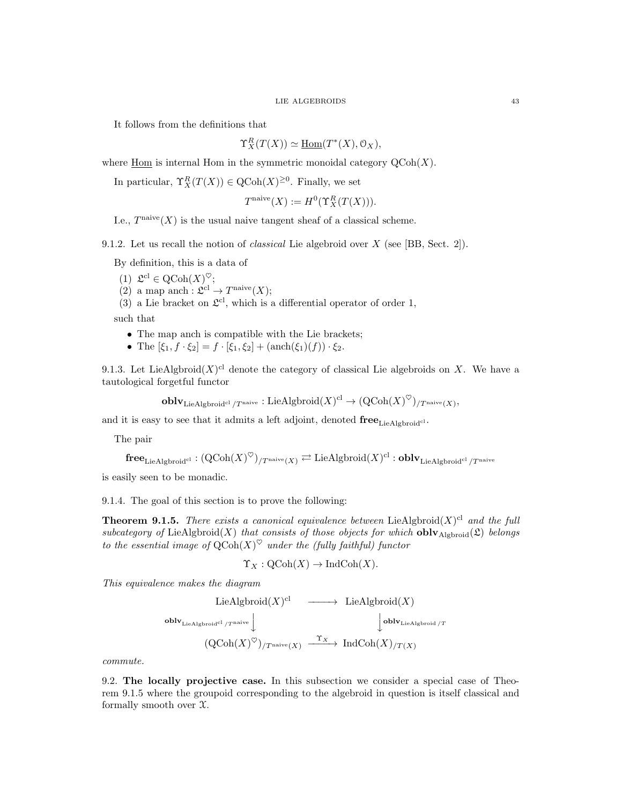It follows from the definitions that

$$
\Upsilon_X^R(T(X)) \simeq \underline{\text{Hom}}(T^*(X), \mathcal{O}_X),
$$

where  $\underline{\text{Hom}}$  is internal Hom in the symmetric monoidal category  $\text{QCoh}(X)$ .

In particular,  $\Upsilon_X^R(T(X)) \in \mathrm{QCoh}(X)^{\geq 0}$ . Finally, we set

$$
T^{\text{naive}}(X) := H^0(\Upsilon^R_X(T(X))).
$$

I.e.,  $T^{\text{naive}}(X)$  is the usual naive tangent sheaf of a classical scheme.

9.1.2. Let us recall the notion of classical Lie algebroid over X (see [BB, Sect. 2]).

By definition, this is a data of

(1)  $\mathfrak{L}^{\mathrm{cl}} \in \mathrm{QCoh}(X)^\heartsuit;$ 

(2) a map anch :  $\mathfrak{L}^{\text{cl}} \to T^{\text{naive}}(X);$ 

(3) a Lie bracket on  $\mathfrak{L}^{cl}$ , which is a differential operator of order 1,

such that

- The map anch is compatible with the Lie brackets;
- The  $[\xi_1, f \cdot \xi_2] = f \cdot [\xi_1, \xi_2] + (\text{anch}(\xi_1)(f)) \cdot \xi_2$ .

9.1.3. Let LieAlgbroid $(X)^{cl}$  denote the category of classical Lie algebroids on X. We have a tautological forgetful functor

 $\operatorname{\textbf{oblv}}_{\operatorname{LieAlgbroid}^{cl}/T^{\operatorname{naive}}} : \operatorname{LieAlgbroid}(X)^{\operatorname{cl}} \to (\operatorname{QCoh}(X)^\heartsuit)_{/T^{\operatorname{naive}}(X)},$ 

and it is easy to see that it admits a left adjoint, denoted  $free_{LieAlgbroid<sup>cl</sup>}$ .

The pair

$$
\mathbf{free}_{\mathrm{LieAlgbroid}^{\mathrm{cl}}}:(\mathrm{QCoh}(X)^\heartsuit)_{/T^{\mathrm{naive}}(X)}\rightleftarrows \mathrm{LieAlgbroid}(X)^{\mathrm{cl}}:\mathbf{oblv}_{\mathrm{LieAlgbroid}^{\mathrm{cl}}/T^{\mathrm{naive}}}
$$

is easily seen to be monadic.

9.1.4. The goal of this section is to prove the following:

**Theorem 9.1.5.** There exists a canonical equivalence between LieAlgbroid $(X)^{cl}$  and the full subcategory of LieAlgbroid(X) that consists of those objects for which **obly** Algbroid(2) belongs to the essential image of  $\mathrm{QCoh}(X)^\heartsuit$  under the (fully faithful) functor

$$
\Upsilon_X : \mathrm{QCoh}(X) \to \mathrm{IndCoh}(X).
$$

This equivalence makes the diagram

$$
\begin{array}{ccc}\n\text{LieAlgbroid}(X)^{\text{cl}} & \longrightarrow & \text{LieAlgbroid}(X) \\
\text{oblv}_{\text{LieAlgbroid}^{\text{cl}}/T^{\text{naive}}}\n\downarrow & & \downarrow\n\text{oblv}_{\text{LieAlgbroid}/T} \\
(\text{QCoh}(X)^{\heartsuit})_{/T^{\text{naive}}(X)} & \xrightarrow{\Upsilon_X} \text{IndCoh}(X)_{/T(X)}\n\end{array}
$$

commute.

9.2. The locally projective case. In this subsection we consider a special case of Theorem 9.1.5 where the groupoid corresponding to the algebroid in question is itself classical and formally smooth over  $\mathfrak{X}$ .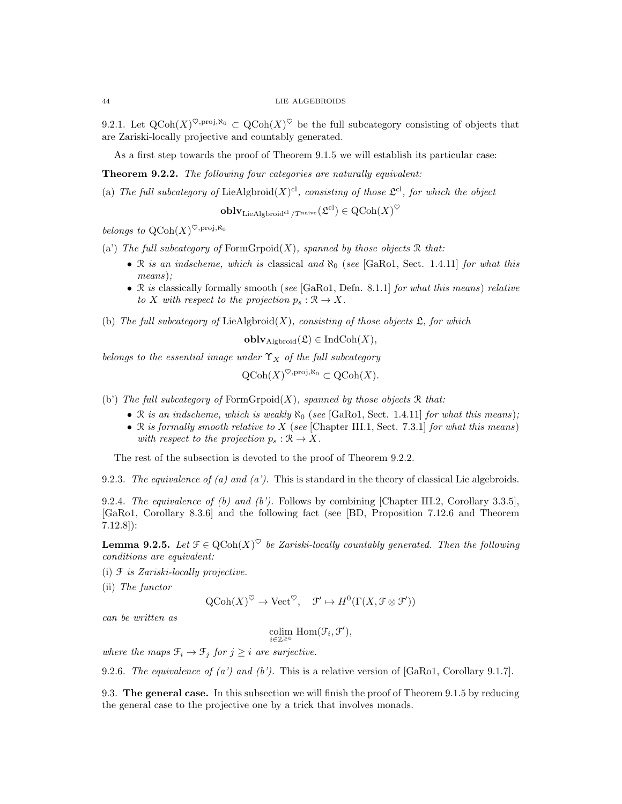9.2.1. Let  $Q\text{Coh}(X)^{\heartsuit,\text{proj},\aleph_0} \subset Q\text{Coh}(X)^{\heartsuit}$  be the full subcategory consisting of objects that are Zariski-locally projective and countably generated.

As a first step towards the proof of Theorem 9.1.5 we will establish its particular case:

Theorem 9.2.2. The following four categories are naturally equivalent:

(a) The full subcategory of LieAlgbroid $(X)^{cl}$ , consisting of those  $\mathfrak{L}^{cl}$ , for which the object

 $\operatorname{\textbf{oblv}}_{\operatorname{LieAlgbroid}^{cl}/T^{\text{naive}}}(\mathfrak{L}^{\text{cl}})\in \operatorname{QCoh}(X)^\heartsuit$ 

belongs to  $\operatorname{QCoh}(X)^{\heartsuit,\operatorname{proj},\aleph_0}$ 

- (a') The full subcategory of  $FormGrpoid(X)$ , spanned by those objects  $R$  that:
	- $\Re$  is an indscheme, which is classical and  $\aleph_0$  (see [GaRo1, Sect. 1.4.11] for what this means);
	- R is classically formally smooth (see [GaRo1, Defn. 8.1.1] for what this means) relative to X with respect to the projection  $p_s : \mathcal{R} \to X$ .

(b) The full subcategory of Lie Algbroid $(X)$ , consisting of those objects  $\mathfrak{L}$ , for which

 $\textbf{oblv}_{\text{Algbroid}}(\mathfrak{L}) \in \text{IndCoh}(X),$ 

belongs to the essential image under  $\Upsilon_X$  of the full subcategory

$$
\operatorname{QCoh}(X)^{\heartsuit,\operatorname{proj},\aleph_0} \subset \operatorname{QCoh}(X).
$$

(b') The full subcategory of  $FormGroup(X)$ , spanned by those objects  $\Re$  that:

- R is an indscheme, which is weakly  $\aleph_0$  (see [GaRo1, Sect. 1.4.11] for what this means);
- R is formally smooth relative to  $X$  (see [Chapter III.1, Sect. 7.3.1] for what this means) with respect to the projection  $p_s : \mathbb{R} \to X$ .

The rest of the subsection is devoted to the proof of Theorem 9.2.2.

9.2.3. The equivalence of (a) and (a'). This is standard in the theory of classical Lie algebroids.

9.2.4. The equivalence of  $(b)$  and  $(b')$ . Follows by combining [Chapter III.2, Corollary 3.3.5], [GaRo1, Corollary 8.3.6] and the following fact (see [BD, Proposition 7.12.6 and Theorem 7.12.8]):

**Lemma 9.2.5.** Let  $\mathcal{T} \in \mathrm{QCoh}(X)^\heartsuit$  be Zariski-locally countably generated. Then the following conditions are equivalent:

(i)  $f$  is Zariski-locally projective.

(ii) The functor

$$
Q\mathrm{Coh}(X)^\heartsuit \to \mathrm{Vect}^\heartsuit
$$
,  $\mathcal{F}' \mapsto H^0(\Gamma(X, \mathcal{F} \otimes \mathcal{F}'))$ 

can be written as

$$
\underset{i\in\mathbb{Z}^{\geq 0}}{\rm colim}\,\, \mathrm{Hom}(\mathcal{F}_{i},\mathcal{F}'),
$$

where the maps  $\mathfrak{F}_i \to \mathfrak{F}_j$  for  $j \geq i$  are surjective.

9.2.6. The equivalence of (a') and (b'). This is a relative version of [GaRo1, Corollary 9.1.7].

9.3. The general case. In this subsection we will finish the proof of Theorem 9.1.5 by reducing the general case to the projective one by a trick that involves monads.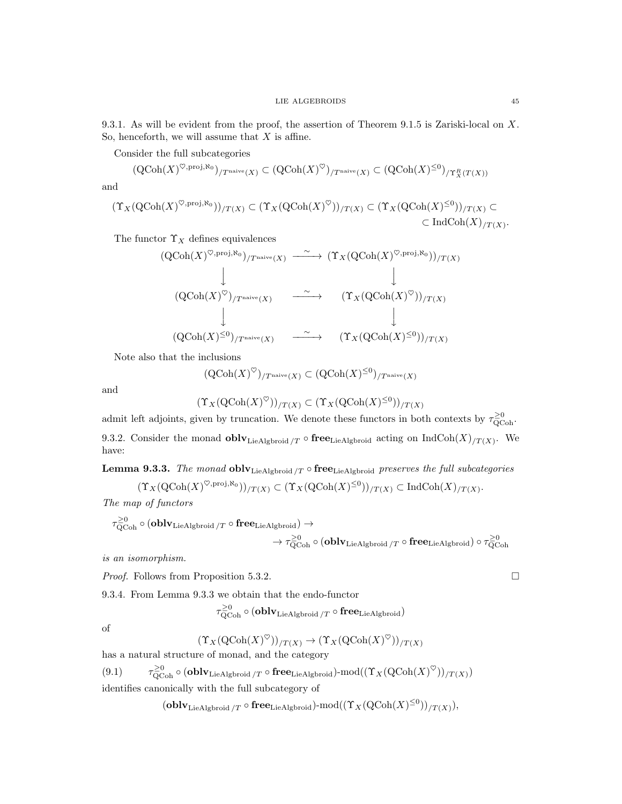9.3.1. As will be evident from the proof, the assertion of Theorem 9.1.5 is Zariski-local on X. So, henceforth, we will assume that  $X$  is affine.

Consider the full subcategories

$$
(\mathrm{QCoh}(X)^{\heartsuit,\mathrm{proj},\aleph_0})_{/T^{\mathrm{naive}}(X)} \subset (\mathrm{QCoh}(X)^{\heartsuit})_{/T^{\mathrm{naive}}(X)} \subset (\mathrm{QCoh}(X)^{\leq 0})_{/T^R_X(T(X))}
$$

and

$$
(\Upsilon_X(\text{QCoh}(X)^{\heartsuit,\text{proj},\aleph_0}))_{/T(X)} \subset (\Upsilon_X(\text{QCoh}(X)^{\heartsuit}))_{/T(X)} \subset (\Upsilon_X(\text{QCoh}(X)^{\leq 0}))_{/T(X)} \subset \text{Ind}\text{Coh}(X)_{/T(X)}.
$$

The functor  $\Upsilon_X$  defines equivalences

$$
\begin{array}{ccc}\n(\text{QCoh}(X)^{\heartsuit,\text{proj},\aleph_0})_{/T^{\text{naive}}(X)} & \xrightarrow{\sim} (\Upsilon_X(\text{QCoh}(X)^{\heartsuit,\text{proj},\aleph_0}))/_{T(X)} \\
\downarrow & & \downarrow \\
(\text{QCoh}(X)^{\heartsuit})_{/T^{\text{naive}}(X)} & \xrightarrow{\sim} (\Upsilon_X(\text{QCoh}(X)^{\heartsuit}))_{/T(X)} \\
\downarrow & & \downarrow \\
(\text{QCoh}(X)^{\leq 0})_{/T^{\text{naive}}(X)} & \xrightarrow{\sim} (\Upsilon_X(\text{QCoh}(X)^{\leq 0}))_{/T(X)}\n\end{array}
$$

Note also that the inclusions

$$
(\operatorname{QCoh}(X)^\heartsuit)_{/T^{\operatorname{naive}}(X)} \subset (\operatorname{QCoh}(X)^{\leq 0})_{/T^{\operatorname{naive}}(X)}
$$

and

$$
(\Upsilon_X(\mathrm{QCoh}(X)^\heartsuit))_{/T(X)} \subset (\Upsilon_X(\mathrm{QCoh}(X)^{\leq 0}))_{/T(X)}
$$

admit left adjoints, given by truncation. We denote these functors in both contexts by  $\tau_{\text{QCoh}}^{\geq 0}$ .

9.3.2. Consider the monad **obl**  $\mathbf{V}_{\text{LieAlgbroid}}/T \circ \mathbf{free}_{\text{LieAlgbroid}}$  acting on  $\text{IndCoh}(X)_{/T(X)}$ . We have:

**Lemma 9.3.3.** The monad **obly** Lie Algbroid  $T \circ \textbf{free}$  Lie Algbroid preserves the full subcategories

$$
(\Upsilon_X(\mathrm{QCoh}(X)^{\heartsuit,\mathrm{proj},\aleph_0}))_{/T(X)} \subset (\Upsilon_X(\mathrm{QCoh}(X)^{\leq 0}))_{/T(X)} \subset \mathrm{IndCoh}(X)_{/T(X)}.
$$

The map of functors

$$
\begin{aligned} \tau_{\mathrm{QCoh}}^{\geq 0} \circ (\mathbf{oblv}_\mathrm{LieAlgbroid} / T \circ \mathbf{free}_\mathrm{LieAlgbroid}) \rightarrow \\ & \longrightarrow \tau_{\mathrm{QCoh}}^{\geq 0} \circ (\mathbf{oblv}_\mathrm{LieAlgbroid} / T \circ \mathbf{free}_\mathrm{LieAlgbroid}) \circ \tau_{\mathrm{QCoh}}^{\geq 0} \end{aligned}
$$

is an isomorphism.

*Proof.* Follows from Proposition 5.3.2.

9.3.4. From Lemma 9.3.3 we obtain that the endo-functor

 $\tau_{\rm QCoh}^{\geq 0} \circ (\mathbf{oblv}_{\rm LieAlgbroid} / T \circ \mathbf{free}_{\rm LieAlgbroid})$ 

of

$$
(\Upsilon_X(\mathrm{QCoh}(X)^\heartsuit))_{/T(X)} \to (\Upsilon_X(\mathrm{QCoh}(X)^\heartsuit))_{/T(X)}
$$

has a natural structure of monad, and the category

 $(9.1)$  $\frac{\geq0}{\rm QCoh}\circ({\bf oblv}_{\rm LieAlgbroid}/T\circ{\bf free}_{\rm LieAlgbroid})\text{-mod}((\Upsilon_X({\rm QCoh}(X)^\heartsuit))_{/T(X)})$ identifies canonically with the full subcategory of

 $({\bf oblv}_{{\rm LieAlgbroid}}/T \circ {\bf free}_{\rm LieAlgbroid})\text{-mod}((\Upsilon_X({\rm QCoh}(X)^{\leq 0}))_{/T(X)}),$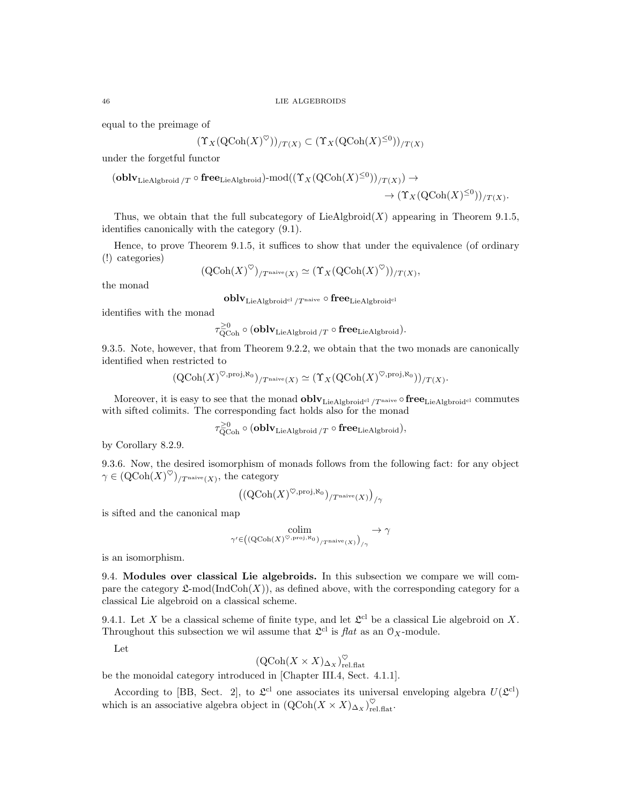equal to the preimage of

$$
(\Upsilon_X(\operatorname{QCoh}(X)^\heartsuit))_{/T(X)} \subset (\Upsilon_X(\operatorname{QCoh}(X)^{\leq 0}))_{/T(X)}
$$

under the forgetful functor

$$
(\mathbf{oblv}_{\mathbf{LieAlgbroid}}/T \circ \mathbf{free}_{\mathbf{LieAlgbroid}}) \text{-}\mathrm{mod}((\Upsilon_X(\mathrm{QCoh}(X)^{\leq 0}))_{/T(X)}) \to \\ \to (\Upsilon_X(\mathrm{QCoh}(X)^{\leq 0}))_{/T(X)}.
$$

Thus, we obtain that the full subcategory of  $\text{LieAlgbroid}(X)$  appearing in Theorem 9.1.5, identifies canonically with the category (9.1).

Hence, to prove Theorem 9.1.5, it suffices to show that under the equivalence (of ordinary (!) categories)

$$
(\mathrm{QCoh}(X)^\heartsuit)_{/T^{\mathrm{naive}}(X)} \simeq (\Upsilon_X(\mathrm{QCoh}(X)^\heartsuit))_{/T(X)},
$$

the monad

 ${\bf oblv}_{{\rm LieAlgbroid}^{\rm cl}/T^{\rm naive}}\circ{\bf free}_{{\rm LieAlgbroid}^{\rm cl}}$ 

identifies with the monad

$$
\tau_{\text{QCoh}}^{\geq 0} \circ (\mathbf{oblv}_{\text{LieAlgbroid}}/T \circ \mathbf{free}_{\text{LieAlgbroid}}).
$$

9.3.5. Note, however, that from Theorem 9.2.2, we obtain that the two monads are canonically identified when restricted to

$$
(\mathrm{QCoh}(X)^{\heartsuit,\mathrm{proj},\aleph_0})_{/T^{\mathrm{naive}}(X)} \simeq (\Upsilon_X(\mathrm{QCoh}(X)^{\heartsuit,\mathrm{proj},\aleph_0}))_{/T(X)}.
$$

Moreover, it is easy to see that the monad  $oblv_{\text{LieAlgbroid}^{cl}/T^{\text{naive}}} \circ free_{\text{LieAlgbroid}^{cl}}$  commutes with sifted colimits. The corresponding fact holds also for the monad

$$
\tau_{\text{QCoh}}^{\geq 0} \circ (\mathbf{oblv}_{\text{LieAlgbroid}}/T \circ \mathbf{free}_{\text{LieAlgbroid}}),
$$

by Corollary 8.2.9.

9.3.6. Now, the desired isomorphism of monads follows from the following fact: for any object  $\gamma \in (\mathrm{QCoh}(X)^\heartsuit)_{/T^{\mathrm{naive}}(X)},$  the category

$$
\left(\left(\text{QCoh}(X)^{\heartsuit,\text{proj},\aleph_0}\right)_{/T^{\text{naive}}(X)}\right)_{/\gamma}
$$

is sifted and the canonical map

$$
\underset{\gamma' \in ((\mathrm{QCoh}(X)^{\heartsuit,\mathrm{proj},\aleph_0})_{/T^{\mathrm{naive}}(X)})_{/\gamma}}{\operatorname{colim}} \rightarrow \gamma
$$

is an isomorphism.

9.4. Modules over classical Lie algebroids. In this subsection we compare we will compare the category  $\mathfrak{L}\text{-mod}(\text{IndCoh}(X))$ , as defined above, with the corresponding category for a classical Lie algebroid on a classical scheme.

9.4.1. Let X be a classical scheme of finite type, and let  $\mathfrak{L}^{cl}$  be a classical Lie algebroid on X. Throughout this subsection we wil assume that  $\mathfrak{L}^{cl}$  is  $flat$  as an  $\mathfrak{O}_X$ -module.

Let

$$
(\mathrm{QCoh}(X \times X)_{\Delta_X})_{\mathrm{rel.flat}}^{\heartsuit}
$$

be the monoidal category introduced in [Chapter III.4, Sect. 4.1.1].

According to [BB, Sect. 2], to  $\mathfrak{L}^{\text{cl}}$  one associates its universal enveloping algebra  $U(\mathfrak{L}^{\text{cl}})$ which is an associative algebra object in  $(QCoh(X \times X)_{\Delta_X})_{rel.\text{flat}}^{\heartsuit}$ .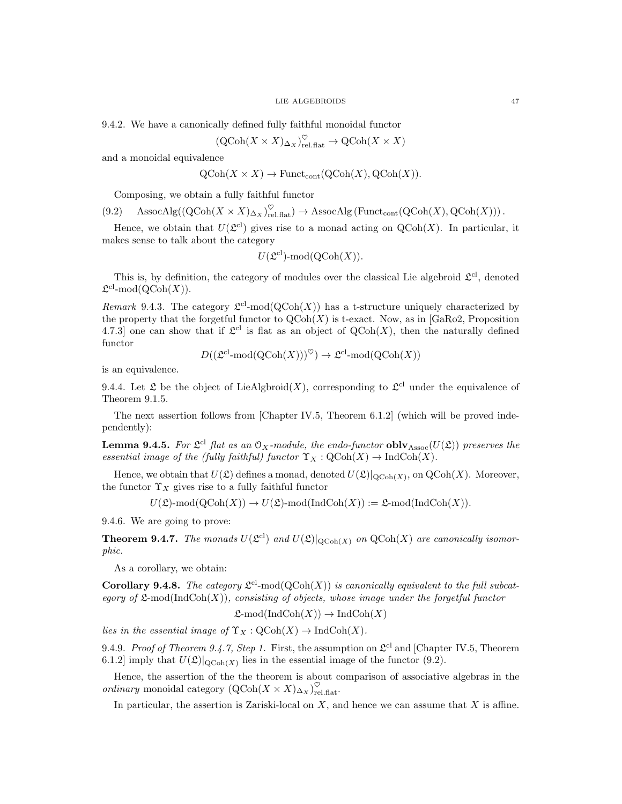9.4.2. We have a canonically defined fully faithful monoidal functor

$$
(\operatorname{QCoh}(X \times X)_{\Delta_X})_{\operatorname{rel}, \operatorname{flat}}^{\heartsuit} \to \operatorname{QCoh}(X \times X)
$$

and a monoidal equivalence

$$
QCoh(X \times X) \to
$$
 Funct<sub>cont</sub> $(QCoh(X), QCoh(X))$ .

Composing, we obtain a fully faithful functor

$$
(9.2) \quad \text{AssocAlg}((\text{QCoh}(X \times X)_{\Delta_X})_{\text{rel.flat}}^{\heartsuit}) \to \text{AssocAlg}(\text{Funct}_{\text{cont}}(\text{QCoh}(X), \text{QCoh}(X))).
$$

Hence, we obtain that  $U(2^{cl})$  gives rise to a monad acting on  $QCoh(X)$ . In particular, it makes sense to talk about the category

$$
U(\mathfrak{L}^{cl})
$$
-mod( $QCoh(X)$ ).

This is, by definition, the category of modules over the classical Lie algebroid  $\mathfrak{L}^{cl}$ , denoted  $\mathfrak{L}^{\mathrm{cl}}\text{-}\mathrm{mod}(\mathrm{QCoh}(X)).$ 

Remark 9.4.3. The category  $\mathfrak{L}^{cl}$ -mod $(QCoh(X))$  has a t-structure uniquely characterized by the property that the forgetful functor to  $Q\text{Coh}(X)$  is t-exact. Now, as in [GaRo2, Proposition] 4.7.3] one can show that if  $\mathfrak{L}^{cl}$  is flat as an object of  $\mathrm{QCoh}(X)$ , then the naturally defined functor

$$
D((\mathfrak{L}^{\mathrm{cl}}\text{-mod}(\mathrm{QCoh}(X)))^{\heartsuit}) \to \mathfrak{L}^{\mathrm{cl}}\text{-mod}(\mathrm{QCoh}(X))
$$

is an equivalence.

9.4.4. Let  $\mathfrak L$  be the object of LieAlgbroid(X), corresponding to  $\mathfrak L^{cl}$  under the equivalence of Theorem 9.1.5.

The next assertion follows from [Chapter IV.5, Theorem 6.1.2] (which will be proved independently):

**Lemma 9.4.5.** For  $\mathfrak{L}^{cl}$  flat as an  $\mathfrak{O}_X$ -module, the endo-functor  $oblv_{\mathrm{Assoc}}(U(\mathfrak{L}))$  preserves the essential image of the (fully faithful) functor  $\Upsilon_X : \mathrm{QCoh}(X) \to \mathrm{IndCoh}(X)$ .

Hence, we obtain that  $U(\mathfrak{L})$  defines a monad, denoted  $U(\mathfrak{L})|_{\mathrm{QCoh}(X)}$ , on  $\mathrm{QCoh}(X)$ . Moreover, the functor  $\Upsilon_X$  gives rise to a fully faithful functor

 $U(\mathfrak{L})\text{-mod}(\mathrm{QCoh}(X)) \to U(\mathfrak{L})\text{-mod}(\mathrm{IndCoh}(X)) := \mathfrak{L}\text{-mod}(\mathrm{IndCoh}(X)).$ 

9.4.6. We are going to prove:

**Theorem 9.4.7.** The monads  $U(\mathfrak{L}^{cl})$  and  $U(\mathfrak{L})|_{\text{QCoh}(X)}$  on  $\text{QCoh}(X)$  are canonically isomorphic.

As a corollary, we obtain:

**Corollary 9.4.8.** The category  $\mathfrak{L}^{cl}$ -mod( $QCoh(X)$ ) is canonically equivalent to the full subcategory of  $\mathfrak{L}\text{-mod}(\text{IndCoh}(X))$ , consisting of objects, whose image under the forgetful functor

$$
\mathfrak{L}\text{-mod}(\text{IndCoh}(X)) \to \text{IndCoh}(X)
$$

lies in the essential image of  $\Upsilon_X : \mathrm{QCoh}(X) \to \mathrm{IndCoh}(X)$ .

9.4.9. Proof of Theorem 9.4.7, Step 1. First, the assumption on  $\mathfrak{L}^{cl}$  and [Chapter IV.5, Theorem 6.1.2] imply that  $U(\mathfrak{L})|_{\text{QCoh}(X)}$  lies in the essential image of the functor (9.2).

Hence, the assertion of the the theorem is about comparison of associative algebras in the ordinary monoidal category  $(\mathrm{QCoh}(X \times X)_{\Delta_X})_{\mathrm{rel.flat}}^{\heartsuit}$ .

In particular, the assertion is Zariski-local on  $X$ , and hence we can assume that  $X$  is affine.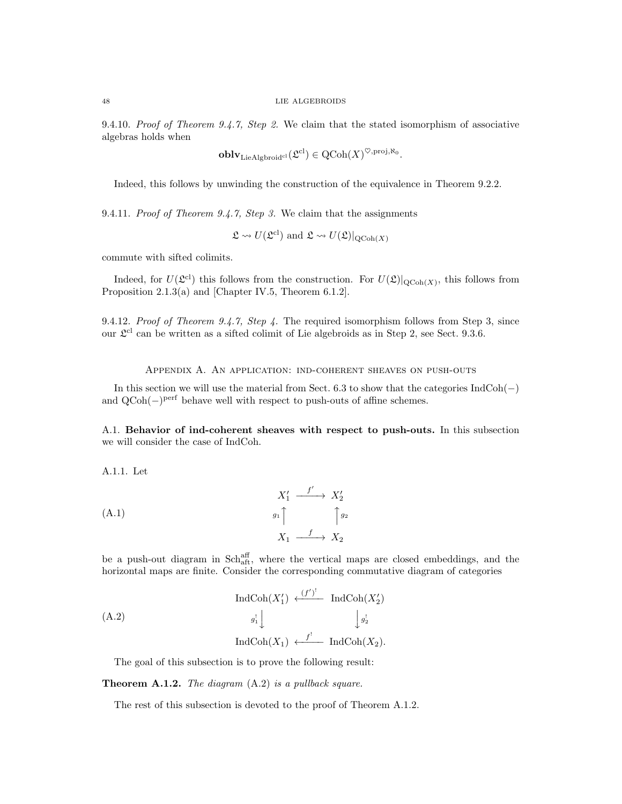9.4.10. Proof of Theorem 9.4.7, Step 2. We claim that the stated isomorphism of associative algebras holds when

$$
\mathbf{oblv}_{\mathrm{LieAlgbroid}^{\mathrm{cl}}}(\mathfrak{L}^{\mathrm{cl}}) \in \mathrm{QCoh}(X)^{\heartsuit,\mathrm{proj},\aleph_0}.
$$

Indeed, this follows by unwinding the construction of the equivalence in Theorem 9.2.2.

9.4.11. Proof of Theorem 9.4.7, Step 3. We claim that the assignments

$$
\mathfrak{L} \rightsquigarrow U(\mathfrak{L}^{\mathrm{cl}})
$$
 and  $\mathfrak{L} \rightsquigarrow U(\mathfrak{L})|_{\mathrm{QCoh}(X)}$ 

commute with sifted colimits.

Indeed, for  $U(\mathfrak{L}^{cl})$  this follows from the construction. For  $U(\mathfrak{L})|_{\text{QCoh}(X)}$ , this follows from Proposition 2.1.3(a) and [Chapter IV.5, Theorem 6.1.2].

9.4.12. Proof of Theorem 9.4.7, Step 4. The required isomorphism follows from Step 3, since our  $\mathfrak{L}^{cl}$  can be written as a sifted colimit of Lie algebroids as in Step 2, see Sect. 9.3.6.

Appendix A. An application: ind-coherent sheaves on push-outs

In this section we will use the material from Sect. 6.3 to show that the categories  $IndCoh(-)$ and QCoh(-)<sup>perf</sup> behave well with respect to push-outs of affine schemes.

A.1. Behavior of ind-coherent sheaves with respect to push-outs. In this subsection we will consider the case of IndCoh.

A.1.1. Let

$$
X_1' \xrightarrow{f'} X_2'
$$
\n
$$
(A.1)
$$
\n
$$
g_1 \uparrow \qquad \qquad g_2 \uparrow
$$
\n
$$
X_1 \xrightarrow{f} X_2
$$

be a push-out diagram in Sch<sup>aff</sup><sub>aft</sub>, where the vertical maps are closed embeddings, and the horizontal maps are finite. Consider the corresponding commutative diagram of categories

$$
\operatorname{IndCoh}(X'_1) \xleftarrow{\left(f'\right)^!} \operatorname{IndCoh}(X'_2)
$$
\n
$$
g_1^! \downarrow \qquad \qquad \downarrow g_2^!
$$
\n
$$
\operatorname{IndCoh}(X_1) \xleftarrow{f'} \operatorname{IndCoh}(X_2).
$$

The goal of this subsection is to prove the following result:

**Theorem A.1.2.** The diagram  $(A.2)$  is a pullback square.

The rest of this subsection is devoted to the proof of Theorem A.1.2.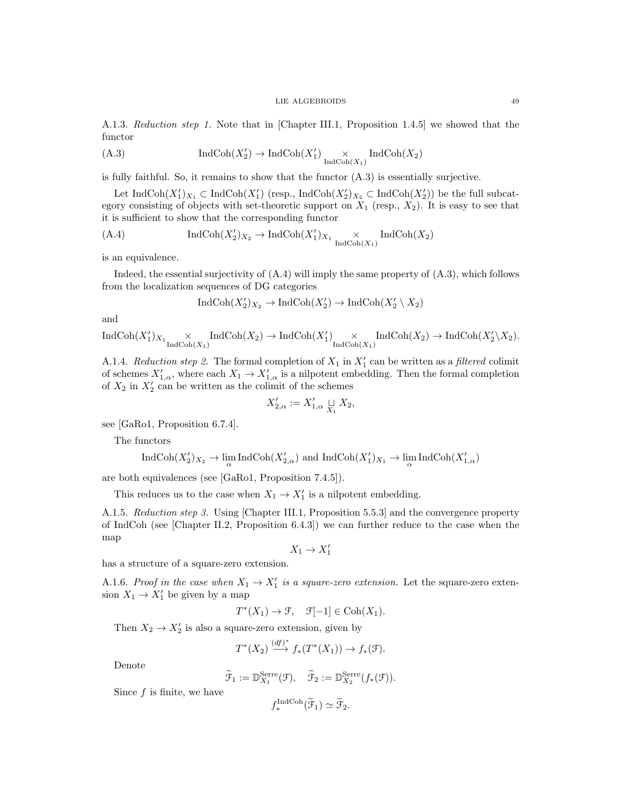A.1.3. Reduction step 1. Note that in [Chapter III.1, Proposition 1.4.5] we showed that the functor

(A.3) 
$$
\operatorname{IndCoh}(X_2') \to \operatorname{IndCoh}(X_1') \underset{\operatorname{IndCoh}(X_1)}{\times} \operatorname{IndCoh}(X_2)
$$

is fully faithful. So, it remains to show that the functor (A.3) is essentially surjective.

Let  $\text{IndCoh}(X_1')_{X_1} \subset \text{IndCoh}(X_1')$  (resp.,  $\text{IndCoh}(X_2')_{X_2} \subset \text{IndCoh}(X_2')$ ) be the full subcategory consisting of objects with set-theoretic support on  $X_1$  (resp.,  $X_2$ ). It is easy to see that it is sufficient to show that the corresponding functor

(A.4) 
$$
\operatorname{IndCoh}(X'_2)_{X_2} \to \operatorname{IndCoh}(X'_1)_{X_1} \underset{\operatorname{IndCoh}(X_1)}{\times} \operatorname{IndCoh}(X_2)
$$

is an equivalence.

Indeed, the essential surjectivity of (A.4) will imply the same property of (A.3), which follows from the localization sequences of DG categories

$$
IndCoh(X'_2)_{X_2} \to IndCoh(X'_2) \to IndCoh(X'_2 \setminus X_2)
$$

and

$$
\operatorname{IndCoh}(X'_1)_{X_1} \underset{\operatorname{IndCoh}(X_1)}{\times} \operatorname{IndCoh}(X_2) \to \operatorname{IndCoh}(X'_1) \underset{\operatorname{IndCoh}(X_1)}{\times} \operatorname{IndCoh}(X_2) \to \operatorname{IndCoh}(X'_2 \backslash X_2).
$$

A.1.4. Reduction step 2. The formal completion of  $X_1$  in  $X'_1$  can be written as a filtered colimit of schemes  $X'_{1,\alpha}$ , where each  $X_1 \to X'_{1,\alpha}$  is a nilpotent embedding. Then the formal completion of  $X_2$  in  $X_2'$  can be written as the colimit of the schemes

$$
X'_{2,\alpha} := X'_{1,\alpha} \underset{X_1}{\sqcup} X_2,
$$

see [GaRo1, Proposition 6.7.4].

The functors

$$
\operatorname{IndCoh}(X'_2)_{X_2}\to \lim_\alpha\operatorname{IndCoh}(X'_{2,\alpha})\text{ and }\operatorname{IndCoh}(X'_1)_{X_1}\to \lim_\alpha\operatorname{IndCoh}(X'_{1,\alpha})
$$

are both equivalences (see [GaRo1, Proposition 7.4.5]).

This reduces us to the case when  $X_1 \to X'_1$  is a nilpotent embedding.

A.1.5. Reduction step 3. Using [Chapter III.1, Proposition 5.5.3] and the convergence property of IndCoh (see [Chapter II.2, Proposition 6.4.3]) we can further reduce to the case when the map

$$
X_1 \to X_1'
$$

has a structure of a square-zero extension.

A.1.6. Proof in the case when  $X_1 \rightarrow X'_1$  is a square-zero extension. Let the square-zero extension  $X_1 \to X'_1$  be given by a map

$$
T^*(X_1) \to \mathcal{F}, \quad \mathcal{F}[-1] \in \mathrm{Coh}(X_1).
$$

Then  $X_2 \to X_2'$  is also a square-zero extension, given by

$$
T^*(X_2) \xrightarrow{(df)^*} f_*(T^*(X_1)) \to f_*(\mathfrak{F}).
$$

Denote

$$
\widetilde{\mathcal{F}}_1 := \mathbb{D}_{X_1}^{\text{Serre}}(\mathcal{F}), \quad \widetilde{\mathcal{F}}_2 := \mathbb{D}_{X_2}^{\text{Serre}}(f_*(\mathcal{F})).
$$

Since  $f$  is finite, we have

$$
f_*^{\text{IndCoh}}(\widetilde{\mathcal{F}}_1) \simeq \widetilde{\mathcal{F}}_2.
$$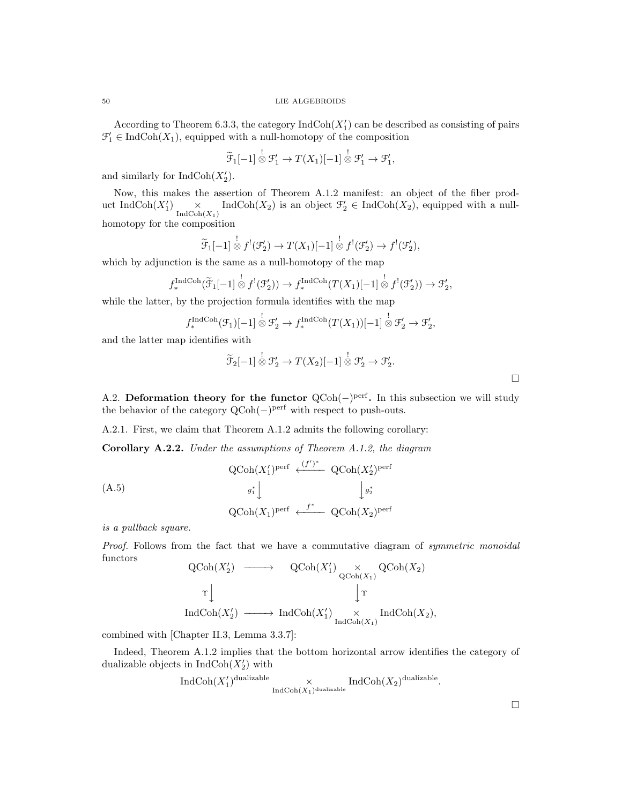According to Theorem 6.3.3, the category  $\text{IndCoh}(X_1')$  can be described as consisting of pairs  $\mathcal{F}'_1 \in \text{IndCoh}(X_1)$ , equipped with a null-homotopy of the composition

$$
\widetilde{\mathcal{F}}_1[-1] \overset{!}{\otimes} \mathcal{F}'_1 \to T(X_1)[-1] \overset{!}{\otimes} \mathcal{F}'_1 \to \mathcal{F}'_1,
$$

and similarly for  $\text{IndCoh}(X_2')$ .

Now, this makes the assertion of Theorem A.1.2 manifest: an object of the fiber product IndCoh $(X'_1)$   $\times$  IndCoh $(X_2)$  is an object  $\mathcal{F}'_2 \in \text{IndCoh}(X_2)$ , equipped with a nullhomotopy for the composition

$$
\widetilde{\mathcal{F}}_1[-1] \overset{!}{\otimes} f^{!}(\mathcal{F}'_2) \to T(X_1)[-1] \overset{!}{\otimes} f^{!}(\mathcal{F}'_2) \to f^{!}(\mathcal{F}'_2),
$$

which by adjunction is the same as a null-homotopy of the map

$$
f_*^{\text{IndCoh}}(\widetilde{\mathcal{F}}_1[-1] \overset{!}{\otimes} f^{!}(\mathcal{F}'_2)) \to f_*^{\text{IndCoh}}(T(X_1)[-1] \overset{!}{\otimes} f^{!}(\mathcal{F}'_2)) \to \mathcal{F}'_2,
$$

while the latter, by the projection formula identifies with the map

$$
f_*^{\text{IndCoh}}(\mathcal{F}_1)[-1] \overset{!}{\otimes} \mathcal{F}'_2 \to f_*^{\text{IndCoh}}(T(X_1))[-1] \overset{!}{\otimes} \mathcal{F}'_2 \to \mathcal{F}'_2,
$$

and the latter map identifies with

$$
\widetilde{\mathcal{F}}_2[-1] \overset{!}{\otimes} \mathcal{F}'_2 \to T(X_2)[-1] \overset{!}{\otimes} \mathcal{F}'_2 \to \mathcal{F}'_2.
$$

A.2. Deformation theory for the functor  $QCoh(-)$ <sup>perf</sup>. In this subsection we will study the behavior of the category  $QCoh(-)$ <sup>perf</sup> with respect to push-outs.

A.2.1. First, we claim that Theorem A.1.2 admits the following corollary:

Corollary A.2.2. Under the assumptions of Theorem A.1.2, the diagram

(A.5)

\n
$$
\operatorname{QCoh}(X_1')^{\text{perf}} \xleftarrow{(f')^*} \operatorname{QCoh}(X_2')^{\text{perf}}
$$
\n
$$
g_1^* \downarrow \qquad \qquad \downarrow g_2^*
$$
\n
$$
\operatorname{QCoh}(X_1)^{\text{perf}} \xleftarrow{f^*} \operatorname{QCoh}(X_2)^{\text{perf}}
$$

is a pullback square.

Proof. Follows from the fact that we have a commutative diagram of *symmetric monoidal* functors  $\alpha$   $\alpha$   $\alpha$  $\Omega$ <sup>-1</sup>/ $(V)$  $\alpha$   $\alpha$ 

$$
\begin{array}{ccc}\n\text{QCoh}(X_2') & \longrightarrow & \text{QCoh}(X_1') & \times & \text{QCoh}(X_2) \\
\uparrow & & & \downarrow \uparrow \\
\text{IndCoh}(X_2') & \longrightarrow & \text{IndCoh}(X_1') & \times & \text{IndCoh}(X_2), \\
\end{array}
$$

combined with [Chapter II.3, Lemma 3.3.7]:

Indeed, Theorem A.1.2 implies that the bottom horizontal arrow identifies the category of dualizable objects in  $\text{IndCoh}(X_2')$  with

$$
\text{Ind}\text{Coh}(X_1')^{\text{dualizable}} \times_{\text{Ind}\text{Coh}(X_1)^{\text{dualizable}}} \text{Ind}\text{Coh}(X_2)^{\text{dualizable}}.
$$

 $\Box$ 

 $\Box$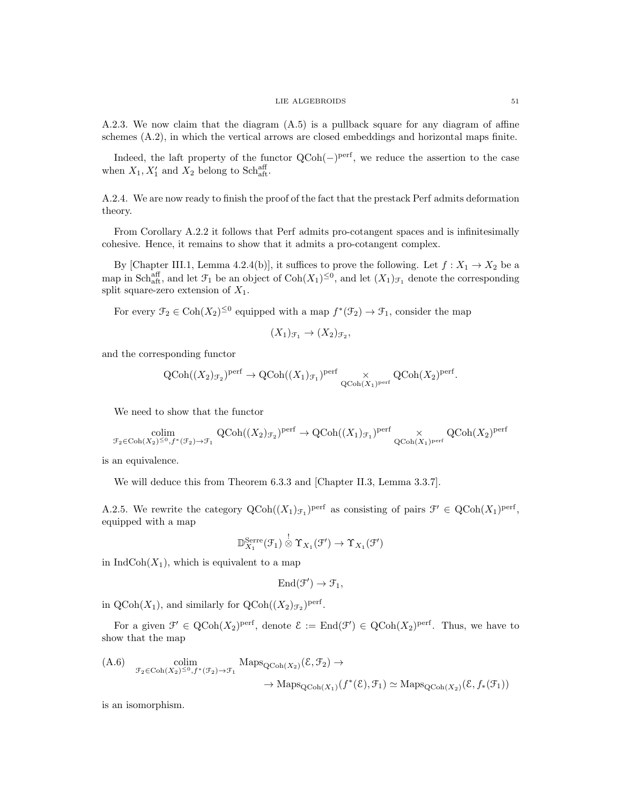A.2.3. We now claim that the diagram (A.5) is a pullback square for any diagram of affine schemes (A.2), in which the vertical arrows are closed embeddings and horizontal maps finite.

Indeed, the laft property of the functor QCoh(−)<sup>perf</sup>, we reduce the assertion to the case when  $X_1, X'_1$  and  $X_2$  belong to Schaff.

A.2.4. We are now ready to finish the proof of the fact that the prestack Perf admits deformation theory.

From Corollary A.2.2 it follows that Perf admits pro-cotangent spaces and is infinitesimally cohesive. Hence, it remains to show that it admits a pro-cotangent complex.

By [Chapter III.1, Lemma 4.2.4(b)], it suffices to prove the following. Let  $f: X_1 \to X_2$  be a map in Sch<sub>aft</sub>, and let  $\mathcal{F}_1$  be an object of  $\text{Coh}(X_1)^{\leq 0}$ , and let  $(X_1)_{\mathcal{F}_1}$  denote the corresponding split square-zero extension of  $X_1$ .

For every  $\mathcal{F}_2 \in \text{Coh}(X_2)^{\leq 0}$  equipped with a map  $f^*(\mathcal{F}_2) \to \mathcal{F}_1$ , consider the map

$$
(X_1)_{\mathcal{F}_1} \to (X_2)_{\mathcal{F}_2},
$$

and the corresponding functor

$$
\text{QCoh}((X_2)_{\mathcal{F}_2})^{\text{perf}} \to \text{QCoh}((X_1)_{\mathcal{F}_1})^{\text{perf}} \times \text{QCoh}(X_2)^{\text{perf}}.
$$

We need to show that the functor

$$
\underset{\mathcal{F}_2 \in \mathrm{Coh}(X_2) \leq 0, f^*(\mathcal{F}_2) \rightarrow \mathcal{F}_1}{\mathrm{QCoh}((X_2)_{\mathcal{F}_2})^{\mathrm{perf}}} \to \mathrm{QCoh}((X_1)_{\mathcal{F}_1})^{\mathrm{perf}} \times \underset{\mathrm{QCoh}(X_1)^{\mathrm{perf}}}{\times} \mathrm{QCoh}(X_2)^{\mathrm{perf}}
$$

is an equivalence.

We will deduce this from Theorem 6.3.3 and [Chapter II.3, Lemma 3.3.7].

A.2.5. We rewrite the category  $\mathrm{QCoh}((X_1)_{\mathcal{F}_1})^{\mathrm{perf}}$  as consisting of pairs  $\mathcal{F}' \in \mathrm{QCoh}(X_1)^{\mathrm{perf}}$ , equipped with a map

$$
\mathbb{D}_{X_1}^{\mathrm{Serre}}(\mathcal{F}_1)\overset{!}{\otimes}\Upsilon_{X_1}(\mathcal{F}')\to\Upsilon_{X_1}(\mathcal{F}')
$$

in  $IndCoh(X_1)$ , which is equivalent to a map

$$
\operatorname{End}\nolimits(\mathfrak{F}') \to \mathfrak{F}_1,
$$

in  $\mathrm{QCoh}(X_1)$ , and similarly for  $\mathrm{QCoh}((X_2)_{\mathcal{F}_2})^{\mathrm{perf}}$ .

For a given  $\mathcal{F}' \in \text{QCoh}(X_2)^{\text{perf}}$ , denote  $\mathcal{E} := \text{End}(\mathcal{F}') \in \text{QCoh}(X_2)^{\text{perf}}$ . Thus, we have to show that the map

(A.6) 
$$
\begin{aligned}\n\text{colim} & \text{colim} & \mathcal{F}_2 \in \text{Coh}(X_2) \leq 0, f^*(\mathcal{F}_2) \to \mathcal{F}_1 \\
& \to \text{Maps}_{\text{QCoh}(X_1)}(f^*(\mathcal{E}), \mathcal{F}_1) \simeq \text{Maps}_{\text{QCoh}(X_2)}(\mathcal{E}, f_*(\mathcal{F}_1))\n\end{aligned}
$$

is an isomorphism.